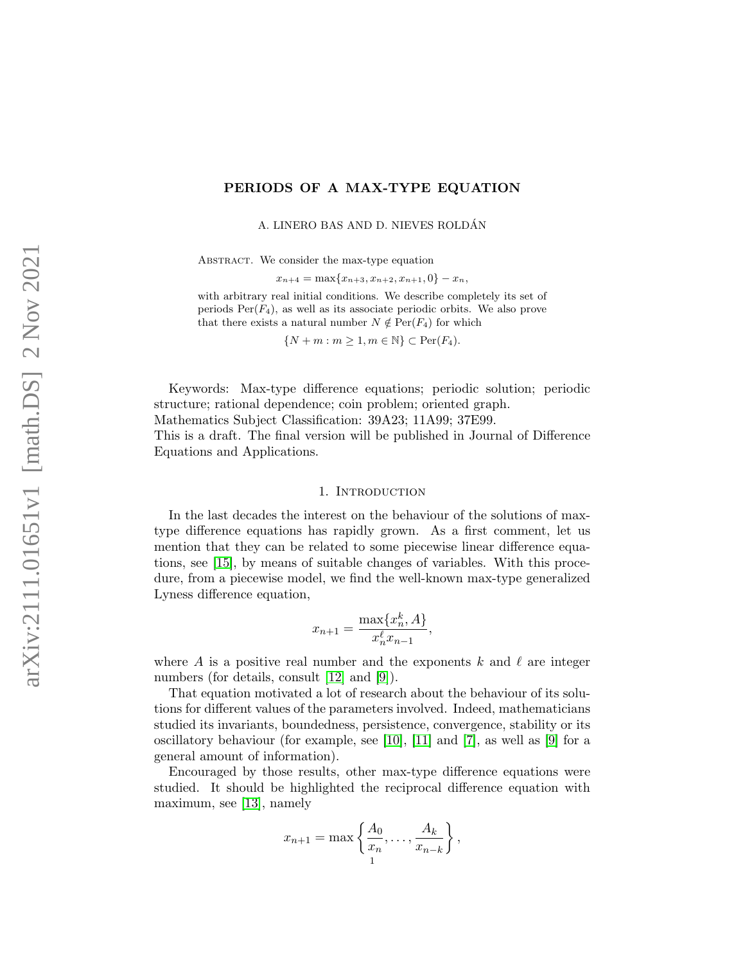# PERIODS OF A MAX-TYPE EQUATION

A. LINERO BAS AND D. NIEVES ROLDAN´

ABSTRACT. We consider the max-type equation

 $x_{n+4} = \max\{x_{n+3}, x_{n+2}, x_{n+1}, 0\} - x_n,$ 

with arbitrary real initial conditions. We describe completely its set of periods  $Per(F_4)$ , as well as its associate periodic orbits. We also prove that there exists a natural number  $N \notin \text{Per}(F_4)$  for which

 $\{N+m : m \geq 1, m \in \mathbb{N}\}\subset \text{Per}(F_4).$ 

Keywords: Max-type difference equations; periodic solution; periodic structure; rational dependence; coin problem; oriented graph. Mathematics Subject Classification: 39A23; 11A99; 37E99.

This is a draft. The final version will be published in Journal of Difference Equations and Applications.

### 1. INTRODUCTION

In the last decades the interest on the behaviour of the solutions of maxtype difference equations has rapidly grown. As a first comment, let us mention that they can be related to some piecewise linear difference equations, see [\[15\]](#page-38-0), by means of suitable changes of variables. With this procedure, from a piecewise model, we find the well-known max-type generalized Lyness difference equation,

$$
x_{n+1} = \frac{\max\{x_n^k, A\}}{x_n^\ell x_{n-1}},
$$

where A is a positive real number and the exponents k and  $\ell$  are integer numbers (for details, consult [\[12\]](#page-38-1) and [\[9\]](#page-38-2)).

That equation motivated a lot of research about the behaviour of its solutions for different values of the parameters involved. Indeed, mathematicians studied its invariants, boundedness, persistence, convergence, stability or its oscillatory behaviour (for example, see [\[10\]](#page-38-3), [\[11\]](#page-38-4) and [\[7\]](#page-38-5), as well as [\[9\]](#page-38-2) for a general amount of information).

Encouraged by those results, other max-type difference equations were studied. It should be highlighted the reciprocal difference equation with maximum, see [\[13\]](#page-38-6), namely

$$
x_{n+1} = \max\left\{\frac{A_0}{x_n}, \dots, \frac{A_k}{x_{n-k}}\right\},\,
$$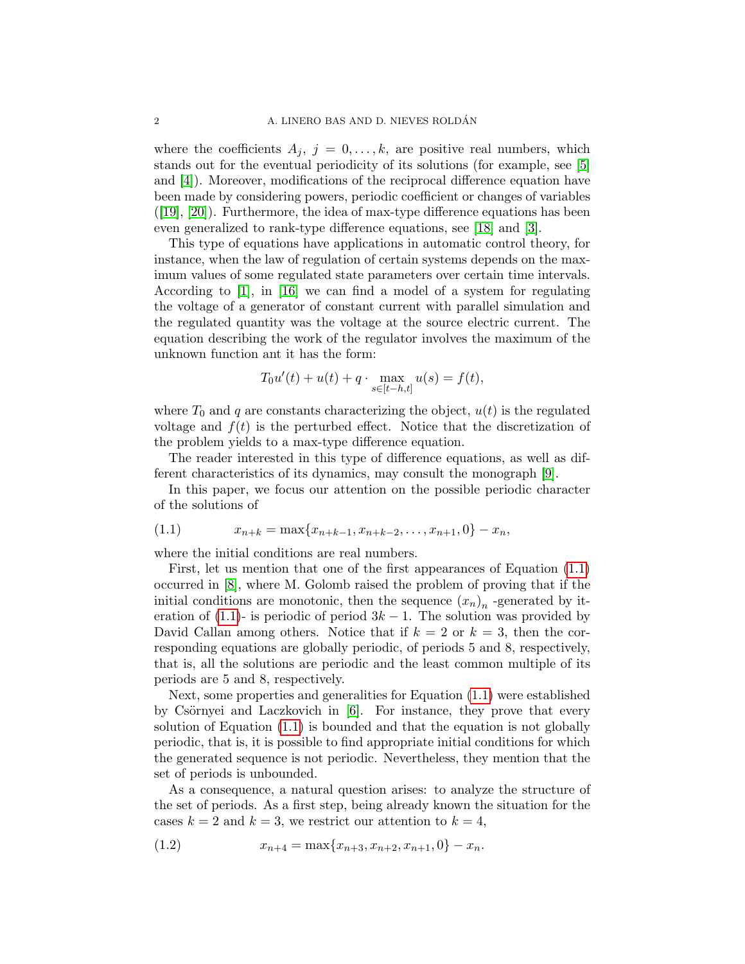where the coefficients  $A_j$ ,  $j = 0, \ldots, k$ , are positive real numbers, which stands out for the eventual periodicity of its solutions (for example, see [\[5\]](#page-38-7) and [\[4\]](#page-38-8)). Moreover, modifications of the reciprocal difference equation have been made by considering powers, periodic coefficient or changes of variables  $([19], [20])$  $([19], [20])$  $([19], [20])$  $([19], [20])$  $([19], [20])$ . Furthermore, the idea of max-type difference equations has been even generalized to rank-type difference equations, see [\[18\]](#page-38-11) and [\[3\]](#page-38-12).

This type of equations have applications in automatic control theory, for instance, when the law of regulation of certain systems depends on the maximum values of some regulated state parameters over certain time intervals. According to [\[1\]](#page-38-13), in [\[16\]](#page-38-14) we can find a model of a system for regulating the voltage of a generator of constant current with parallel simulation and the regulated quantity was the voltage at the source electric current. The equation describing the work of the regulator involves the maximum of the unknown function ant it has the form:

$$
T_0u'(t) + u(t) + q \cdot \max_{s \in [t-h,t]} u(s) = f(t),
$$

where  $T_0$  and q are constants characterizing the object,  $u(t)$  is the regulated voltage and  $f(t)$  is the perturbed effect. Notice that the discretization of the problem yields to a max-type difference equation.

The reader interested in this type of difference equations, as well as different characteristics of its dynamics, may consult the monograph [\[9\]](#page-38-2).

In this paper, we focus our attention on the possible periodic character of the solutions of

<span id="page-1-0"></span>
$$
(1.1) \t x_{n+k} = \max\{x_{n+k-1}, x_{n+k-2}, \dots, x_{n+1}, 0\} - x_n,
$$

where the initial conditions are real numbers.

First, let us mention that one of the first appearances of Equation [\(1.1\)](#page-1-0) occurred in [\[8\]](#page-38-15), where M. Golomb raised the problem of proving that if the initial conditions are monotonic, then the sequence  $(x_n)_n$  -generated by it-eration of [\(1.1\)](#page-1-0)- is periodic of period  $3k - 1$ . The solution was provided by David Callan among others. Notice that if  $k = 2$  or  $k = 3$ , then the corresponding equations are globally periodic, of periods 5 and 8, respectively, that is, all the solutions are periodic and the least common multiple of its periods are 5 and 8, respectively.

Next, some properties and generalities for Equation [\(1.1\)](#page-1-0) were established by Csörnyei and Laczkovich in  $[6]$ . For instance, they prove that every solution of Equation [\(1.1\)](#page-1-0) is bounded and that the equation is not globally periodic, that is, it is possible to find appropriate initial conditions for which the generated sequence is not periodic. Nevertheless, they mention that the set of periods is unbounded.

As a consequence, a natural question arises: to analyze the structure of the set of periods. As a first step, being already known the situation for the cases  $k = 2$  and  $k = 3$ , we restrict our attention to  $k = 4$ ,

<span id="page-1-1"></span>
$$
(1.2) \t\t x_{n+4} = \max\{x_{n+3}, x_{n+2}, x_{n+1}, 0\} - x_n.
$$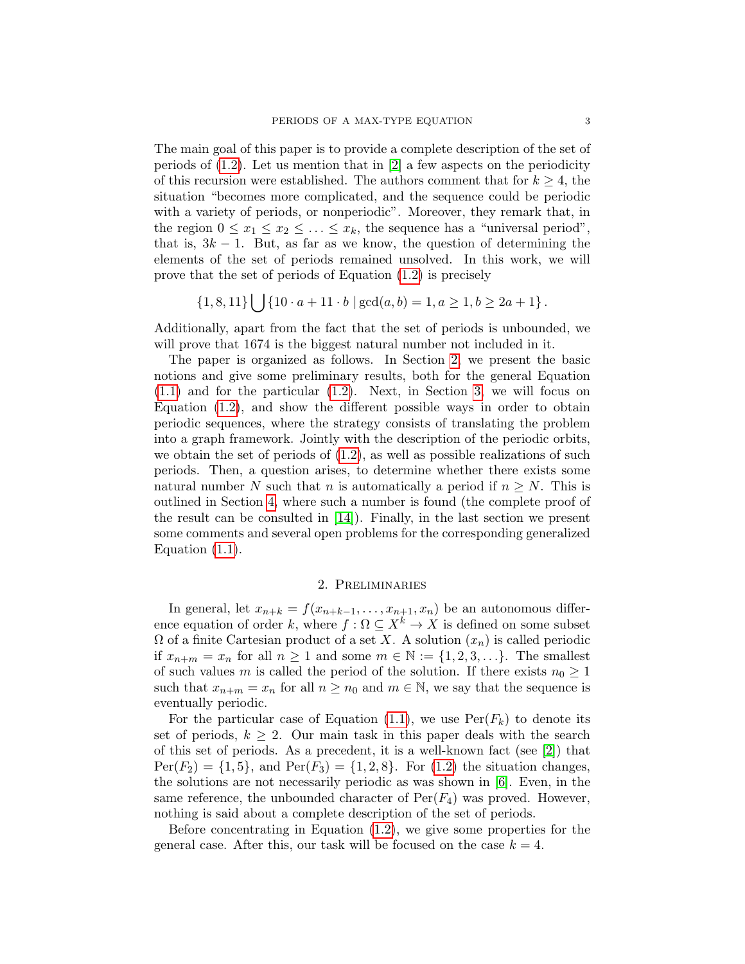The main goal of this paper is to provide a complete description of the set of periods of  $(1.2)$ . Let us mention that in  $[2]$  a few aspects on the periodicity of this recursion were established. The authors comment that for  $k \geq 4$ , the situation "becomes more complicated, and the sequence could be periodic with a variety of periods, or nonperiodic". Moreover, they remark that, in the region  $0 \le x_1 \le x_2 \le \ldots \le x_k$ , the sequence has a "universal period", that is,  $3k - 1$ . But, as far as we know, the question of determining the elements of the set of periods remained unsolved. In this work, we will prove that the set of periods of Equation [\(1.2\)](#page-1-1) is precisely

$$
\{1,8,11\} \bigcup \{10 \cdot a + 11 \cdot b \mid \gcd(a,b) = 1, a \ge 1, b \ge 2a + 1\}.
$$

Additionally, apart from the fact that the set of periods is unbounded, we will prove that 1674 is the biggest natural number not included in it.

The paper is organized as follows. In Section [2,](#page-2-0) we present the basic notions and give some preliminary results, both for the general Equation [\(1.1\)](#page-1-0) and for the particular [\(1.2\)](#page-1-1). Next, in Section [3,](#page-8-0) we will focus on Equation [\(1.2\)](#page-1-1), and show the different possible ways in order to obtain periodic sequences, where the strategy consists of translating the problem into a graph framework. Jointly with the description of the periodic orbits, we obtain the set of periods of  $(1.2)$ , as well as possible realizations of such periods. Then, a question arises, to determine whether there exists some natural number N such that n is automatically a period if  $n \geq N$ . This is outlined in Section [4,](#page-33-0) where such a number is found (the complete proof of the result can be consulted in [\[14\]](#page-38-18)). Finally, in the last section we present some comments and several open problems for the corresponding generalized Equation  $(1.1)$ .

## 2. Preliminaries

<span id="page-2-0"></span>In general, let  $x_{n+k} = f(x_{n+k-1}, \ldots, x_{n+1}, x_n)$  be an autonomous difference equation of order k, where  $f : \Omega \subseteq X^k \to X$  is defined on some subset  $\Omega$  of a finite Cartesian product of a set X. A solution  $(x_n)$  is called periodic if  $x_{n+m} = x_n$  for all  $n \ge 1$  and some  $m \in \mathbb{N} := \{1, 2, 3, \ldots\}$ . The smallest of such values m is called the period of the solution. If there exists  $n_0 \geq 1$ such that  $x_{n+m} = x_n$  for all  $n \geq n_0$  and  $m \in \mathbb{N}$ , we say that the sequence is eventually periodic.

For the particular case of Equation [\(1.1\)](#page-1-0), we use  $\text{Per}(F_k)$  to denote its set of periods,  $k \geq 2$ . Our main task in this paper deals with the search of this set of periods. As a precedent, it is a well-known fact (see [\[2\]](#page-38-17)) that  $Per(F_2) = \{1, 5\}$ , and  $Per(F_3) = \{1, 2, 8\}$ . For [\(1.2\)](#page-1-1) the situation changes, the solutions are not necessarily periodic as was shown in [\[6\]](#page-38-16). Even, in the same reference, the unbounded character of  $Per(F_4)$  was proved. However, nothing is said about a complete description of the set of periods.

Before concentrating in Equation  $(1.2)$ , we give some properties for the general case. After this, our task will be focused on the case  $k = 4$ .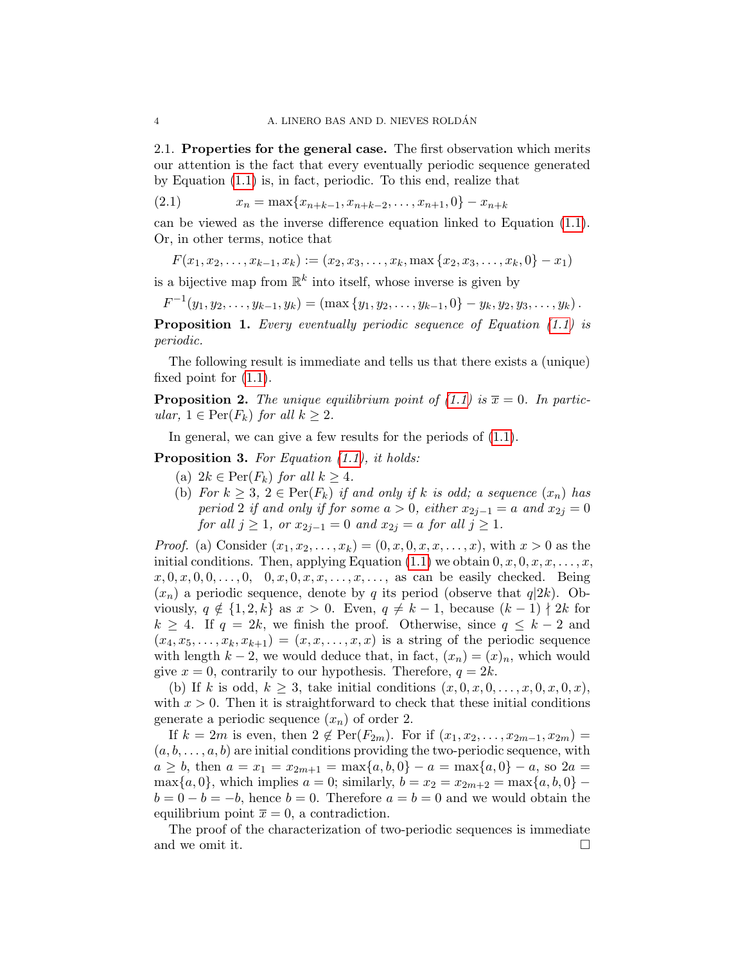2.1. Properties for the general case. The first observation which merits our attention is the fact that every eventually periodic sequence generated by Equation [\(1.1\)](#page-1-0) is, in fact, periodic. To this end, realize that

<span id="page-3-0"></span>(2.1)  $x_n = \max\{x_{n+k-1}, x_{n+k-2}, \ldots, x_{n+1}, 0\} - x_{n+k}$ 

can be viewed as the inverse difference equation linked to Equation [\(1.1\)](#page-1-0). Or, in other terms, notice that

 $F(x_1, x_2, \ldots, x_{k-1}, x_k) := (x_2, x_3, \ldots, x_k, \max\{x_2, x_3, \ldots, x_k, 0\} - x_1)$ 

is a bijective map from  $\mathbb{R}^k$  into itself, whose inverse is given by

 $F^{-1}(y_1, y_2, \ldots, y_{k-1}, y_k) = (\max\{y_1, y_2, \ldots, y_{k-1}, 0\} - y_k, y_2, y_3, \ldots, y_k).$ 

<span id="page-3-1"></span>Proposition 1. Every eventually periodic sequence of Equation [\(1.1\)](#page-1-0) is periodic.

The following result is immediate and tells us that there exists a (unique) fixed point for [\(1.1\)](#page-1-0).

<span id="page-3-3"></span>**Proposition 2.** The unique equilibrium point of [\(1.1\)](#page-1-0) is  $\overline{x} = 0$ . In particular,  $1 \in \text{Per}(F_k)$  for all  $k \geq 2$ .

In general, we can give a few results for the periods of  $(1.1)$ .

<span id="page-3-2"></span>Proposition 3. For Equation  $(1.1)$ , it holds:

- (a)  $2k \in \text{Per}(F_k)$  for all  $k \geq 4$ .
- (b) For  $k \geq 3$ ,  $2 \in \text{Per}(F_k)$  if and only if k is odd; a sequence  $(x_n)$  has period 2 if and only if for some  $a > 0$ , either  $x_{2j-1} = a$  and  $x_{2j} = 0$ *for all j* ≥ 1, or  $x_{2j-1} = 0$  and  $x_{2j} = a$  *for all j* ≥ 1.

*Proof.* (a) Consider  $(x_1, x_2, ..., x_k) = (0, x, 0, x, x, ..., x)$ , with  $x > 0$  as the initial conditions. Then, applying Equation  $(1.1)$  we obtain  $0, x, 0, x, x, \ldots, x$ ,  $x, 0, x, 0, 0, \ldots, 0, 0, x, 0, x, x, \ldots, x, \ldots$ , as can be easily checked. Being  $(x_n)$  a periodic sequence, denote by q its period (observe that  $q|2k$ ). Obviously,  $q \notin \{1, 2, k\}$  as  $x > 0$ . Even,  $q \neq k-1$ , because  $(k-1) \nmid 2k$  for  $k \geq 4$ . If  $q = 2k$ , we finish the proof. Otherwise, since  $q \leq k-2$  and  $(x_4, x_5, \ldots, x_k, x_{k+1}) = (x, x, \ldots, x, x)$  is a string of the periodic sequence with length  $k-2$ , we would deduce that, in fact,  $(x_n) = (x)_n$ , which would give  $x = 0$ , contrarily to our hypothesis. Therefore,  $q = 2k$ .

(b) If k is odd,  $k \geq 3$ , take initial conditions  $(x, 0, x, 0, \ldots, x, 0, x, 0, x)$ , with  $x > 0$ . Then it is straightforward to check that these initial conditions generate a periodic sequence  $(x_n)$  of order 2.

If  $k = 2m$  is even, then  $2 \notin \text{Per}(F_{2m})$ . For if  $(x_1, x_2, \ldots, x_{2m-1}, x_{2m}) =$  $(a, b, \ldots, a, b)$  are initial conditions providing the two-periodic sequence, with  $a \geq b$ , then  $a = x_1 = x_{2m+1} = \max\{a, b, 0\} - a = \max\{a, 0\} - a$ , so  $2a =$ max $\{a, 0\}$ , which implies  $a = 0$ ; similarly,  $b = x_2 = x_{2m+2} = \max\{a, b, 0\}$  $b = 0 - b = -b$ , hence  $b = 0$ . Therefore  $a = b = 0$  and we would obtain the equilibrium point  $\overline{x} = 0$ , a contradiction.

The proof of the characterization of two-periodic sequences is immediate and we omit it.  $\Box$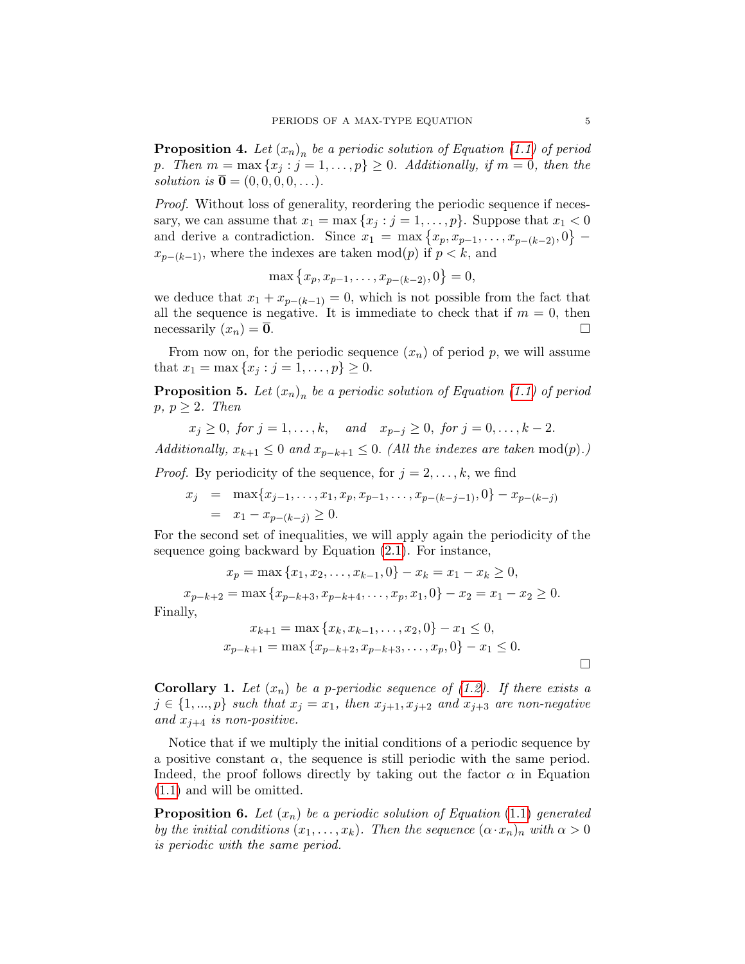<span id="page-4-0"></span>**Proposition 4.** Let  $(x_n)_n$  be a periodic solution of Equation [\(1.1\)](#page-1-0) of period p. Then  $m = \max\{x_j : j = 1, \ldots, p\} \geq 0$ . Additionally, if  $m = 0$ , then the solution is  $\overline{\mathbf{0}} = (0, 0, 0, 0, \ldots).$ 

Proof. Without loss of generality, reordering the periodic sequence if necessary, we can assume that  $x_1 = \max\{x_j : j = 1, \ldots, p\}$ . Suppose that  $x_1 < 0$ and derive a contradiction. Since  $x_1 = \max\{x_p, x_{p-1}, \ldots, x_{p-(k-2)}, 0\}$  –  $x_{p-(k-1)}$ , where the indexes are taken mod $(p)$  if  $p < k$ , and

$$
\max\left\{x_p, x_{p-1}, \dots, x_{p-(k-2)}, 0\right\} = 0,
$$

we deduce that  $x_1 + x_{p-(k-1)} = 0$ , which is not possible from the fact that all the sequence is negative. It is immediate to check that if  $m = 0$ , then necessarily  $(x_n) = \overline{0}$ .

From now on, for the periodic sequence  $(x_n)$  of period p, we will assume that  $x_1 = \max\{x_j : j = 1, \ldots, p\} \geq 0$ .

<span id="page-4-1"></span>**Proposition 5.** Let  $(x_n)_n$  be a periodic solution of Equation [\(1.1\)](#page-1-0) of period  $p, p \geq 2$ . Then

$$
x_j \ge 0
$$
, for  $j = 1, ..., k$ , and  $x_{p-j} \ge 0$ , for  $j = 0, ..., k-2$ .

Additionally,  $x_{k+1} \leq 0$  and  $x_{p-k+1} \leq 0$ . (All the indexes are taken mod(p).)

*Proof.* By periodicity of the sequence, for  $j = 2, \ldots, k$ , we find

$$
x_j = \max\{x_{j-1}, \dots, x_1, x_p, x_{p-1}, \dots, x_{p-(k-j-1)}, 0\} - x_{p-(k-j)} = x_1 - x_{p-(k-j)} \ge 0.
$$

For the second set of inequalities, we will apply again the periodicity of the sequence going backward by Equation [\(2.1\)](#page-3-0). For instance,

$$
x_p = \max\{x_1, x_2, \dots, x_{k-1}, 0\} - x_k = x_1 - x_k \ge 0,
$$
  
\n
$$
x_{p-k+2} = \max\{x_{p-k+3}, x_{p-k+4}, \dots, x_p, x_1, 0\} - x_2 = x_1 - x_2 \ge 0.
$$
  
\n
$$
\text{ly,}
$$
  
\n
$$
x_{k+1} = \max\{x_k, x_{k-1}, \dots, x_2, 0\} - x_1 \le 0,
$$
  
\n
$$
x_{p-k+1} = \max\{x_{p-k+2}, x_{p-k+3}, \dots, x_p, 0\} - x_1 \le 0.
$$

Finall

**Corollary 1.** Let 
$$
(x_n)
$$
 be a *p*-periodic sequence of (1.2). If there exists a  $j \in \{1, ..., p\}$  such that  $x_j = x_1$ , then  $x_{j+1}, x_{j+2}$  and  $x_{j+3}$  are non-negative and  $x_{j+4}$  is non-positive.

Notice that if we multiply the initial conditions of a periodic sequence by a positive constant  $\alpha$ , the sequence is still periodic with the same period. Indeed, the proof follows directly by taking out the factor  $\alpha$  in Equation (1.[1\)](#page-1-0) and will be omitted.

<span id="page-4-2"></span>**Proposition 6.** Let  $(x_n)$  be a periodic solution of Equation (1.[1\)](#page-1-0) generated by the initial conditions  $(x_1, \ldots, x_k)$ . Then the sequence  $(\alpha \cdot x_n)_n$  with  $\alpha > 0$ is periodic with the same period.

 $\Box$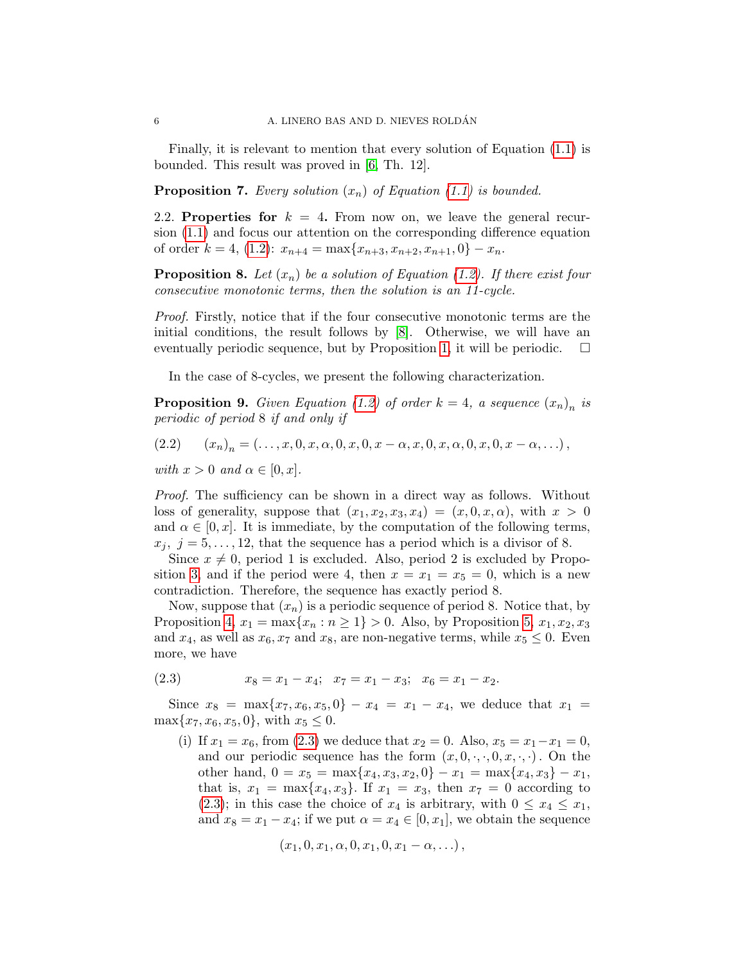Finally, it is relevant to mention that every solution of Equation [\(1.1\)](#page-1-0) is bounded. This result was proved in [\[6,](#page-38-16) Th. 12].

**Proposition 7.** Every solution  $(x_n)$  of Equation [\(1.1\)](#page-1-0) is bounded.

2.2. Properties for  $k = 4$ . From now on, we leave the general recursion [\(1.1\)](#page-1-0) and focus our attention on the corresponding difference equation of order  $k = 4$ , [\(1.2\)](#page-1-1):  $x_{n+4} = \max\{x_{n+3}, x_{n+2}, x_{n+1}, 0\} - x_n$ .

<span id="page-5-2"></span>**Proposition 8.** Let  $(x_n)$  be a solution of Equation [\(1.2\)](#page-1-1). If there exist four consecutive monotonic terms, then the solution is an 11-cycle.

Proof. Firstly, notice that if the four consecutive monotonic terms are the initial conditions, the result follows by [\[8\]](#page-38-15). Otherwise, we will have an eventually periodic sequence, but by Proposition [1,](#page-3-1) it will be periodic.  $\square$ 

In the case of 8-cycles, we present the following characterization.

<span id="page-5-3"></span>**Proposition 9.** Given Equation [\(1.2\)](#page-1-1) of order  $k = 4$ , a sequence  $(x_n)_n$  is periodic of period 8 if and only if

<span id="page-5-1"></span>
$$
(2.2) \t(x_n)_n = (\ldots, x, 0, x, \alpha, 0, x, 0, x - \alpha, x, 0, x, \alpha, 0, x, 0, x - \alpha, \ldots),
$$

with  $x > 0$  and  $\alpha \in [0, x]$ .

Proof. The sufficiency can be shown in a direct way as follows. Without loss of generality, suppose that  $(x_1, x_2, x_3, x_4) = (x, 0, x, \alpha)$ , with  $x > 0$ and  $\alpha \in [0, x]$ . It is immediate, by the computation of the following terms,  $x_j, j = 5, \ldots, 12$ , that the sequence has a period which is a divisor of 8.

Since  $x \neq 0$ , period 1 is excluded. Also, period 2 is excluded by Propo-sition [3,](#page-3-2) and if the period were 4, then  $x = x_1 = x_5 = 0$ , which is a new contradiction. Therefore, the sequence has exactly period 8.

Now, suppose that  $(x_n)$  is a periodic sequence of period 8. Notice that, by Proposition [4,](#page-4-0)  $x_1 = \max\{x_n : n \geq 1\} > 0$ . Also, by Proposition [5,](#page-4-1)  $x_1, x_2, x_3$ and  $x_4$ , as well as  $x_6, x_7$  and  $x_8$ , are non-negative terms, while  $x_5 \leq 0$ . Even more, we have

<span id="page-5-0"></span>
$$
(2.3) \t x_8 = x_1 - x_4; \t x_7 = x_1 - x_3; \t x_6 = x_1 - x_2.
$$

Since  $x_8 = \max\{x_7, x_6, x_5, 0\} - x_4 = x_1 - x_4$ , we deduce that  $x_1 =$  $\max\{x_7, x_6, x_5, 0\}$ , with  $x_5 \leq 0$ .

(i) If  $x_1 = x_6$ , from [\(2.3\)](#page-5-0) we deduce that  $x_2 = 0$ . Also,  $x_5 = x_1 - x_1 = 0$ , and our periodic sequence has the form  $(x, 0, \cdot, \cdot, 0, x, \cdot, \cdot)$ . On the other hand,  $0 = x_5 = \max\{x_4, x_3, x_2, 0\} - x_1 = \max\{x_4, x_3\} - x_1$ , that is,  $x_1 = \max\{x_4, x_3\}$ . If  $x_1 = x_3$ , then  $x_7 = 0$  according to [\(2.3\)](#page-5-0); in this case the choice of  $x_4$  is arbitrary, with  $0 \le x_4 \le x_1$ , and  $x_8 = x_1 - x_4$ ; if we put  $\alpha = x_4 \in [0, x_1]$ , we obtain the sequence

$$
(x_1, 0, x_1, \alpha, 0, x_1, 0, x_1 - \alpha, \ldots),
$$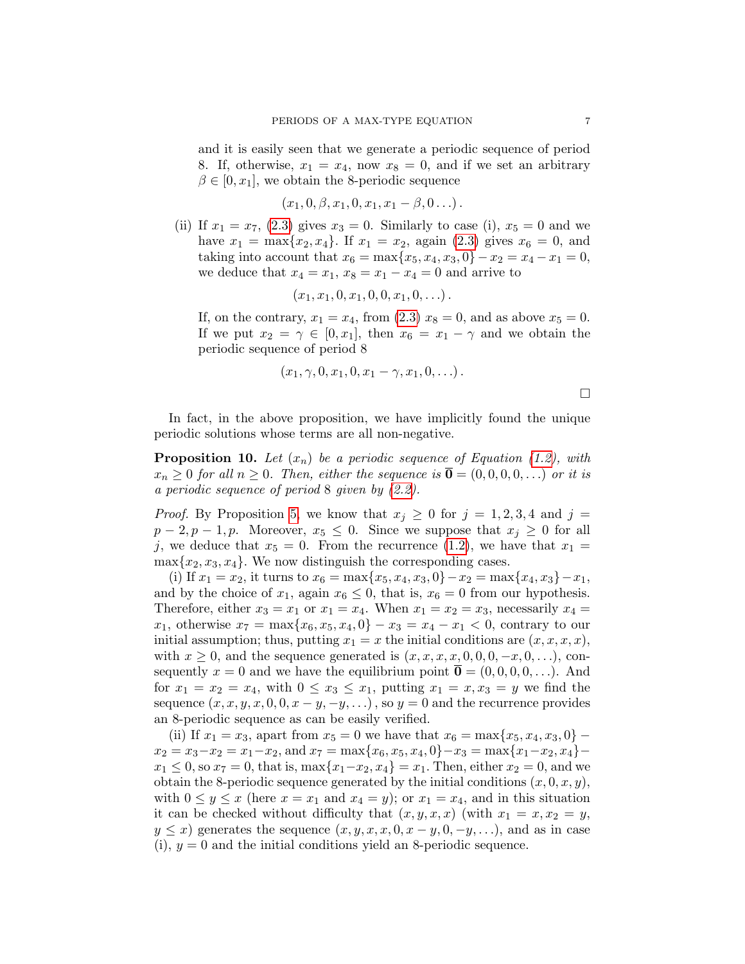and it is easily seen that we generate a periodic sequence of period 8. If, otherwise,  $x_1 = x_4$ , now  $x_8 = 0$ , and if we set an arbitrary  $\beta \in [0, x_1]$ , we obtain the 8-periodic sequence

$$
(x_1, 0, \beta, x_1, 0, x_1, x_1 - \beta, 0 \ldots).
$$

(ii) If  $x_1 = x_7$ , [\(2.3\)](#page-5-0) gives  $x_3 = 0$ . Similarly to case (i),  $x_5 = 0$  and we have  $x_1 = \max\{x_2, x_4\}$ . If  $x_1 = x_2$ , again [\(2.3\)](#page-5-0) gives  $x_6 = 0$ , and taking into account that  $x_6 = \max\{x_5, x_4, x_3, 0\} - x_2 = x_4 - x_1 = 0$ , we deduce that  $x_4 = x_1, x_8 = x_1 - x_4 = 0$  and arrive to

$$
(x_1,x_1,0,x_1,0,0,x_1,0,\ldots).
$$

If, on the contrary,  $x_1 = x_4$ , from [\(2.3\)](#page-5-0)  $x_8 = 0$ , and as above  $x_5 = 0$ . If we put  $x_2 = \gamma \in [0, x_1]$ , then  $x_6 = x_1 - \gamma$  and we obtain the periodic sequence of period 8

$$
(x_1, \gamma, 0, x_1, 0, x_1 - \gamma, x_1, 0, \ldots).
$$

In fact, in the above proposition, we have implicitly found the unique periodic solutions whose terms are all non-negative.

<span id="page-6-0"></span>**Proposition 10.** Let  $(x_n)$  be a periodic sequence of Equation [\(1.2\)](#page-1-1), with  $x_n \geq 0$  for all  $n \geq 0$ . Then, either the sequence is  $\overline{\mathbf{0}} = (0, 0, 0, 0, ...)$  or it is a periodic sequence of period 8 given by [\(2.2\)](#page-5-1).

*Proof.* By Proposition [5,](#page-4-1) we know that  $x_j \geq 0$  for  $j = 1, 2, 3, 4$  and  $j =$  $p-2, p-1, p$ . Moreover,  $x_5 \leq 0$ . Since we suppose that  $x_i \geq 0$  for all j, we deduce that  $x_5 = 0$ . From the recurrence [\(1.2\)](#page-1-1), we have that  $x_1 =$  $\max\{x_2, x_3, x_4\}.$  We now distinguish the corresponding cases.

(i) If  $x_1 = x_2$ , it turns to  $x_6 = \max\{x_5, x_4, x_3, 0\} - x_2 = \max\{x_4, x_3\} - x_1$ , and by the choice of  $x_1$ , again  $x_6 \leq 0$ , that is,  $x_6 = 0$  from our hypothesis. Therefore, either  $x_3 = x_1$  or  $x_1 = x_4$ . When  $x_1 = x_2 = x_3$ , necessarily  $x_4 = x_4$ .  $x_1$ , otherwise  $x_7 = \max\{x_6, x_5, x_4, 0\} - x_3 = x_4 - x_1 < 0$ , contrary to our initial assumption; thus, putting  $x_1 = x$  the initial conditions are  $(x, x, x, x)$ , with  $x \geq 0$ , and the sequence generated is  $(x, x, x, x, 0, 0, 0, -x, 0, \ldots)$ , consequently  $x = 0$  and we have the equilibrium point  $\overline{\mathbf{0}} = (0, 0, 0, 0, \dots)$ . And for  $x_1 = x_2 = x_4$ , with  $0 \le x_3 \le x_1$ , putting  $x_1 = x, x_3 = y$  we find the sequence  $(x, x, y, x, 0, 0, x - y, -y, ...)$ , so  $y = 0$  and the recurrence provides an 8-periodic sequence as can be easily verified.

(ii) If  $x_1 = x_3$ , apart from  $x_5 = 0$  we have that  $x_6 = \max\{x_5, x_4, x_3, 0\}$  –  $x_2 = x_3 - x_2 = x_1 - x_2$ , and  $x_7 = \max\{x_6, x_5, x_4, 0\} - x_3 = \max\{x_1 - x_2, x_4\} - x_4$  $x_1 \leq 0$ , so  $x_7 = 0$ , that is,  $\max\{x_1 - x_2, x_4\} = x_1$ . Then, either  $x_2 = 0$ , and we obtain the 8-periodic sequence generated by the initial conditions  $(x, 0, x, y)$ , with  $0 \le y \le x$  (here  $x = x_1$  and  $x_4 = y$ ); or  $x_1 = x_4$ , and in this situation it can be checked without difficulty that  $(x, y, x, x)$  (with  $x_1 = x, x_2 = y$ ,  $y \leq x$ ) generates the sequence  $(x, y, x, x, 0, x - y, 0, -y, ...)$ , and as in case  $(i)$ ,  $y = 0$  and the initial conditions yield an 8-periodic sequence.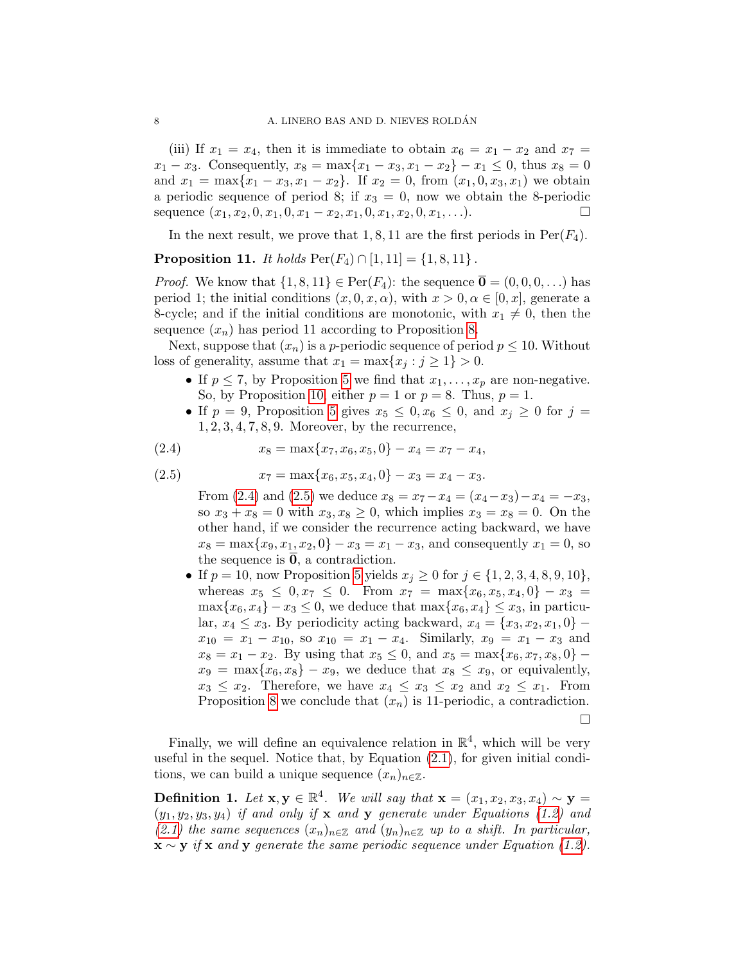(iii) If  $x_1 = x_4$ , then it is immediate to obtain  $x_6 = x_1 - x_2$  and  $x_7 = x_1 - x_2$  $x_1 - x_3$ . Consequently,  $x_8 = \max\{x_1 - x_3, x_1 - x_2\} - x_1 \le 0$ , thus  $x_8 = 0$ and  $x_1 = \max\{x_1 - x_3, x_1 - x_2\}$ . If  $x_2 = 0$ , from  $(x_1, 0, x_3, x_1)$  we obtain a periodic sequence of period 8; if  $x_3 = 0$ , now we obtain the 8-periodic sequence  $(x_1, x_2, 0, x_1, 0, x_1 - x_2, x_1, 0, x_1, x_2, 0, x_1, \ldots)$ .

In the next result, we prove that 1, 8, 11 are the first periods in  $Per(F_4)$ .

<span id="page-7-3"></span>**Proposition 11.** It holds  $Per(F_4) \cap [1, 11] = \{1, 8, 11\}$ .

*Proof.* We know that  $\{1, 8, 11\} \in \text{Per}(F_4)$ : the sequence  $\overline{\mathbf{0}} = (0, 0, 0, \dots)$  has period 1; the initial conditions  $(x, 0, x, \alpha)$ , with  $x > 0, \alpha \in [0, x]$ , generate a 8-cycle; and if the initial conditions are monotonic, with  $x_1 \neq 0$ , then the sequence  $(x_n)$  has period 11 according to Proposition [8.](#page-5-2)

Next, suppose that  $(x_n)$  is a *p*-periodic sequence of period  $p \le 10$ . Without loss of generality, assume that  $x_1 = \max\{x_i : j \ge 1\} > 0$ .

- If  $p \leq 7$ , by Proposition [5](#page-4-1) we find that  $x_1, \ldots, x_p$  are non-negative. So, by Proposition [10,](#page-6-0) either  $p = 1$  or  $p = 8$ . Thus,  $p = 1$ .
- <span id="page-7-0"></span>• If  $p = 9$ , Proposition [5](#page-4-1) gives  $x_5 \leq 0, x_6 \leq 0$ , and  $x_i \geq 0$  for  $j =$ 1, 2, 3, 4, 7, 8, 9. Moreover, by the recurrence,

(2.4) 
$$
x_8 = \max\{x_7, x_6, x_5, 0\} - x_4 = x_7 - x_4,
$$

(2.5) 
$$
x_7 = \max\{x_6, x_5, x_4, 0\} - x_3 = x_4 - x_3.
$$

<span id="page-7-1"></span>From [\(2.4\)](#page-7-0) and [\(2.5\)](#page-7-1) we deduce  $x_8 = x_7 - x_4 = (x_4 - x_3) - x_4 = -x_3$ , so  $x_3 + x_8 = 0$  with  $x_3, x_8 \ge 0$ , which implies  $x_3 = x_8 = 0$ . On the other hand, if we consider the recurrence acting backward, we have  $x_8 = \max\{x_9, x_1, x_2, 0\} - x_3 = x_1 - x_3$ , and consequently  $x_1 = 0$ , so the sequence is  $\overline{0}$ , a contradiction.

• If  $p = 10$ , now Proposition [5](#page-4-1) yields  $x_j \ge 0$  for  $j \in \{1, 2, 3, 4, 8, 9, 10\},$ whereas  $x_5 \leq 0, x_7 \leq 0$ . From  $x_7 = \max\{x_6, x_5, x_4, 0\} - x_3 =$  $\max\{x_6, x_4\} - x_3 \leq 0$ , we deduce that  $\max\{x_6, x_4\} \leq x_3$ , in particular,  $x_4 \leq x_3$ . By periodicity acting backward,  $x_4 = \{x_3, x_2, x_1, 0\}$  –  $x_{10} = x_1 - x_{10}$ , so  $x_{10} = x_1 - x_4$ . Similarly,  $x_9 = x_1 - x_3$  and  $x_8 = x_1 - x_2$ . By using that  $x_5 \leq 0$ , and  $x_5 = \max\{x_6, x_7, x_8, 0\}$  –  $x_9 = \max\{x_6, x_8\} - x_9$ , we deduce that  $x_8 \leq x_9$ , or equivalently,  $x_3 \leq x_2$ . Therefore, we have  $x_4 \leq x_3 \leq x_2$  and  $x_2 \leq x_1$ . From Proposition [8](#page-5-2) we conclude that  $(x_n)$  is 11-periodic, a contradiction.  $\Box$ 

Finally, we will define an equivalence relation in  $\mathbb{R}^4$ , which will be very useful in the sequel. Notice that, by Equation [\(2.1\)](#page-3-0), for given initial conditions, we can build a unique sequence  $(x_n)_{n\in\mathbb{Z}}$ .

<span id="page-7-2"></span>Definition 1. Let  $\mathbf{x}, \mathbf{y} \in \mathbb{R}^4$ . We will say that  $\mathbf{x} = (x_1, x_2, x_3, x_4) \sim \mathbf{y} =$  $(y_1, y_2, y_3, y_4)$  if and only if **x** and **y** generate under Equations [\(1.2\)](#page-1-1) and [\(2.1\)](#page-3-0) the same sequences  $(x_n)_{n\in\mathbb{Z}}$  and  $(y_n)_{n\in\mathbb{Z}}$  up to a shift. In particular,  $\mathbf{x} \sim \mathbf{y}$  if  $\mathbf{x}$  and  $\mathbf{y}$  generate the same periodic sequence under Equation [\(1.2\)](#page-1-1).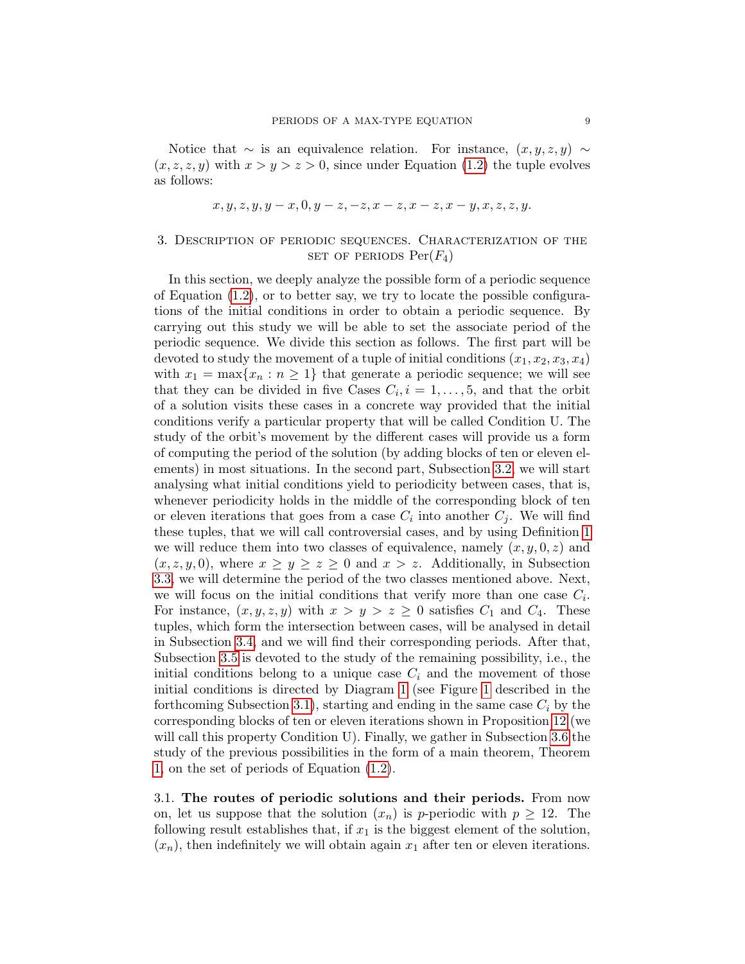Notice that  $\sim$  is an equivalence relation. For instance,  $(x, y, z, y) \sim$  $(x, z, z, y)$  with  $x > y > z > 0$ , since under Equation [\(1.2\)](#page-1-1) the tuple evolves as follows:

$$
x, y, z, y, y - x, 0, y - z, -z, x - z, x - z, x - y, x, z, z, y.
$$

# <span id="page-8-0"></span>3. Description of periodic sequences. Characterization of the SET OF PERIODS  $Per(F_4)$

In this section, we deeply analyze the possible form of a periodic sequence of Equation  $(1.2)$ , or to better say, we try to locate the possible configurations of the initial conditions in order to obtain a periodic sequence. By carrying out this study we will be able to set the associate period of the periodic sequence. We divide this section as follows. The first part will be devoted to study the movement of a tuple of initial conditions  $(x_1, x_2, x_3, x_4)$ with  $x_1 = \max\{x_n : n \geq 1\}$  that generate a periodic sequence; we will see that they can be divided in five Cases  $C_i$ ,  $i = 1, \ldots, 5$ , and that the orbit of a solution visits these cases in a concrete way provided that the initial conditions verify a particular property that will be called Condition U. The study of the orbit's movement by the different cases will provide us a form of computing the period of the solution (by adding blocks of ten or eleven elements) in most situations. In the second part, Subsection [3.2,](#page-12-0) we will start analysing what initial conditions yield to periodicity between cases, that is, whenever periodicity holds in the middle of the corresponding block of ten or eleven iterations that goes from a case  $C_i$  into another  $C_j$ . We will find these tuples, that we will call controversial cases, and by using Definition [1](#page-7-2) we will reduce them into two classes of equivalence, namely  $(x, y, 0, z)$  and  $(x, z, y, 0)$ , where  $x \ge y \ge z \ge 0$  and  $x > z$ . Additionally, in Subsection [3.3,](#page-15-0) we will determine the period of the two classes mentioned above. Next, we will focus on the initial conditions that verify more than one case  $C_i$ . For instance,  $(x, y, z, y)$  with  $x > y > z \geq 0$  satisfies  $C_1$  and  $C_4$ . These tuples, which form the intersection between cases, will be analysed in detail in Subsection [3.4,](#page-23-0) and we will find their corresponding periods. After that, Subsection [3.5](#page-25-0) is devoted to the study of the remaining possibility, i.e., the initial conditions belong to a unique case  $C_i$  and the movement of those initial conditions is directed by Diagram [1](#page-11-0) (see Figure [1](#page-11-0) described in the forthcoming Subsection [3.1\)](#page-8-1), starting and ending in the same case  $C_i$  by the corresponding blocks of ten or eleven iterations shown in Proposition [12](#page-9-0) (we will call this property Condition U). Finally, we gather in Subsection [3.6](#page-32-0) the study of the previous possibilities in the form of a main theorem, Theorem [1,](#page-32-1) on the set of periods of Equation [\(1.2\)](#page-1-1).

<span id="page-8-1"></span>3.1. The routes of periodic solutions and their periods. From now on, let us suppose that the solution  $(x_n)$  is *p*-periodic with  $p \geq 12$ . The following result establishes that, if  $x_1$  is the biggest element of the solution,  $(x_n)$ , then indefinitely we will obtain again  $x_1$  after ten or eleven iterations.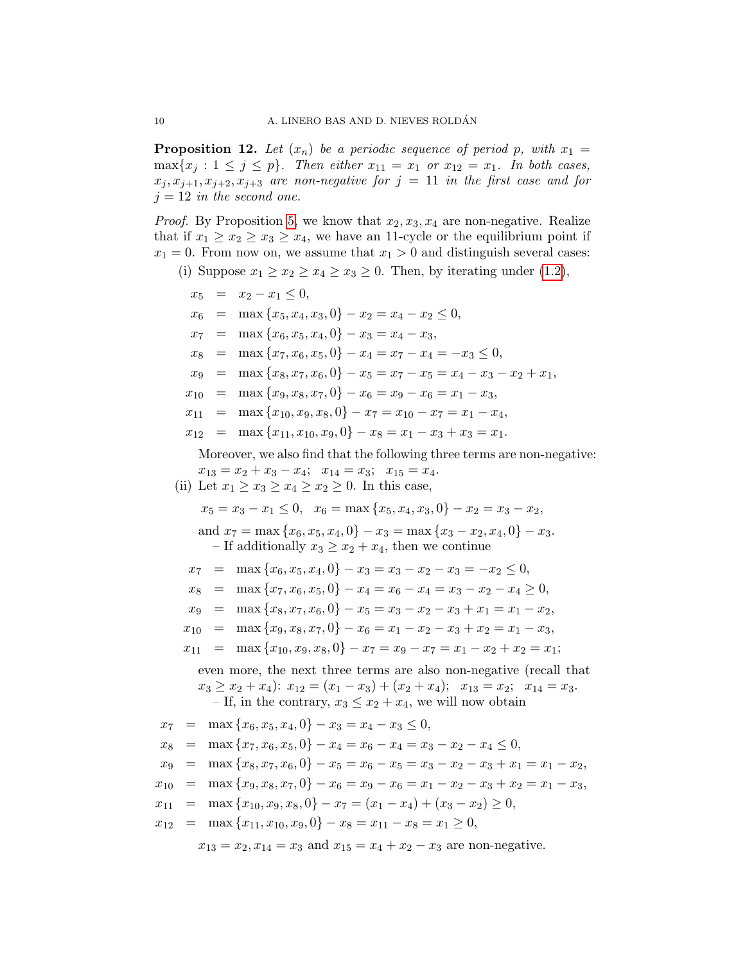<span id="page-9-0"></span>**Proposition 12.** Let  $(x_n)$  be a periodic sequence of period p, with  $x_1 =$  $\max\{x_i : 1 \leq j \leq p\}$ . Then either  $x_{11} = x_1$  or  $x_{12} = x_1$ . In both cases,  $x_j, x_{j+1}, x_{j+2}, x_{j+3}$  are non-negative for  $j = 11$  in the first case and for  $j = 12$  in the second one.

*Proof.* By Proposition [5,](#page-4-1) we know that  $x_2, x_3, x_4$  are non-negative. Realize that if  $x_1 \ge x_2 \ge x_3 \ge x_4$ , we have an 11-cycle or the equilibrium point if  $x_1 = 0$ . From now on, we assume that  $x_1 > 0$  and distinguish several cases:

(i) Suppose  $x_1 \ge x_2 \ge x_4 \ge x_3 \ge 0$ . Then, by iterating under [\(1.2\)](#page-1-1),

 $x_5 = x_2 - x_1 \leq 0$ ,  $x_6 = \max\{x_5, x_4, x_3, 0\} - x_2 = x_4 - x_2 \leq 0,$  $x_7 = \max\{x_6, x_5, x_4, 0\} - x_3 = x_4 - x_3,$  $x_8 = \max\{x_7, x_6, x_5, 0\} - x_4 = x_7 - x_4 = -x_3 \leq 0,$  $x_9 = \max\{x_8, x_7, x_6, 0\} - x_5 = x_7 - x_5 = x_4 - x_3 - x_2 + x_1,$  $x_{10} = \max\{x_9, x_8, x_7, 0\} - x_6 = x_9 - x_6 = x_1 - x_3,$  $x_{11} = \max\{x_{10}, x_9, x_8, 0\} - x_7 = x_{10} - x_7 = x_1 - x_4,$  $x_{12} = \max\{x_{11}, x_{10}, x_9, 0\} - x_8 = x_1 - x_3 + x_3 = x_1.$ Moreover, we also find that the following three terms are non-negative:

$$
x_{13} = x_2 + x_3 - x_4;
$$
  $x_{14} = x_3;$   $x_{15} = x_4.$   
(ii) Let  $x_1 \ge x_3 \ge x_4 \ge x_2 \ge 0$ . In this case,

$$
x_5 = x_3 - x_1 \le 0, \quad x_6 = \max\{x_5, x_4, x_3, 0\} - x_2 = x_3 - x_2,
$$

and  $x_7 = \max\{x_6, x_5, x_4, 0\} - x_3 = \max\{x_3 - x_2, x_4, 0\} - x_3.$ – If additionally  $x_3 \ge x_2 + x_4$ , then we continue

$$
x_7 = \max\{x_6, x_5, x_4, 0\} - x_3 = x_3 - x_2 - x_3 = -x_2 \le 0,
$$

$$
x_8 = \max\{x_7, x_6, x_5, 0\} - x_4 = x_6 - x_4 = x_3 - x_2 - x_4 \ge 0,
$$

$$
x_9 = \max\{x_8, x_7, x_6, 0\} - x_5 = x_3 - x_2 - x_3 + x_1 = x_1 - x_2,
$$

$$
x_{10} = \max\{x_9, x_8, x_7, 0\} - x_6 = x_1 - x_2 - x_3 + x_2 = x_1 - x_3,
$$

$$
x_{11} = \max\{x_{10}, x_9, x_8, 0\} - x_7 = x_9 - x_7 = x_1 - x_2 + x_2 = x_1;
$$

even more, the next three terms are also non-negative (recall that  $x_3 \ge x_2 + x_4$ :  $x_{12} = (x_1 - x_3) + (x_2 + x_4)$ ;  $x_{13} = x_2$ ;  $x_{14} = x_3$ . – If, in the contrary,  $x_3 \leq x_2 + x_4$ , we will now obtain

$$
x_7 = \max\{x_6, x_5, x_4, 0\} - x_3 = x_4 - x_3 \le 0,
$$

$$
x_8 = \max\{x_7, x_6, x_5, 0\} - x_4 = x_6 - x_4 = x_3 - x_2 - x_4 \le 0,
$$

$$
x_9 = \max\{x_8, x_7, x_6, 0\} - x_5 = x_6 - x_5 = x_3 - x_2 - x_3 + x_1 = x_1 - x_2,
$$

$$
x_{10} = \max\{x_9, x_8, x_7, 0\} - x_6 = x_9 - x_6 = x_1 - x_2 - x_3 + x_2 = x_1 - x_3,
$$

$$
x_{11} = \max\{x_{10}, x_9, x_8, 0\} - x_7 = (x_1 - x_4) + (x_3 - x_2) \ge 0,
$$

$$
x_{12} = \max\{x_{11}, x_{10}, x_9, 0\} - x_8 = x_{11} - x_8 = x_1 \ge 0,
$$

 $x_{13} = x_2, x_{14} = x_3$  and  $x_{15} = x_4 + x_2 - x_3$  are non-negative.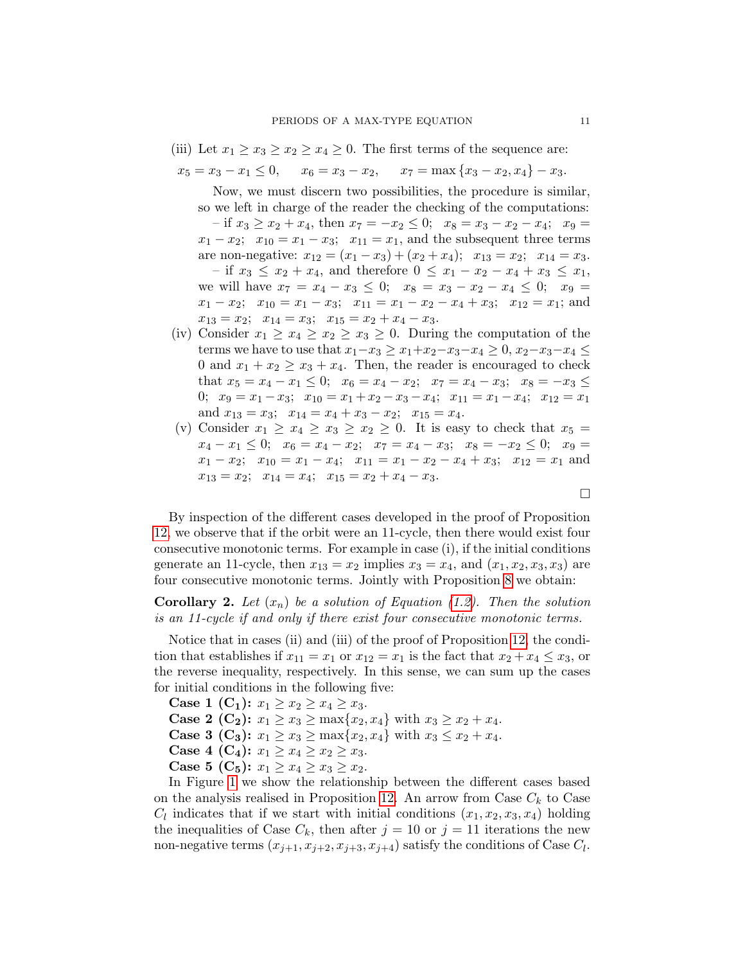(iii) Let  $x_1 \ge x_3 \ge x_2 \ge x_4 \ge 0$ . The first terms of the sequence are:

$$
x_5 = x_3 - x_1 \le 0
$$
,  $x_6 = x_3 - x_2$ ,  $x_7 = \max\{x_3 - x_2, x_4\} - x_3$ .

Now, we must discern two possibilities, the procedure is similar, so we left in charge of the reader the checking of the computations:  $-$  if  $x_3 \ge x_2 + x_4$ , then  $x_7 = -x_2 \le 0$ ;  $x_8 = x_3 - x_2 - x_4$ ;  $x_9 =$  $x_1 - x_2$ ;  $x_{10} = x_1 - x_3$ ;  $x_{11} = x_1$ , and the subsequent three terms are non-negative:  $x_{12} = (x_1 - x_3) + (x_2 + x_4); \quad x_{13} = x_2; \quad x_{14} = x_3.$ – if  $x_3 \leq x_2 + x_4$ , and therefore  $0 \leq x_1 - x_2 - x_4 + x_3 \leq x_1$ , we will have  $x_7 = x_4 - x_3 \leq 0$ ;  $x_8 = x_3 - x_2 - x_4 \leq 0$ ;  $x_9 =$  $x_1 - x_2$ ;  $x_{10} = x_1 - x_3$ ;  $x_{11} = x_1 - x_2 - x_4 + x_3$ ;  $x_{12} = x_1$ ; and  $x_{13} = x_2$ ;  $x_{14} = x_3$ ;  $x_{15} = x_2 + x_4 - x_3$ .

- (iv) Consider  $x_1 \ge x_4 \ge x_2 \ge x_3 \ge 0$ . During the computation of the terms we have to use that  $x_1-x_3 \ge x_1+x_2-x_3-x_4 \ge 0$ ,  $x_2-x_3-x_4 \le$ 0 and  $x_1 + x_2 \ge x_3 + x_4$ . Then, the reader is encouraged to check that  $x_5 = x_4 - x_1 \leq 0$ ;  $x_6 = x_4 - x_2$ ;  $x_7 = x_4 - x_3$ ;  $x_8 = -x_3 \leq$ 0;  $x_9 = x_1 - x_3$ ;  $x_{10} = x_1 + x_2 - x_3 - x_4$ ;  $x_{11} = x_1 - x_4$ ;  $x_{12} = x_1$ and  $x_{13} = x_3$ ;  $x_{14} = x_4 + x_3 - x_2$ ;  $x_{15} = x_4$ .
- (v) Consider  $x_1 \ge x_4 \ge x_3 \ge x_2 \ge 0$ . It is easy to check that  $x_5 =$  $x_4 - x_1 \leq 0; \quad x_6 = x_4 - x_2; \quad x_7 = x_4 - x_3; \quad x_8 = -x_2 \leq 0; \quad x_9 =$  $x_1 - x_2$ ;  $x_{10} = x_1 - x_4$ ;  $x_{11} = x_1 - x_2 - x_4 + x_3$ ;  $x_{12} = x_1$  and  $x_{13} = x_2$ ;  $x_{14} = x_4$ ;  $x_{15} = x_2 + x_4 - x_3$ .

By inspection of the different cases developed in the proof of Proposition [12,](#page-9-0) we observe that if the orbit were an 11-cycle, then there would exist four consecutive monotonic terms. For example in case (i), if the initial conditions generate an 11-cycle, then  $x_{13} = x_2$  implies  $x_3 = x_4$ , and  $(x_1, x_2, x_3, x_3)$  are four consecutive monotonic terms. Jointly with Proposition [8](#page-5-2) we obtain:

**Corollary 2.** Let  $(x_n)$  be a solution of Equation [\(1.2\)](#page-1-1). Then the solution is an 11-cycle if and only if there exist four consecutive monotonic terms.

Notice that in cases (ii) and (iii) of the proof of Proposition [12,](#page-9-0) the condition that establishes if  $x_{11} = x_1$  or  $x_{12} = x_1$  is the fact that  $x_2 + x_4 \le x_3$ , or the reverse inequality, respectively. In this sense, we can sum up the cases for initial conditions in the following five:

**Case 1 (C<sub>1</sub>):**  $x_1 \ge x_2 \ge x_4 \ge x_3$ .

**Case 2 (C<sub>2</sub>):**  $x_1 \ge x_3 \ge \max\{x_2, x_4\}$  with  $x_3 \ge x_2 + x_4$ .

**Case 3 (C<sub>3</sub>):**  $x_1 \ge x_3 \ge \max\{x_2, x_4\}$  with  $x_3 \le x_2 + x_4$ .

Case 4 (C<sub>4</sub>):  $x_1 \ge x_4 \ge x_2 \ge x_3$ .

Case 5 (C<sub>5</sub>):  $x_1 \ge x_4 \ge x_3 \ge x_2$ .

In Figure [1](#page-11-0) we show the relationship between the different cases based on the analysis realised in Proposition [12.](#page-9-0) An arrow from Case  $C_k$  to Case  $C_l$  indicates that if we start with initial conditions  $(x_1, x_2, x_3, x_4)$  holding the inequalities of Case  $C_k$ , then after  $j = 10$  or  $j = 11$  iterations the new non-negative terms  $(x_{j+1}, x_{j+2}, x_{j+3}, x_{j+4})$  satisfy the conditions of Case  $C_l$ .

 $\Box$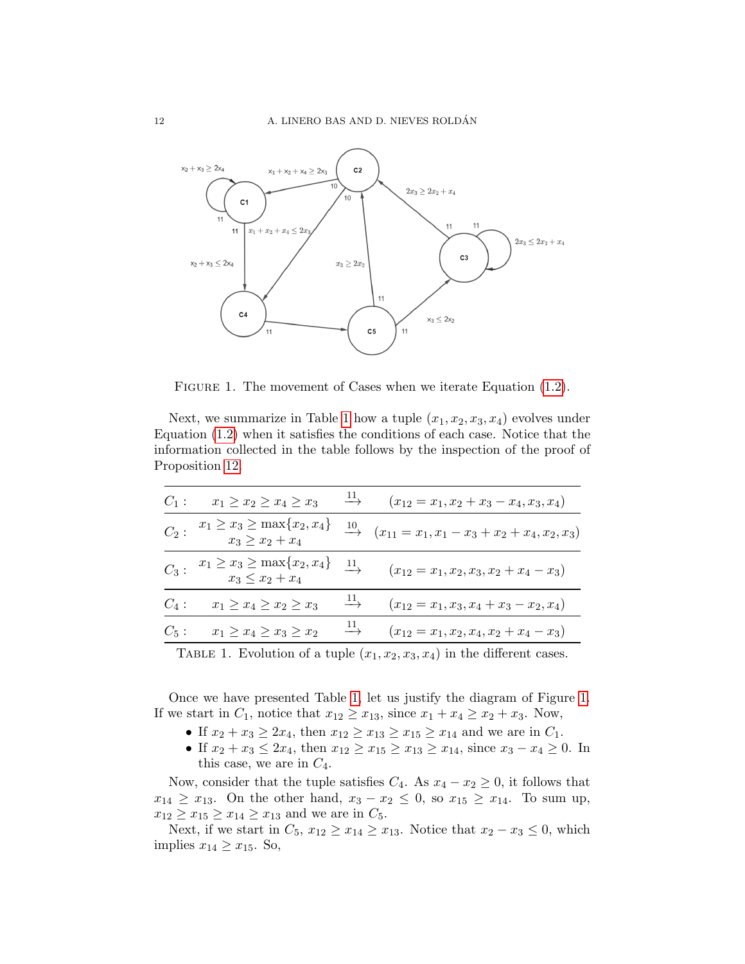

<span id="page-11-0"></span>FIGURE 1. The movement of Cases when we iterate Equation  $(1.2)$ .

Next, we summarize in Table [1](#page-11-1) how a tuple  $(x_1, x_2, x_3, x_4)$  evolves under Equation [\(1.2\)](#page-1-1) when it satisfies the conditions of each case. Notice that the information collected in the table follows by the inspection of the proof of Proposition [12.](#page-9-0)

| $C_1$ : | $x_1 \geq x_2 \geq x_4 \geq x_3$                                                                                | $\longrightarrow$                | $(x_{12}=x_1, x_2+x_3-x_4, x_3, x_4)$                                |
|---------|-----------------------------------------------------------------------------------------------------------------|----------------------------------|----------------------------------------------------------------------|
|         | $x_1 \ge x_3 \ge \max\{x_2, x_4\}$<br>$x_3 \ge x_2 + x_4$                                                       |                                  | $\xrightarrow{10}$ $(x_{11} = x_1, x_1 - x_3 + x_2 + x_4, x_2, x_3)$ |
|         | $x_1 \ge x_3 \ge \max\{x_2, x_4\}$<br>$x_3 \le x_2 + x_4$                                                       | $\stackrel{11}{\longrightarrow}$ | $(x_{12}=x_1, x_2, x_3, x_2+x_4-x_3)$                                |
| $C_4$ : | $x_1 \geq x_4 \geq x_2 \geq x_3 \longrightarrow$                                                                |                                  | $(x_{12}=x_1, x_3, x_4+x_3-x_2, x_4)$                                |
| $C_5$ : | $x_1 \geq x_4 \geq x_3 \geq x_2 \longrightarrow \frac{11}{x_2}$                                                 |                                  | $(x_{12}=x_1, x_2, x_4, x_2+x_4-x_3)$                                |
|         | the contract of the contract of the contract of the contract of the contract of the contract of the contract of |                                  |                                                                      |

<span id="page-11-1"></span>TABLE 1. Evolution of a tuple  $(x_1, x_2, x_3, x_4)$  in the different cases.

Once we have presented Table [1,](#page-11-1) let us justify the diagram of Figure [1.](#page-11-0) If we start in  $C_1$ , notice that  $x_{12} \ge x_{13}$ , since  $x_1 + x_4 \ge x_2 + x_3$ . Now,

- If  $x_2 + x_3 \ge 2x_4$ , then  $x_{12} \ge x_{13} \ge x_{15} \ge x_{14}$  and we are in  $C_1$ .
- If  $x_2 + x_3 \leq 2x_4$ , then  $x_{12} \geq x_{15} \geq x_{13} \geq x_{14}$ , since  $x_3 x_4 \geq 0$ . In this case, we are in  $C_4$ .

Now, consider that the tuple satisfies  $C_4$ . As  $x_4 - x_2 \geq 0$ , it follows that  $x_{14} \geq x_{13}$ . On the other hand,  $x_3 - x_2 \leq 0$ , so  $x_{15} \geq x_{14}$ . To sum up,  $x_{12} \ge x_{15} \ge x_{14} \ge x_{13}$  and we are in  $C_5$ .

Next, if we start in  $C_5$ ,  $x_{12} \ge x_{14} \ge x_{13}$ . Notice that  $x_2 - x_3 \le 0$ , which implies  $x_{14} \geq x_{15}$ . So,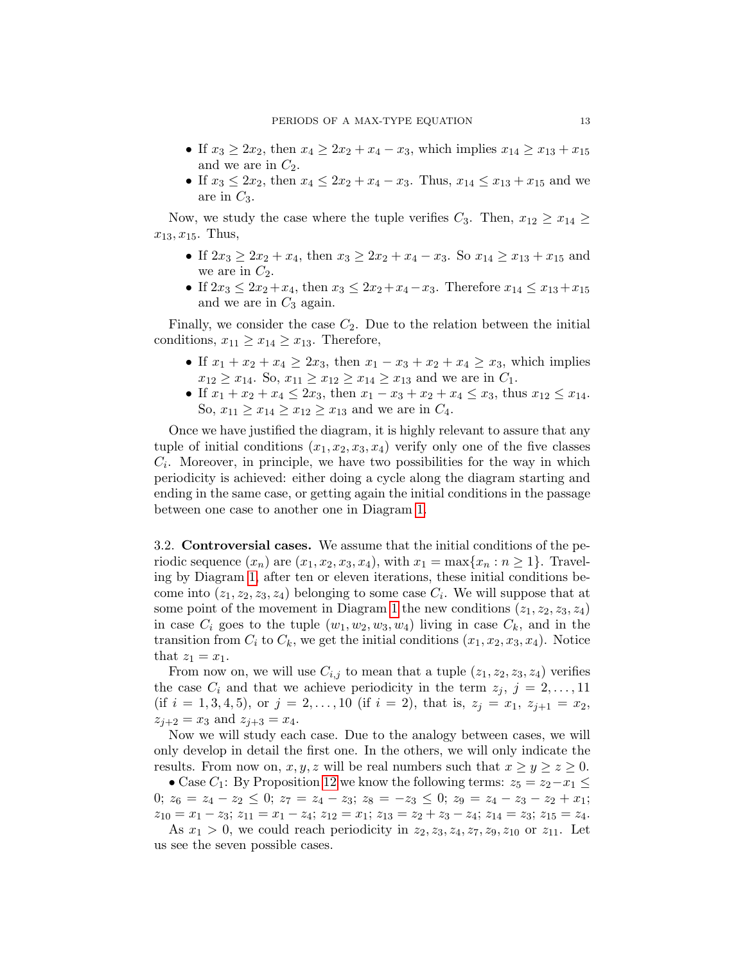- If  $x_3 \ge 2x_2$ , then  $x_4 \ge 2x_2 + x_4 x_3$ , which implies  $x_{14} \ge x_{13} + x_{15}$ and we are in  $C_2$ .
- If  $x_3 \leq 2x_2$ , then  $x_4 \leq 2x_2 + x_4 x_3$ . Thus,  $x_{14} \leq x_{13} + x_{15}$  and we are in  $C_3$ .

Now, we study the case where the tuple verifies  $C_3$ . Then,  $x_{12} \ge x_{14} \ge$  $x_{13}, x_{15}$ . Thus,

- If  $2x_3 \geq 2x_2 + x_4$ , then  $x_3 \geq 2x_2 + x_4 x_3$ . So  $x_{14} \geq x_{13} + x_{15}$  and we are in  $C_2$ .
- If  $2x_3 \leq 2x_2+x_4$ , then  $x_3 \leq 2x_2+x_4-x_3$ . Therefore  $x_{14} \leq x_{13}+x_{15}$ and we are in  $C_3$  again.

Finally, we consider the case  $C_2$ . Due to the relation between the initial conditions,  $x_{11} \ge x_{14} \ge x_{13}$ . Therefore,

- If  $x_1 + x_2 + x_4 \geq 2x_3$ , then  $x_1 x_3 + x_2 + x_4 \geq x_3$ , which implies  $x_{12} \ge x_{14}$ . So,  $x_{11} \ge x_{12} \ge x_{14} \ge x_{13}$  and we are in  $C_1$ .
- If  $x_1 + x_2 + x_4 \leq 2x_3$ , then  $x_1 x_3 + x_2 + x_4 \leq x_3$ , thus  $x_{12} \leq x_{14}$ . So,  $x_{11} \ge x_{14} \ge x_{12} \ge x_{13}$  and we are in  $C_4$ .

Once we have justified the diagram, it is highly relevant to assure that any tuple of initial conditions  $(x_1, x_2, x_3, x_4)$  verify only one of the five classes  $C_i$ . Moreover, in principle, we have two possibilities for the way in which periodicity is achieved: either doing a cycle along the diagram starting and ending in the same case, or getting again the initial conditions in the passage between one case to another one in Diagram [1.](#page-11-0)

<span id="page-12-0"></span>3.2. Controversial cases. We assume that the initial conditions of the periodic sequence  $(x_n)$  are  $(x_1, x_2, x_3, x_4)$ , with  $x_1 = \max\{x_n : n \geq 1\}$ . Traveling by Diagram [1,](#page-11-0) after ten or eleven iterations, these initial conditions become into  $(z_1, z_2, z_3, z_4)$  belonging to some case  $C_i$ . We will suppose that at some point of the movement in Diagram [1](#page-11-0) the new conditions  $(z_1, z_2, z_3, z_4)$ in case  $C_i$  goes to the tuple  $(w_1, w_2, w_3, w_4)$  living in case  $C_k$ , and in the transition from  $C_i$  to  $C_k$ , we get the initial conditions  $(x_1, x_2, x_3, x_4)$ . Notice that  $z_1 = x_1$ .

From now on, we will use  $C_{i,j}$  to mean that a tuple  $(z_1, z_2, z_3, z_4)$  verifies the case  $C_i$  and that we achieve periodicity in the term  $z_j, j = 2, \ldots, 11$ (if  $i = 1, 3, 4, 5$ ), or  $j = 2, ..., 10$  (if  $i = 2$ ), that is,  $z_j = x_1, z_{j+1} = x_2$ ,  $z_{j+2} = x_3$  and  $z_{j+3} = x_4$ .

Now we will study each case. Due to the analogy between cases, we will only develop in detail the first one. In the others, we will only indicate the results. From now on, x, y, z will be real numbers such that  $x \ge y \ge z \ge 0$ .

• Case  $C_1$ : By Proposition [12](#page-9-0) we know the following terms:  $z_5 = z_2 - x_1 \leq$ 0;  $z_6 = z_4 - z_2 \le 0$ ;  $z_7 = z_4 - z_3$ ;  $z_8 = -z_3 \le 0$ ;  $z_9 = z_4 - z_3 - z_2 + x_1$ ;  $z_{10} = x_1 - z_3$ ;  $z_{11} = x_1 - z_4$ ;  $z_{12} = x_1$ ;  $z_{13} = z_2 + z_3 - z_4$ ;  $z_{14} = z_3$ ;  $z_{15} = z_4$ .

As  $x_1 > 0$ , we could reach periodicity in  $z_2, z_3, z_4, z_7, z_9, z_{10}$  or  $z_{11}$ . Let us see the seven possible cases.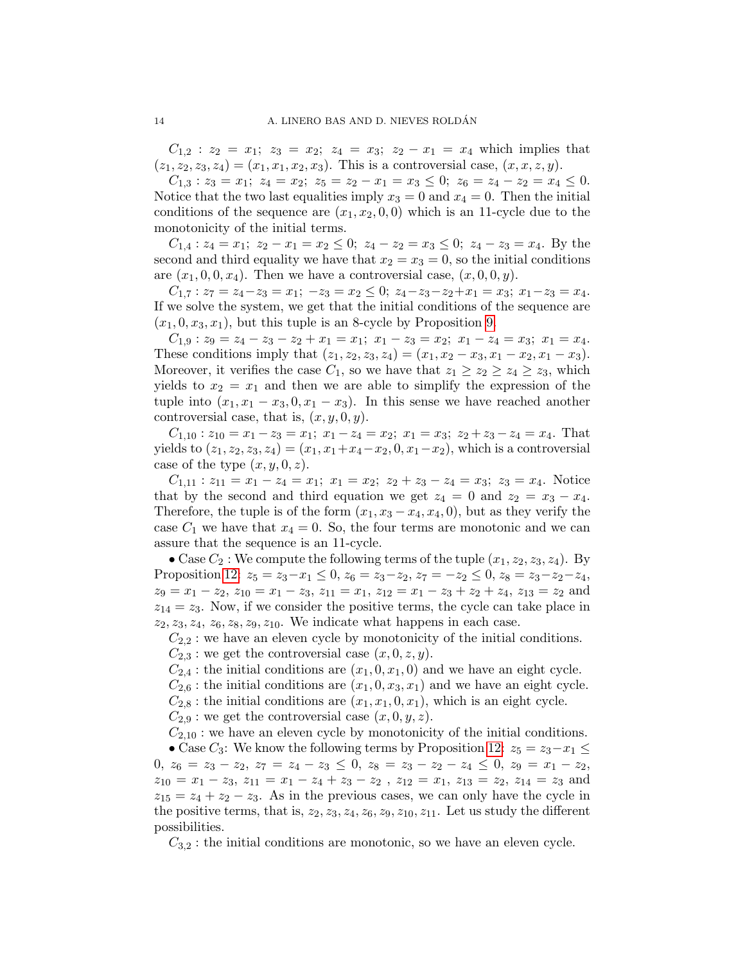$C_{1,2}$  :  $z_2 = x_1$ ;  $z_3 = x_2$ ;  $z_4 = x_3$ ;  $z_2 - x_1 = x_4$  which implies that  $(z_1, z_2, z_3, z_4) = (x_1, x_1, x_2, x_3)$ . This is a controversial case,  $(x, x, z, y)$ .

 $C_{1,3}: z_3 = x_1; z_4 = x_2; z_5 = z_2 - x_1 = x_3 \leq 0; z_6 = z_4 - z_2 = x_4 \leq 0.$ Notice that the two last equalities imply  $x_3 = 0$  and  $x_4 = 0$ . Then the initial conditions of the sequence are  $(x_1, x_2, 0, 0)$  which is an 11-cycle due to the monotonicity of the initial terms.

 $C_{1,4}: z_4 = x_1; z_2 - x_1 = x_2 \leq 0; z_4 - z_2 = x_3 \leq 0; z_4 - z_3 = x_4.$  By the second and third equality we have that  $x_2 = x_3 = 0$ , so the initial conditions are  $(x_1, 0, 0, x_4)$ . Then we have a controversial case,  $(x, 0, 0, y)$ .

 $C_{1,7}: z_7 = z_4 - z_3 = x_1; -z_3 = x_2 \leq 0; z_4 - z_3 - z_2 + x_1 = x_3; x_1 - z_3 = x_4.$ If we solve the system, we get that the initial conditions of the sequence are  $(x_1, 0, x_3, x_1)$ , but this tuple is an 8-cycle by Proposition [9.](#page-5-3)

 $C_{1,9}$ :  $z_9 = z_4 - z_3 - z_2 + x_1 = x_1; x_1 - z_3 = x_2; x_1 - z_4 = x_3; x_1 = x_4.$ These conditions imply that  $(z_1, z_2, z_3, z_4) = (x_1, x_2 - x_3, x_1 - x_2, x_1 - x_3).$ Moreover, it verifies the case  $C_1$ , so we have that  $z_1 \geq z_2 \geq z_4 \geq z_3$ , which yields to  $x_2 = x_1$  and then we are able to simplify the expression of the tuple into  $(x_1, x_1 - x_3, 0, x_1 - x_3)$ . In this sense we have reached another controversial case, that is,  $(x, y, 0, y)$ .

 $C_{1,10}$ :  $z_{10} = x_1 - z_3 = x_1$ ;  $x_1 - z_4 = x_2$ ;  $x_1 = x_3$ ;  $z_2 + z_3 - z_4 = x_4$ . That yields to  $(z_1, z_2, z_3, z_4) = (x_1, x_1+x_4-x_2, 0, x_1-x_2)$ , which is a controversial case of the type  $(x, y, 0, z)$ .

 $C_{1,11}$ :  $z_{11} = x_1 - z_4 = x_1$ ;  $x_1 = x_2$ ;  $z_2 + z_3 - z_4 = x_3$ ;  $z_3 = x_4$ . Notice that by the second and third equation we get  $z_4 = 0$  and  $z_2 = x_3 - x_4$ . Therefore, the tuple is of the form  $(x_1, x_3 - x_4, x_4, 0)$ , but as they verify the case  $C_1$  we have that  $x_4 = 0$ . So, the four terms are monotonic and we can assure that the sequence is an 11-cycle.

• Case  $C_2$ : We compute the following terms of the tuple  $(x_1, z_2, z_3, z_4)$ . By Proposition [12:](#page-9-0)  $z_5 = z_3 - x_1 \leq 0$ ,  $z_6 = z_3 - z_2$ ,  $z_7 = -z_2 \leq 0$ ,  $z_8 = z_3 - z_2 - z_4$ ,  $z_9 = x_1 - z_2, z_{10} = x_1 - z_3, z_{11} = x_1, z_{12} = x_1 - z_3 + z_2 + z_4, z_{13} = z_2$  and  $z_{14} = z_3$ . Now, if we consider the positive terms, the cycle can take place in  $z_2, z_3, z_4, z_6, z_8, z_9, z_{10}$ . We indicate what happens in each case.

 $C_{2,2}$ : we have an eleven cycle by monotonicity of the initial conditions.

 $C_{2,3}$ : we get the controversial case  $(x, 0, z, y)$ .

 $C_{2,4}$ : the initial conditions are  $(x_1, 0, x_1, 0)$  and we have an eight cycle.

 $C_{2,6}$ : the initial conditions are  $(x_1, 0, x_3, x_1)$  and we have an eight cycle.

 $C_{2,8}$ : the initial conditions are  $(x_1, x_1, 0, x_1)$ , which is an eight cycle.

 $C_{2,9}$ : we get the controversial case  $(x, 0, y, z)$ .

 $C_{2,10}$ : we have an eleven cycle by monotonicity of the initial conditions.

• Case  $C_3$ : We know the following terms by Proposition [12:](#page-9-0)  $z_5 = z_3 - x_1 \leq$ 0,  $z_6 = z_3 - z_2$ ,  $z_7 = z_4 - z_3 \le 0$ ,  $z_8 = z_3 - z_2 - z_4 \le 0$ ,  $z_9 = x_1 - z_2$ ,  $z_{10} = x_1 - z_3, z_{11} = x_1 - z_4 + z_3 - z_2, z_{12} = x_1, z_{13} = z_2, z_{14} = z_3$  and  $z_{15} = z_4 + z_2 - z_3$ . As in the previous cases, we can only have the cycle in the positive terms, that is,  $z_2$ ,  $z_3$ ,  $z_4$ ,  $z_6$ ,  $z_9$ ,  $z_{10}$ ,  $z_{11}$ . Let us study the different possibilities.

 $C_{3,2}$ : the initial conditions are monotonic, so we have an eleven cycle.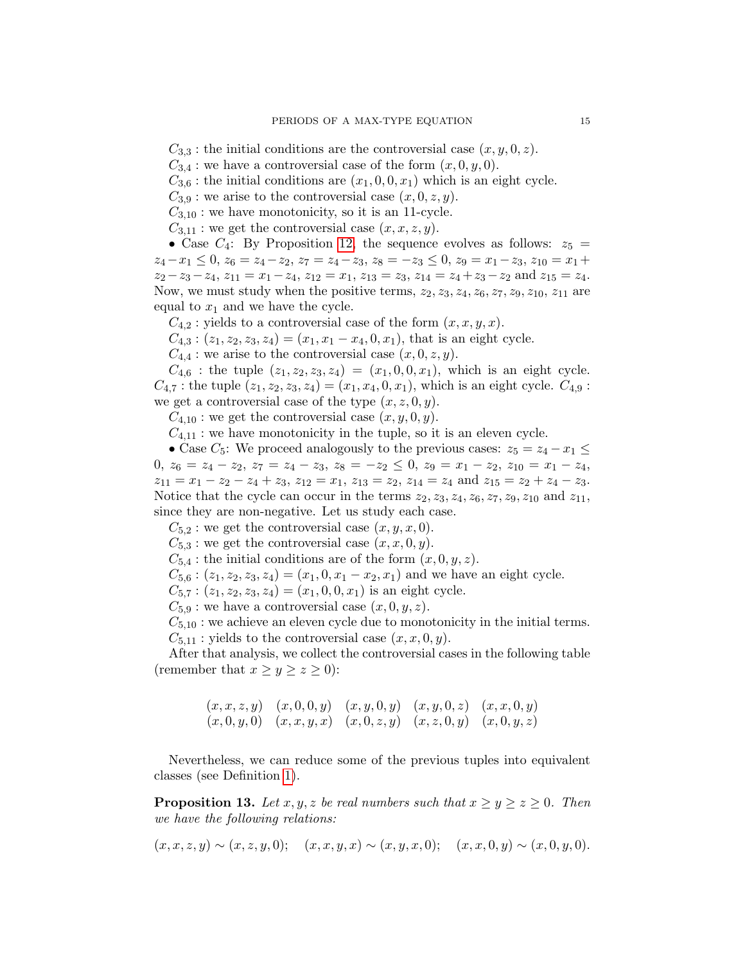$C_{3,3}$ : the initial conditions are the controversial case  $(x, y, 0, z)$ .

 $C_{3,4}$ : we have a controversial case of the form  $(x, 0, y, 0)$ .

 $C_{3,6}$ : the initial conditions are  $(x_1, 0, 0, x_1)$  which is an eight cycle.

 $C_{3,9}$ : we arise to the controversial case  $(x, 0, z, y)$ .

 $C_{3,10}$ : we have monotonicity, so it is an 11-cycle.

 $C_{3,11}$ : we get the controversial case  $(x, x, z, y)$ .

• Case  $C_4$ : By Proposition [12,](#page-9-0) the sequence evolves as follows:  $z_5 =$  $z_4-x_1 \leq 0, z_6 = z_4-z_2, z_7 = z_4-z_3, z_8 = -z_3 \leq 0, z_9 = x_1-z_3, z_{10} = x_1+z_4$  $z_2-z_3-z_4$ ,  $z_{11}=x_1-z_4$ ,  $z_{12}=x_1$ ,  $z_{13}=z_3$ ,  $z_{14}=z_4+z_3-z_2$  and  $z_{15}=z_4$ . Now, we must study when the positive terms,  $z_2, z_3, z_4, z_6, z_7, z_9, z_{10}, z_{11}$  are equal to  $x_1$  and we have the cycle.

 $C_{4,2}$ : yields to a controversial case of the form  $(x, x, y, x)$ .

 $C_{4,3}$ :  $(z_1, z_2, z_3, z_4) = (x_1, x_1 - x_4, 0, x_1)$ , that is an eight cycle.

 $C_{4,4}$ : we arise to the controversial case  $(x, 0, z, y)$ .

 $C_{4,6}$ : the tuple  $(z_1, z_2, z_3, z_4) = (x_1, 0, 0, x_1)$ , which is an eight cycle.  $C_{4,7}$ : the tuple  $(z_1, z_2, z_3, z_4) = (x_1, x_4, 0, x_1)$ , which is an eight cycle.  $C_{4,9}$ : we get a controversial case of the type  $(x, z, 0, y)$ .

 $C_{4,10}$ : we get the controversial case  $(x, y, 0, y)$ .

 $C_{4,11}$ : we have monotonicity in the tuple, so it is an eleven cycle.

• Case  $C_5$ : We proceed analogously to the previous cases:  $z_5 = z_4 - x_1 \leq$ 0,  $z_6 = z_4 - z_2$ ,  $z_7 = z_4 - z_3$ ,  $z_8 = -z_2 \le 0$ ,  $z_9 = x_1 - z_2$ ,  $z_{10} = x_1 - z_4$ ,  $z_{11} = x_1 - z_2 - z_4 + z_3$ ,  $z_{12} = x_1$ ,  $z_{13} = z_2$ ,  $z_{14} = z_4$  and  $z_{15} = z_2 + z_4 - z_3$ . Notice that the cycle can occur in the terms  $z_2, z_3, z_4, z_6, z_7, z_9, z_{10}$  and  $z_{11}$ , since they are non-negative. Let us study each case.

 $C_{5,2}$ : we get the controversial case  $(x, y, x, 0)$ .

 $C_{5,3}$ : we get the controversial case  $(x, x, 0, y)$ .

 $C_{5,4}$ : the initial conditions are of the form  $(x, 0, y, z)$ .

 $C_{5,6}$ :  $(z_1, z_2, z_3, z_4) = (x_1, 0, x_1 - x_2, x_1)$  and we have an eight cycle.

 $C_{5,7}$ :  $(z_1, z_2, z_3, z_4) = (x_1, 0, 0, x_1)$  is an eight cycle.

 $C_{5,9}$ : we have a controversial case  $(x, 0, y, z)$ .

 $C_{5,10}$ : we achieve an eleven cycle due to monotonicity in the initial terms.

 $C_{5,11}$ : yields to the controversial case  $(x, x, 0, y)$ .

After that analysis, we collect the controversial cases in the following table (remember that  $x \ge y \ge z \ge 0$ ):

$$
\begin{array}{cccccc} (x,x,z,y) & (x,0,0,y) & (x,y,0,y) & (x,y,0,z) & (x,x,0,y) \\ (x,0,y,0) & (x,x,y,x) & (x,0,z,y) & (x,z,0,y) & (x,0,y,z) \end{array}
$$

Nevertheless, we can reduce some of the previous tuples into equivalent classes (see Definition [1\)](#page-7-2).

<span id="page-14-0"></span>**Proposition 13.** Let x, y, z be real numbers such that  $x \ge y \ge z \ge 0$ . Then we have the following relations:

$$
(x, x, z, y) \sim (x, z, y, 0);
$$
  $(x, x, y, x) \sim (x, y, x, 0);$   $(x, x, 0, y) \sim (x, 0, y, 0).$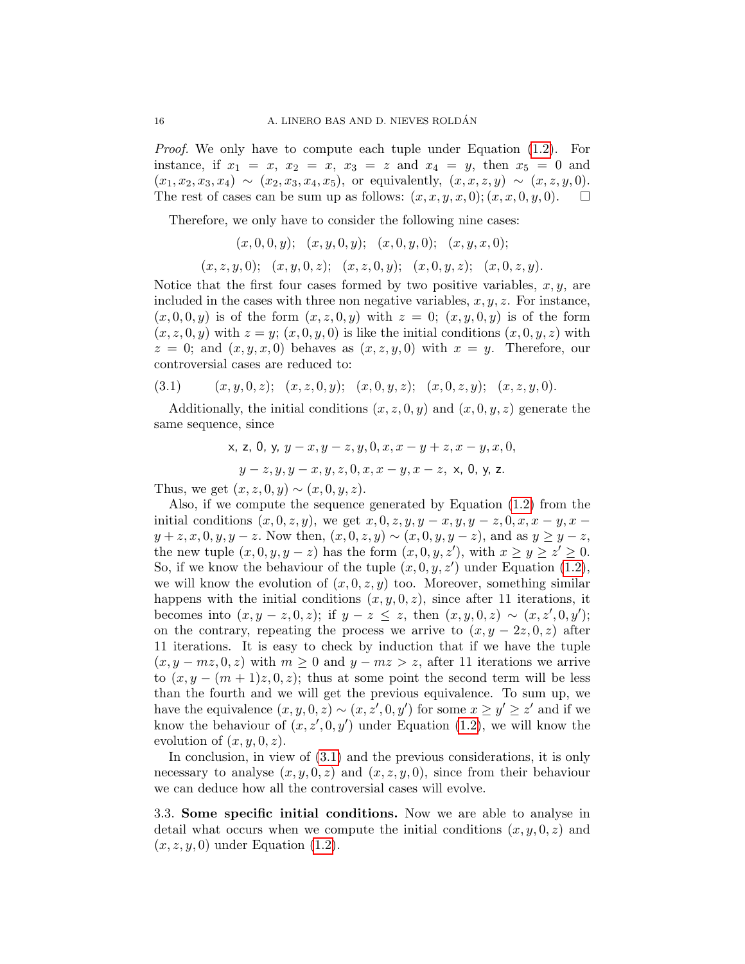Proof. We only have to compute each tuple under Equation [\(1.2\)](#page-1-1). For instance, if  $x_1 = x$ ,  $x_2 = x$ ,  $x_3 = z$  and  $x_4 = y$ , then  $x_5 = 0$  and  $(x_1, x_2, x_3, x_4) \sim (x_2, x_3, x_4, x_5)$ , or equivalently,  $(x, x, z, y) \sim (x, z, y, 0)$ . The rest of cases can be sum up as follows:  $(x, x, y, x, 0); (x, x, 0, y, 0)$ .

Therefore, we only have to consider the following nine cases:

 $(x, 0, 0, y);$   $(x, y, 0, y);$   $(x, 0, y, 0);$   $(x, y, x, 0);$ 

 $(x, z, y, 0); (x, y, 0, z); (x, z, 0, y); (x, 0, y, z); (x, 0, z, y).$ 

Notice that the first four cases formed by two positive variables,  $x, y$ , are included in the cases with three non negative variables,  $x, y, z$ . For instance,  $(x, 0, 0, y)$  is of the form  $(x, z, 0, y)$  with  $z = 0$ ;  $(x, y, 0, y)$  is of the form  $(x, z, 0, y)$  with  $z = y$ ;  $(x, 0, y, 0)$  is like the initial conditions  $(x, 0, y, z)$  with  $z = 0$ ; and  $(x, y, x, 0)$  behaves as  $(x, z, y, 0)$  with  $x = y$ . Therefore, our controversial cases are reduced to:

<span id="page-15-1"></span>
$$
(3.1) \qquad (x, y, 0, z); \quad (x, z, 0, y); \quad (x, 0, y, z); \quad (x, 0, z, y); \quad (x, z, y, 0).
$$

Additionally, the initial conditions  $(x, z, 0, y)$  and  $(x, 0, y, z)$  generate the same sequence, since

x, z, 0, y, 
$$
y - x
$$
,  $y - z$ ,  $y$ , 0,  $x$ ,  $x - y + z$ ,  $x - y$ ,  $x$ , 0,  
 $y - z$ ,  $y$ ,  $y - x$ ,  $y$ ,  $z$ , 0,  $x$ ,  $x - y$ ,  $x - z$ , x, 0, y, z.

Thus, we get  $(x, z, 0, y) \sim (x, 0, y, z)$ .

Also, if we compute the sequence generated by Equation [\(1.2\)](#page-1-1) from the initial conditions  $(x, 0, z, y)$ , we get  $x, 0, z, y, y - x, y, y - z, 0, x, x - y, x - y$  $y + z, x, 0, y, y - z$ . Now then,  $(x, 0, z, y) \sim (x, 0, y, y - z)$ , and as  $y \ge y - z$ , the new tuple  $(x, 0, y, y - z)$  has the form  $(x, 0, y, z')$ , with  $x \ge y \ge z' \ge 0$ . So, if we know the behaviour of the tuple  $(x, 0, y, z')$  under Equation [\(1.2\)](#page-1-1), we will know the evolution of  $(x, 0, z, y)$  too. Moreover, something similar happens with the initial conditions  $(x, y, 0, z)$ , since after 11 iterations, it becomes into  $(x, y - z, 0, z)$ ; if  $y - z \le z$ , then  $(x, y, 0, z) \sim (x, z', 0, y')$ ; on the contrary, repeating the process we arrive to  $(x, y - 2z, 0, z)$  after 11 iterations. It is easy to check by induction that if we have the tuple  $(x, y - mz, 0, z)$  with  $m \ge 0$  and  $y - mz > z$ , after 11 iterations we arrive to  $(x, y - (m + 1)z, 0, z)$ ; thus at some point the second term will be less than the fourth and we will get the previous equivalence. To sum up, we have the equivalence  $(x, y, 0, z) \sim (x, z', 0, y')$  for some  $x \ge y' \ge z'$  and if we know the behaviour of  $(x, z', 0, y')$  under Equation [\(1.2\)](#page-1-1), we will know the evolution of  $(x, y, 0, z)$ .

In conclusion, in view of  $(3.1)$  and the previous considerations, it is only necessary to analyse  $(x, y, 0, z)$  and  $(x, z, y, 0)$ , since from their behaviour we can deduce how all the controversial cases will evolve.

<span id="page-15-0"></span>3.3. Some specific initial conditions. Now we are able to analyse in detail what occurs when we compute the initial conditions  $(x, y, 0, z)$  and  $(x, z, y, 0)$  under Equation  $(1.2)$ .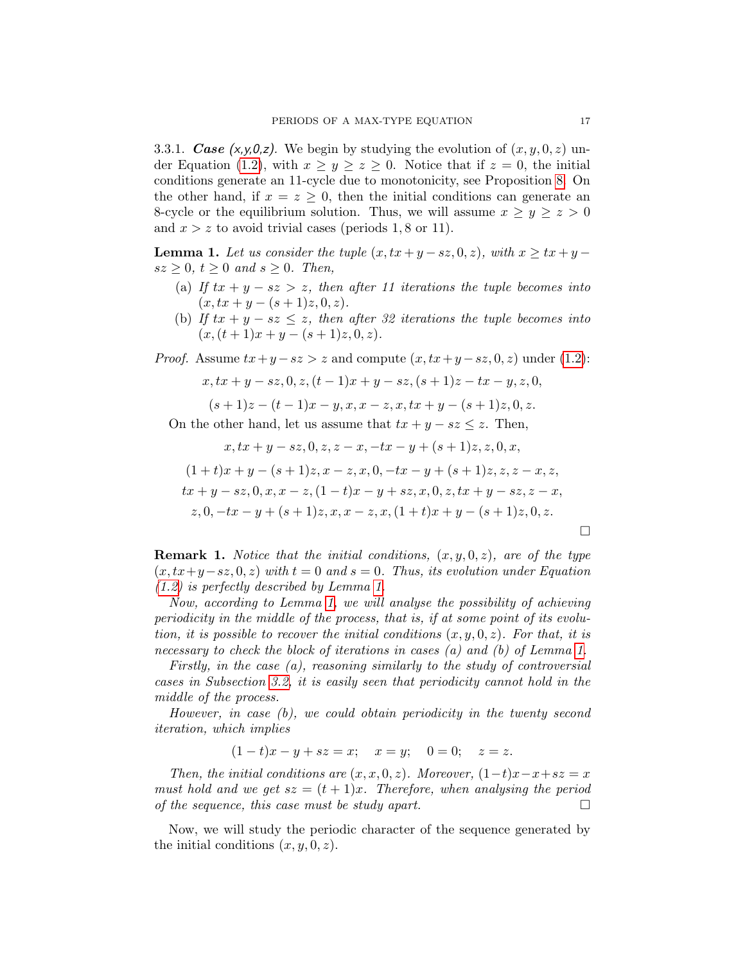3.3.1. Case  $(x, y, 0, z)$ . We begin by studying the evolution of  $(x, y, 0, z)$  un-der Equation [\(1.2\)](#page-1-1), with  $x \ge y \ge z \ge 0$ . Notice that if  $z = 0$ , the initial conditions generate an 11-cycle due to monotonicity, see Proposition [8.](#page-5-2) On the other hand, if  $x = z \geq 0$ , then the initial conditions can generate an 8-cycle or the equilibrium solution. Thus, we will assume  $x \ge y \ge z > 0$ and  $x > z$  to avoid trivial cases (periods 1,8 or 11).

<span id="page-16-0"></span>**Lemma 1.** Let us consider the tuple  $(x, tx + y - sz, 0, z)$ , with  $x \geq tx + y - z$  $sz \geq 0, t \geq 0$  and  $s \geq 0$ . Then,

- (a) If  $tx + y sz > z$ , then after 11 iterations the tuple becomes into  $(x, tx + y - (s + 1)z, 0, z).$
- (b) If  $tx + y sz \leq z$ , then after 32 iterations the tuple becomes into  $(x,(t + 1)x + y - (s + 1)z, 0, z).$

*Proof.* Assume  $tx + y - sz > z$  and compute  $(x, tx + y - sz, 0, z)$  under [\(1.2\)](#page-1-1):

$$
x, tx + y - sz, 0, z, (t - 1)x + y - sz, (s + 1)z - tx - y, z, 0,
$$

$$
(s+1)z - (t-1)x - y, x, x - z, x, tx + y - (s+1)z, 0, z.
$$

On the other hand, let us assume that  $tx + y - sz \leq z$ . Then,

$$
x, tx + y - sz, 0, z, z - x, -tx - y + (s + 1)z, z, 0, x,
$$
  
\n
$$
(1 + t)x + y - (s + 1)z, x - z, x, 0, -tx - y + (s + 1)z, z, z - x, z,
$$
  
\n
$$
tx + y - sz, 0, x, x - z, (1 - t)x - y + sz, x, 0, z, tx + y - sz, z - x,
$$
  
\n
$$
z, 0, -tx - y + (s + 1)z, x, x - z, x, (1 + t)x + y - (s + 1)z, 0, z.
$$

<span id="page-16-1"></span>**Remark 1.** Notice that the initial conditions,  $(x, y, 0, z)$ , are of the type  $(x, tx+y-sz, 0, z)$  with  $t = 0$  and  $s = 0$ . Thus, its evolution under Equation [\(1.2\)](#page-1-1) is perfectly described by Lemma [1.](#page-16-0)

Now, according to Lemma [1,](#page-16-0) we will analyse the possibility of achieving periodicity in the middle of the process, that is, if at some point of its evolution, it is possible to recover the initial conditions  $(x, y, 0, z)$ . For that, it is necessary to check the block of iterations in cases (a) and (b) of Lemma [1.](#page-16-0)

Firstly, in the case (a), reasoning similarly to the study of controversial cases in Subsection [3.2,](#page-12-0) it is easily seen that periodicity cannot hold in the middle of the process.

However, in case (b), we could obtain periodicity in the twenty second iteration, which implies

$$
(1-t)x - y + sz = x;
$$
  $x = y;$   $0 = 0;$   $z = z.$ 

Then, the initial conditions are  $(x, x, 0, z)$ . Moreover,  $(1-t)x-x+sz=x$ must hold and we get  $sz = (t + 1)x$ . Therefore, when analysing the period of the sequence, this case must be study apart.

Now, we will study the periodic character of the sequence generated by the initial conditions  $(x, y, 0, z)$ .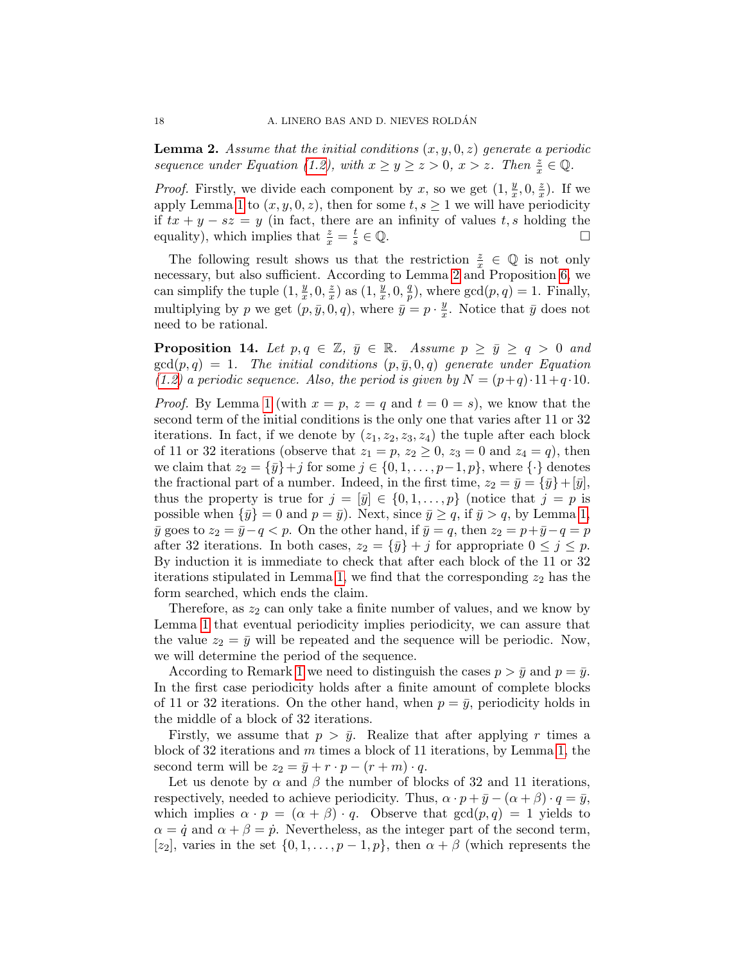<span id="page-17-0"></span>**Lemma 2.** Assume that the initial conditions  $(x, y, 0, z)$  generate a periodic sequence under Equation [\(1.2\)](#page-1-1), with  $x \ge y \ge z > 0$ ,  $x > z$ . Then  $\frac{z}{x} \in \mathbb{Q}$ .

*Proof.* Firstly, we divide each component by x, so we get  $(1, \frac{y}{x})$  $\frac{y}{x}$ , 0,  $\frac{z}{x}$  $\frac{z}{x}$ ). If we apply Lemma [1](#page-16-0) to  $(x, y, 0, z)$ , then for some  $t, s \ge 1$  we will have periodicity if  $tx + y - sz = y$  (in fact, there are an infinity of values t, s holding the equality), which implies that  $\frac{z}{x} = \frac{t}{s}$  $\frac{t}{s} \in \mathbb{Q}$ .

The following result shows us that the restriction  $\frac{z}{x} \in \mathbb{Q}$  is not only necessary, but also sufficient. According to Lemma [2](#page-17-0) and Proposition [6,](#page-4-2) we can simplify the tuple  $(1, \frac{y}{x})$  $\frac{y}{x}$ , 0,  $\frac{z}{x}$  $\frac{z}{x}$ ) as  $(1, \frac{y}{x})$  $\frac{\bar{y}}{x}, 0, \frac{q}{p}$  $_p^q$ ), where  $gcd(p, q) = 1$ . Finally, multiplying by p we get  $(p, \bar{y}, 0, q)$ , where  $\bar{y} = p \cdot \frac{y}{r}$  $\frac{y}{x}$ . Notice that  $\bar{y}$  does not need to be rational.

<span id="page-17-1"></span>**Proposition 14.** Let  $p, q \in \mathbb{Z}, \bar{y} \in \mathbb{R}$ . Assume  $p \geq \bar{y} \geq q > 0$  and  $gcd(p, q) = 1$ . The initial conditions  $(p, \bar{y}, 0, q)$  generate under Equation [\(1.2\)](#page-1-1) a periodic sequence. Also, the period is given by  $N = (p+q) \cdot 11 + q \cdot 10$ .

*Proof.* By Lemma [1](#page-16-0) (with  $x = p$ ,  $z = q$  and  $t = 0 = s$ ), we know that the second term of the initial conditions is the only one that varies after 11 or 32 iterations. In fact, if we denote by  $(z_1, z_2, z_3, z_4)$  the tuple after each block of 11 or 32 iterations (observe that  $z_1 = p$ ,  $z_2 \ge 0$ ,  $z_3 = 0$  and  $z_4 = q$ ), then we claim that  $z_2 = {\bar{y}}+j$  for some  $j \in \{0, 1, \ldots, p-1, p\}$ , where  $\{\cdot\}$  denotes the fractional part of a number. Indeed, in the first time,  $z_2 = \bar{y} = {\bar{y}} + [\bar{y}],$ thus the property is true for  $j = [\bar{y}] \in \{0, 1, \ldots, p\}$  (notice that  $j = p$  is possible when  $\{\bar{y}\}=0$  and  $p=\bar{y}$ ). Next, since  $\bar{y}\geq q$ , if  $\bar{y} > q$ , by Lemma [1,](#page-16-0)  $\bar{y}$  goes to  $z_2 = \bar{y}-q < p$ . On the other hand, if  $\bar{y} = q$ , then  $z_2 = p+\bar{y}-q = p$ after 32 iterations. In both cases,  $z_2 = {\bar{y}} + j$  for appropriate  $0 \le j \le p$ . By induction it is immediate to check that after each block of the 11 or 32 iterations stipulated in Lemma [1,](#page-16-0) we find that the corresponding  $z_2$  has the form searched, which ends the claim.

Therefore, as  $z_2$  can only take a finite number of values, and we know by Lemma [1](#page-16-0) that eventual periodicity implies periodicity, we can assure that the value  $z_2 = \bar{y}$  will be repeated and the sequence will be periodic. Now, we will determine the period of the sequence.

According to Remark [1](#page-16-1) we need to distinguish the cases  $p > \bar{y}$  and  $p = \bar{y}$ . In the first case periodicity holds after a finite amount of complete blocks of 11 or 32 iterations. On the other hand, when  $p = \bar{y}$ , periodicity holds in the middle of a block of 32 iterations.

Firstly, we assume that  $p > \bar{y}$ . Realize that after applying r times a block of 32 iterations and  $m$  times a block of 11 iterations, by Lemma [1,](#page-16-0) the second term will be  $z_2 = \bar{y} + r \cdot p - (r + m) \cdot q$ .

Let us denote by  $\alpha$  and  $\beta$  the number of blocks of 32 and 11 iterations, respectively, needed to achieve periodicity. Thus,  $\alpha \cdot p + \bar{y} - (\alpha + \beta) \cdot q = \bar{y}$ , which implies  $\alpha \cdot p = (\alpha + \beta) \cdot q$ . Observe that  $gcd(p,q) = 1$  yields to  $\alpha = \dot{q}$  and  $\alpha + \beta = \dot{p}$ . Nevertheless, as the integer part of the second term, [z<sub>2</sub>], varies in the set  $\{0, 1, \ldots, p-1, p\}$ , then  $\alpha + \beta$  (which represents the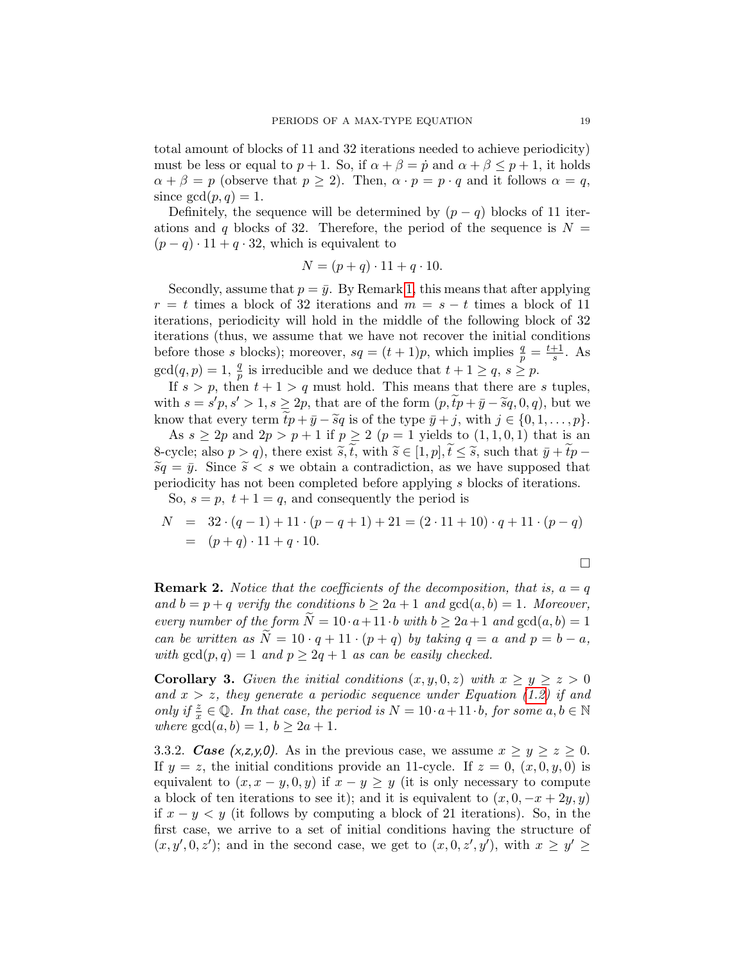total amount of blocks of 11 and 32 iterations needed to achieve periodicity) must be less or equal to  $p + 1$ . So, if  $\alpha + \beta = \dot{p}$  and  $\alpha + \beta \leq p + 1$ , it holds  $\alpha + \beta = p$  (observe that  $p \ge 2$ ). Then,  $\alpha \cdot p = p \cdot q$  and it follows  $\alpha = q$ , since  $gcd(p, q) = 1$ .

Definitely, the sequence will be determined by  $(p - q)$  blocks of 11 iterations and q blocks of 32. Therefore, the period of the sequence is  $N =$  $(p - q) \cdot 11 + q \cdot 32$ , which is equivalent to

$$
N = (p+q) \cdot 11 + q \cdot 10.
$$

Secondly, assume that  $p = \bar{y}$ . By Remark [1,](#page-16-1) this means that after applying  $r = t$  times a block of 32 iterations and  $m = s - t$  times a block of 11 iterations, periodicity will hold in the middle of the following block of 32 iterations (thus, we assume that we have not recover the initial conditions before those s blocks); moreover,  $sq = (t + 1)p$ , which implies  $\frac{q}{p} = \frac{t+1}{s}$  $\frac{+1}{s}$ . As  $gcd(q, p) = 1, \frac{q}{p}$  is irreducible and we deduce that  $t + 1 \geq q$ ,  $s \geq p$ .

If  $s > p$ , then  $t + 1 > q$  must hold. This means that there are s tuples, with  $s = s'p, s' > 1, s \ge 2p$ , that are of the form  $(p, \tilde{t}p + \bar{y} - \tilde{s}q, 0, q)$ , but we know that every term  $tp + \bar{y} - \tilde{s}q$  is of the type  $\bar{y} + j$ , with  $j \in \{0, 1, \ldots, p\}.$ 

As  $s \geq 2p$  and  $2p > p + 1$  if  $p \geq 2$   $(p = 1$  yields to  $(1, 1, 0, 1)$  that is an 8-cycle; also  $p > q$ ), there exist  $\tilde{s}, \tilde{t}$ , with  $\tilde{s} \in [1, p], \tilde{t} \leq \tilde{s}$ , such that  $\bar{y} + \tilde{t}p \widetilde{s}q = \bar{y}$ . Since  $\widetilde{s} < s$  we obtain a contradiction, as we have supposed that periodicity has not been completed before applying s blocks of iterations. So,  $s = p$ ,  $t + 1 = q$ , and consequently the period is

 $N = 32 \cdot (q-1) + 11 \cdot (p-q+1) + 21 = (2 \cdot 11 + 10) \cdot q + 11 \cdot (p-q)$  $= (p+q) \cdot 11 + q \cdot 10.$ 

$$
\Box
$$

<span id="page-18-2"></span>**Remark 2.** Notice that the coefficients of the decomposition, that is,  $a = q$ and  $b = p + q$  verify the conditions  $b \geq 2a + 1$  and  $gcd(a, b) = 1$ . Moreover, every number of the form  $N = 10 \cdot a + 11 \cdot b$  with  $b \ge 2a + 1$  and  $gcd(a, b) = 1$ can be written as  $\widetilde{N} = 10 \cdot q + 11 \cdot (p + q)$  by taking  $q = a$  and  $p = b - a$ , with  $gcd(p, q) = 1$  and  $p \geq 2q + 1$  as can be easily checked.

<span id="page-18-1"></span>**Corollary 3.** Given the initial conditions  $(x, y, 0, z)$  with  $x \ge y \ge z > 0$ and  $x > z$ , they generate a periodic sequence under Equation [\(1.2\)](#page-1-1) if and only if  $\frac{z}{x} \in \mathbb{Q}$ . In that case, the period is  $N = 10 \cdot a + 11 \cdot b$ , for some  $a, b \in \mathbb{N}$ where  $gcd(a, b) = 1, b \geq 2a + 1$ .

<span id="page-18-0"></span>3.3.2. Case (x,z,y,0). As in the previous case, we assume  $x \ge y \ge z \ge 0$ . If  $y = z$ , the initial conditions provide an 11-cycle. If  $z = 0$ ,  $(x, 0, y, 0)$  is equivalent to  $(x, x - y, 0, y)$  if  $x - y \geq y$  (it is only necessary to compute a block of ten iterations to see it); and it is equivalent to  $(x, 0, -x + 2y, y)$ if x − y < y (it follows by computing a block of 21 iterations). So, in the first case, we arrive to a set of initial conditions having the structure of  $(x, y', 0, z')$ ; and in the second case, we get to  $(x, 0, z', y')$ , with  $x \ge y' \ge$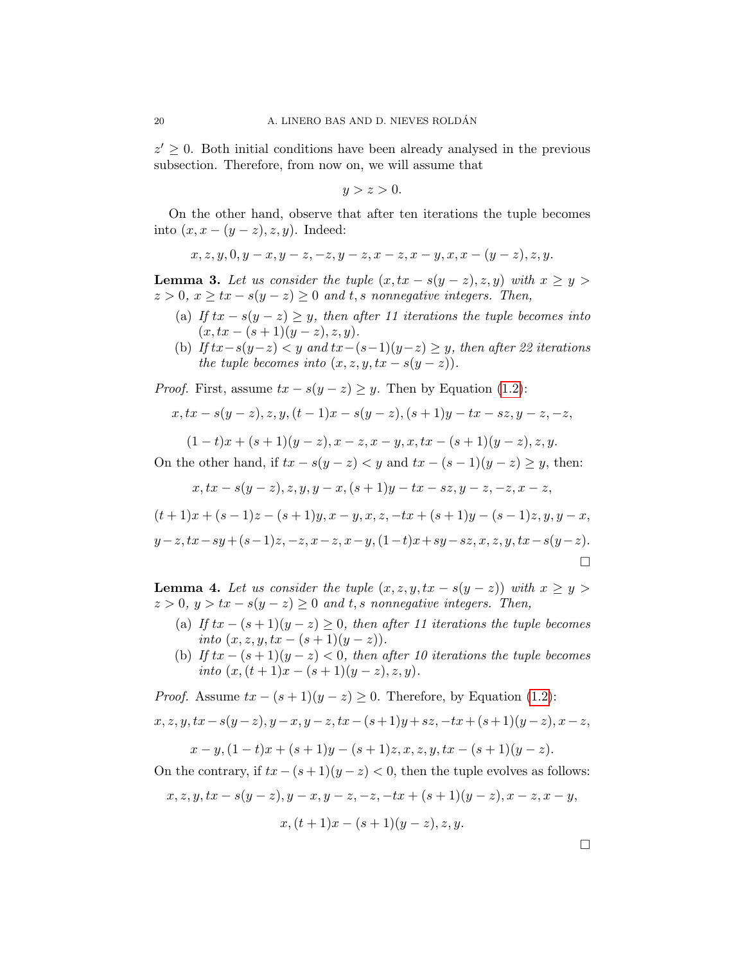$z' \geq 0$ . Both initial conditions have been already analysed in the previous subsection. Therefore, from now on, we will assume that

$$
y > z > 0.
$$

On the other hand, observe that after ten iterations the tuple becomes into  $(x, x - (y - z), z, y)$ . Indeed:

$$
x, z, y, 0, y - x, y - z, -z, y - z, x - z, x - y, x, x - (y - z), z, y.
$$

<span id="page-19-0"></span>**Lemma 3.** Let us consider the tuple  $(x, tx - s(y - z), z, y)$  with  $x \ge y >$  $z > 0$ ,  $x \ge tx - s(y - z) \ge 0$  and t, s nonnegative integers. Then,

- (a) If  $tx s(y z) \geq y$ , then after 11 iterations the tuple becomes into  $(x, tx - (s + 1)(y - z), z, y).$
- (b) If  $tx-s(y-z) < y$  and  $tx-(s-1)(y-z) \geq y$ , then after 22 iterations the tuple becomes into  $(x, z, y, tx - s(y - z)).$

*Proof.* First, assume  $tx - s(y - z) \geq y$ . Then by Equation [\(1.2\)](#page-1-1):

$$
x, tx - s(y - z), z, y, (t - 1)x - s(y - z), (s + 1)y - tx - sz, y - z, -z,
$$

$$
(1-t)x + (s+1)(y-z), x-z, x-y, x, tx - (s+1)(y-z), z, y.
$$

On the other hand, if  $tx - s(y - z) < y$  and  $tx - (s - 1)(y - z) \geq y$ , then:

$$
x, tx - s(y - z), z, y, y - x, (s + 1)y - tx - sz, y - z, -z, x - z,
$$

$$
(t+1)x + (s-1)z - (s+1)y, x - y, x, z, -tx + (s+1)y - (s-1)z, y, y - x,y-z, tx - sy + (s-1)z, -z, x-z, x-y, (1-t)x + sy - sz, x, z, y, tx - s(y-z).
$$

<span id="page-19-1"></span>**Lemma 4.** Let us consider the tuple  $(x, z, y, tx - s(y - z))$  with  $x \ge y >$  $z > 0$ ,  $y > tx - s(y - z) \geq 0$  and t, s nonnegative integers. Then,

- (a) If  $tx (s + 1)(y z) \ge 0$ , then after 11 iterations the tuple becomes into  $(x, z, y, tx - (s + 1)(y - z)).$
- (b) If  $tx (s + 1)(y z) < 0$ , then after 10 iterations the tuple becomes into  $(x,(t+1)x - (s+1)(y-z),z,y)$ .

*Proof.* Assume 
$$
tx - (s + 1)(y - z) \ge 0
$$
. Therefore, by Equation (1.2):

$$
x, z, y, tx - s(y-z), y-x, y-z, tx - (s+1)y + sz, -tx + (s+1)(y-z), x-z,
$$
  

$$
x-y, (1-t)x + (s+1)y - (s+1)z, x, z, y, tx - (s+1)(y-z).
$$

On the contrary, if  $tx - (s + 1)(y - z) < 0$ , then the tuple evolves as follows:

$$
x, z, y, tx - s(y - z), y - x, y - z, -z, -tx + (s + 1)(y - z), x - z, x - y,
$$

$$
x, (t+1)x - (s+1)(y-z), z, y.
$$

 $\Box$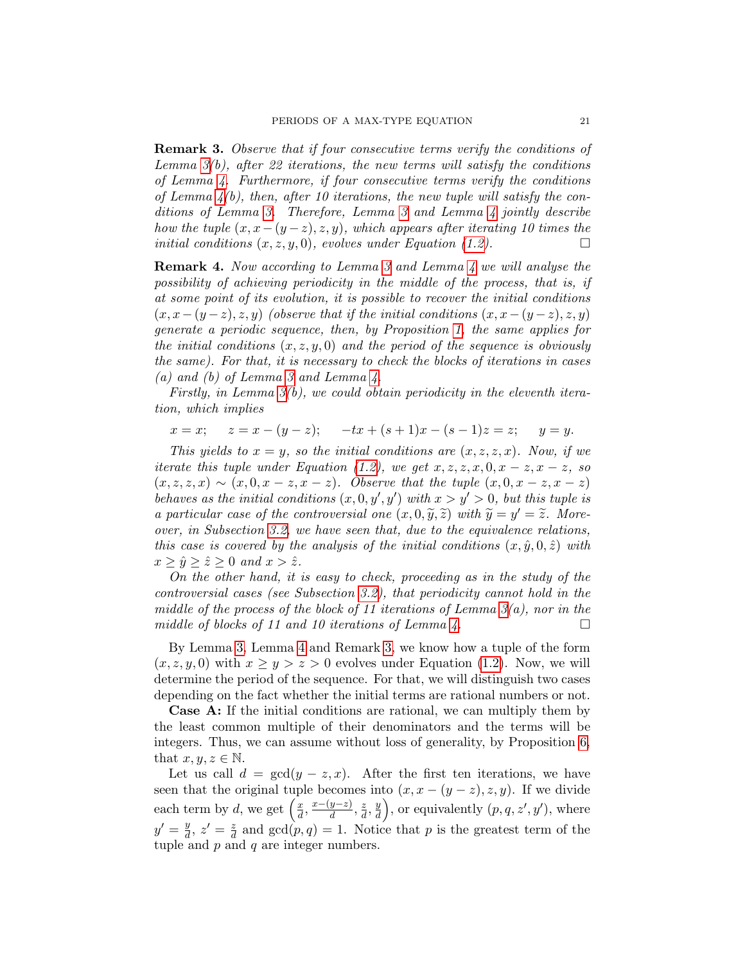<span id="page-20-0"></span>Remark 3. Observe that if four consecutive terms verify the conditions of Lemma  $3(b)$ , after 22 iterations, the new terms will satisfy the conditions of Lemma [4.](#page-19-1) Furthermore, if four consecutive terms verify the conditions of Lemma  $4(b)$ , then, after 10 iterations, the new tuple will satisfy the conditions of Lemma [3.](#page-19-0) Therefore, Lemma [3](#page-19-0) and Lemma [4](#page-19-1) jointly describe how the tuple  $(x, x-(y-z), z, y)$ , which appears after iterating 10 times the initial conditions  $(x, z, y, 0)$ , evolves under Equation [\(1.2\)](#page-1-1).

<span id="page-20-1"></span>Remark 4. Now according to Lemma [3](#page-19-0) and Lemma [4](#page-19-1) we will analyse the possibility of achieving periodicity in the middle of the process, that is, if at some point of its evolution, it is possible to recover the initial conditions  $(x, x-(y-z), z, y)$  (observe that if the initial conditions  $(x, x-(y-z), z, y)$ ) generate a periodic sequence, then, by Proposition [1,](#page-3-1) the same applies for the initial conditions  $(x, z, y, 0)$  and the period of the sequence is obviously the same). For that, it is necessary to check the blocks of iterations in cases (a) and (b) of Lemma [3](#page-19-0) and Lemma  $\lambda$ .

Firstly, in Lemma [3\(](#page-19-0)b), we could obtain periodicity in the eleventh iteration, which implies

$$
x = x;
$$
  $z = x - (y - z);$   $-tx + (s + 1)x - (s - 1)z = z;$   $y = y.$ 

This yields to  $x = y$ , so the initial conditions are  $(x, z, z, x)$ . Now, if we iterate this tuple under Equation [\(1.2\)](#page-1-1), we get  $x, z, z, x, 0, x - z, x - z$ , so  $(x, z, z, x) \sim (x, 0, x - z, x - z)$ . Observe that the tuple  $(x, 0, x - z, x - z)$ behaves as the initial conditions  $(x, 0, y', y')$  with  $x > y' > 0$ , but this tuple is a particular case of the controversial one  $(x, 0, \tilde{y}, \tilde{z})$  with  $\tilde{y} = y' = \tilde{z}$ . More-<br>over in Subsection 3.2, we have seen that due to the equivalence relations over, in Subsection [3.2,](#page-12-0) we have seen that, due to the equivalence relations, this case is covered by the analysis of the initial conditions  $(x, \hat{y}, 0, \hat{z})$  with  $x \ge \hat{y} \ge \hat{z} \ge 0$  and  $x > \hat{z}$ .

On the other hand, it is easy to check, proceeding as in the study of the controversial cases (see Subsection [3.2\)](#page-12-0), that periodicity cannot hold in the middle of the process of the block of 11 iterations of Lemma  $3(a)$ , nor in the middle of blocks of 11 and 10 iterations of Lemma [4.](#page-19-1)  $\Box$ 

By Lemma [3,](#page-19-0) Lemma [4](#page-19-1) and Remark [3,](#page-20-0) we know how a tuple of the form  $(x, z, y, 0)$  with  $x \ge y > z > 0$  evolves under Equation [\(1.2\)](#page-1-1). Now, we will determine the period of the sequence. For that, we will distinguish two cases depending on the fact whether the initial terms are rational numbers or not.

Case A: If the initial conditions are rational, we can multiply them by the least common multiple of their denominators and the terms will be integers. Thus, we can assume without loss of generality, by Proposition [6,](#page-4-2) that  $x, y, z \in \mathbb{N}$ .

Let us call  $d = \gcd(y - z, x)$ . After the first ten iterations, we have seen that the original tuple becomes into  $(x, x - (y - z), z, y)$ . If we divide each term by d, we get  $\left(\frac{x}{d}\right)$  $\frac{x}{d}, \frac{x-(y-z)}{d}$  $\frac{y-z)}{d}, \frac{z}{d}$  $\frac{z}{d}$ ,  $\frac{y}{d}$  $\left(\frac{y}{d}\right)$ , or equivalently  $(p, q, z', y')$ , where  $y' = \frac{y}{d}$  $\frac{y}{d}$ ,  $z' = \frac{z}{d}$  $\frac{z}{d}$  and  $gcd(p, q) = 1$ . Notice that p is the greatest term of the tuple and  $p$  and  $q$  are integer numbers.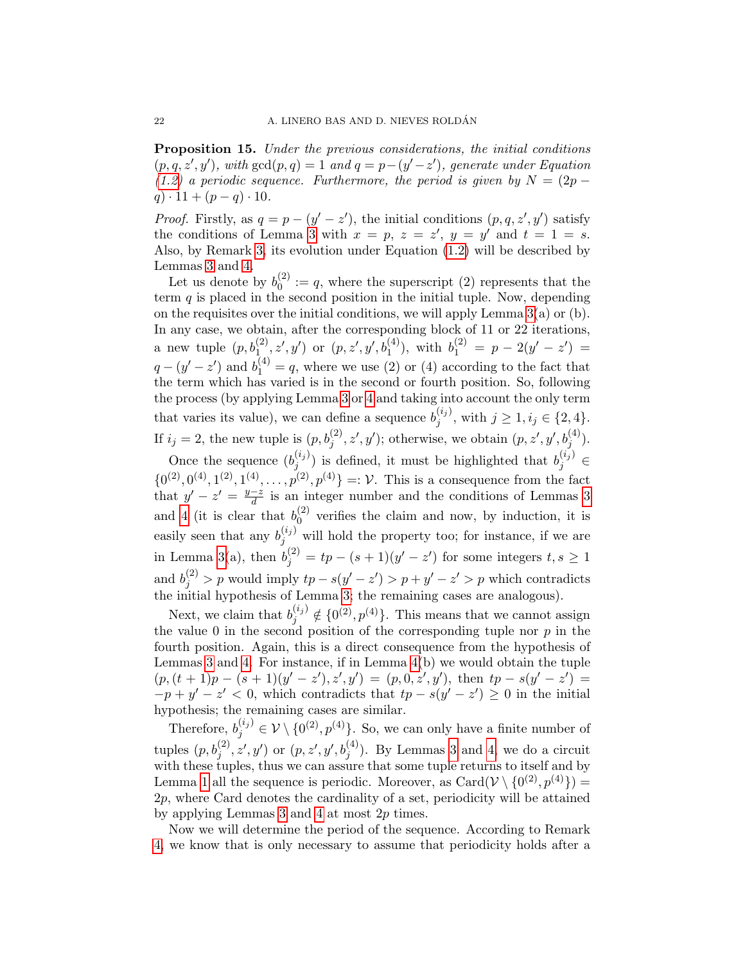<span id="page-21-0"></span>Proposition 15. Under the previous considerations, the initial conditions  $(p, q, z', y')$ , with  $gcd(p, q) = 1$  and  $q = p-(y'-z')$ , generate under Equation [\(1.2\)](#page-1-1) a periodic sequence. Furthermore, the period is given by  $N = (2p$  $q) \cdot 11 + (p - q) \cdot 10.$ 

*Proof.* Firstly, as  $q = p - (y' - z')$ , the initial conditions  $(p, q, z', y')$  satisfy the conditions of Lemma [3](#page-19-0) with  $x = p$ ,  $z = z'$ ,  $y = y'$  and  $t = 1 = s$ . Also, by Remark [3,](#page-20-0) its evolution under Equation [\(1.2\)](#page-1-1) will be described by Lemmas [3](#page-19-0) and [4.](#page-19-1)

Let us denote by  $b_0^{(2)}$  $\chi_0^{(2)} := q$ , where the superscript (2) represents that the term  $q$  is placed in the second position in the initial tuple. Now, depending on the requisites over the initial conditions, we will apply Lemma [3\(](#page-19-0)a) or (b). In any case, we obtain, after the corresponding block of 11 or 22 iterations, a new tuple  $(p, b_1^{(2)}, z', y')$  or  $(p, z', y', b_1^{(4)})$ , with  $b_1^{(2)} = p - 2(y' - z') =$  $q - (y' - z')$  and  $b_1^{(4)} = q$ , where we use (2) or (4) according to the fact that the term which has varied is in the second or fourth position. So, following the process (by applying Lemma [3](#page-19-0) or [4](#page-19-1) and taking into account the only term that varies its value), we can define a sequence  $b_i^{(i_j)}$  $j^{(ij)}$ , with  $j \geq 1, i_j \in \{2, 4\}.$ If  $i_j = 2$ , the new tuple is  $(p, b_j^{(2)}, z', y')$ ; otherwise, we obtain  $(p, z', y', b_j^{(4)})$ .

Once the sequence  $(b_i^{(i_j)})$  $j^{(i_j)}$ ) is defined, it must be highlighted that  $b_j^{(i_j)} \in$  $\{0^{(2)}, 0^{(4)}, 1^{(2)}, 1^{(4)}, \ldots, p^{(2)}, p^{(4)}\} =: \mathcal{V}$ . This is a consequence from the fact that  $y' - z' = \frac{y - z}{d}$  $\frac{-z}{d}$  is an integer number and the conditions of Lemmas [3](#page-19-0) and [4](#page-19-1) (it is clear that  $b_0^{(2)}$ )  $_{0}^{(2)}$  verifies the claim and now, by induction, it is easily seen that any  $b_j^{(i_j)}$  will hold the property too; for instance, if we are in Lemma [3\(](#page-19-0)a), then  $b_j^{(2)} = tp - (s + 1)(y' - z')$  for some integers  $t, s \ge 1$ and  $b_j^{(2)} > p$  would imply  $tp - s(y' - z') > p + y' - z' > p$  which contradicts the initial hypothesis of Lemma [3;](#page-19-0) the remaining cases are analogous).

Next, we claim that  $b_j^{(i_j)} \notin \{0^{(2)}, p^{(4)}\}$ . This means that we cannot assign the value 0 in the second position of the corresponding tuple nor  $p$  in the fourth position. Again, this is a direct consequence from the hypothesis of Lemmas [3](#page-19-0) and [4.](#page-19-1) For instance, if in Lemma [4\(](#page-19-1)b) we would obtain the tuple  $(p,(t+1)p - (s+1)(y'-z'),z',y') = (p,0,z',y')$ , then  $tp - s(y'-z')$  $-p + y' - z' < 0$ , which contradicts that  $tp - s(y' - z') \geq 0$  in the initial hypothesis; the remaining cases are similar.

Therefore,  $b_j^{(i_j)} \in \mathcal{V} \setminus \{0^{(2)}, p^{(4)}\}$ . So, we can only have a finite number of tuples  $(p, b_j^{(2)}, z', y')$  or  $(p, z', y', b_j^{(4)})$ . By Lemmas [3](#page-19-0) and [4,](#page-19-1) we do a circuit with these tuples, thus we can assure that some tuple returns to itself and by Lemma [1](#page-3-1) all the sequence is periodic. Moreover, as  $Card(V \setminus \{0^{(2)}, p^{(4)}\})$ 2p, where Card denotes the cardinality of a set, periodicity will be attained by applying Lemmas [3](#page-19-0) and [4](#page-19-1) at most 2p times.

Now we will determine the period of the sequence. According to Remark [4,](#page-20-1) we know that is only necessary to assume that periodicity holds after a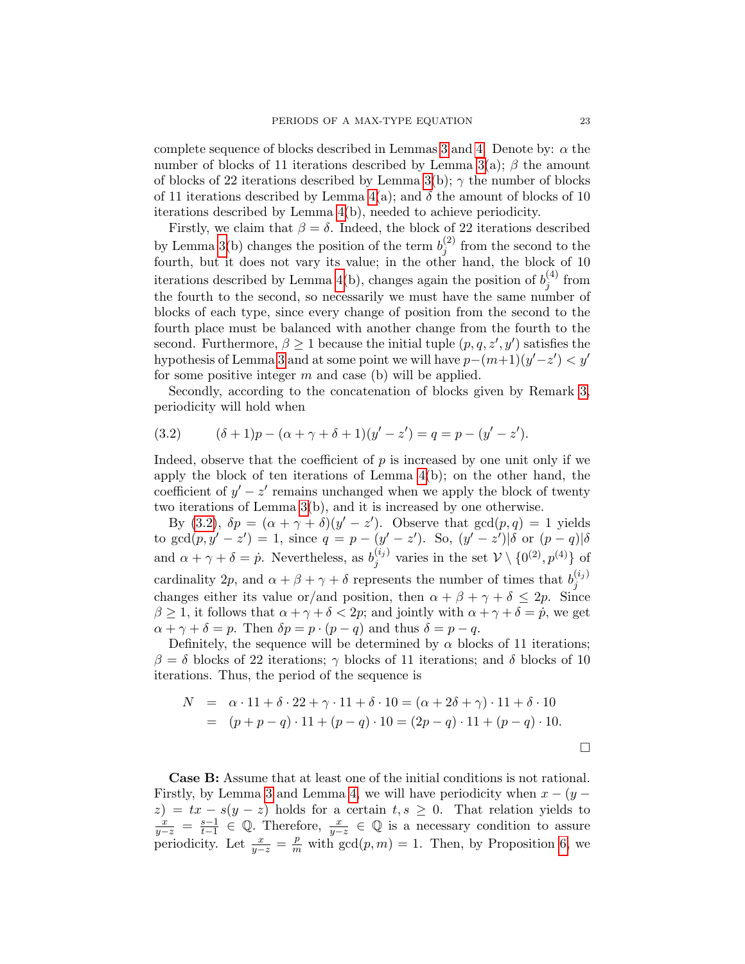complete sequence of blocks described in Lemmas [3](#page-19-0) and [4.](#page-19-1) Denote by:  $\alpha$  the number of blocks of 11 iterations described by Lemma [3\(](#page-19-0)a);  $\beta$  the amount of blocks of 22 iterations described by Lemma [3\(](#page-19-0)b);  $\gamma$  the number of blocks of 11 iterations described by Lemma  $4(a)$ ; and  $\delta$  the amount of blocks of 10 iterations described by Lemma [4\(](#page-19-1)b), needed to achieve periodicity.

Firstly, we claim that  $\beta = \delta$ . Indeed, the block of 22 iterations described by Lemma [3\(](#page-19-0)b) changes the position of the term  $b_i^{(2)}$  $j^{(2)}$  from the second to the fourth, but it does not vary its value; in the other hand, the block of 10 iterations described by Lemma [4\(](#page-19-1)b), changes again the position of  $b_i^{(4)}$  $j^{(4)}$  from the fourth to the second, so necessarily we must have the same number of blocks of each type, since every change of position from the second to the fourth place must be balanced with another change from the fourth to the second. Furthermore,  $\beta \geq 1$  because the initial tuple  $(p, q, z', y')$  satisfies the hypothesis of Lemma [3](#page-19-0) and at some point we will have  $p-(m+1)(y'-z') < y'$ for some positive integer  $m$  and case (b) will be applied.

Secondly, according to the concatenation of blocks given by Remark [3,](#page-20-0) periodicity will hold when

<span id="page-22-0"></span>(3.2) 
$$
(\delta + 1)p - (\alpha + \gamma + \delta + 1)(y' - z') = q = p - (y' - z').
$$

Indeed, observe that the coefficient of  $p$  is increased by one unit only if we apply the block of ten iterations of Lemma [4\(](#page-19-1)b); on the other hand, the coefficient of  $y' - z'$  remains unchanged when we apply the block of twenty two iterations of Lemma [3\(](#page-19-0)b), and it is increased by one otherwise.

By [\(3.2\)](#page-22-0),  $\delta p = (\alpha + \gamma + \delta)(y' - z')$ . Observe that  $gcd(p, q) = 1$  yields to gcd $(p, y' - z') = 1$ , since  $q = p - (y' - z')$ . So,  $(y' - z')|\delta$  or  $(p - q)|\delta$ and  $\alpha + \gamma + \delta = \dot{p}$ . Nevertheless, as  $b_i^{(i_j)}$  $j^{(i_j)}$  varies in the set  $\mathcal{V} \setminus \{0^{(2)}, p^{(4)}\}$  of cardinality 2p, and  $\alpha + \beta + \gamma + \delta$  represents the number of times that  $b_i^{(i_j)}$ j changes either its value or/and position, then  $\alpha + \beta + \gamma + \delta \leq 2p$ . Since  $\beta \geq 1$ , it follows that  $\alpha + \gamma + \delta < 2p$ ; and jointly with  $\alpha + \gamma + \delta = \dot{p}$ , we get  $\alpha + \gamma + \delta = p$ . Then  $\delta p = p \cdot (p - q)$  and thus  $\delta = p - q$ .

Definitely, the sequence will be determined by  $\alpha$  blocks of 11 iterations;  $β = δ$  blocks of 22 iterations; γ blocks of 11 iterations; and δ blocks of 10 iterations. Thus, the period of the sequence is

$$
N = \alpha \cdot 11 + \delta \cdot 22 + \gamma \cdot 11 + \delta \cdot 10 = (\alpha + 2\delta + \gamma) \cdot 11 + \delta \cdot 10
$$
  
=  $(p + p - q) \cdot 11 + (p - q) \cdot 10 = (2p - q) \cdot 11 + (p - q) \cdot 10.$ 

Case B: Assume that at least one of the initial conditions is not rational. Firstly, by Lemma [3](#page-19-0) and Lemma [4,](#page-19-1) we will have periodicity when  $x - (y$  $z$ ) =  $tx - s(y - z)$  holds for a certain  $t, s \geq 0$ . That relation yields to  $\frac{x}{y-z} = \frac{s-1}{t-1}$  $\frac{s-1}{t-1}$  ∈ Q. Therefore,  $\frac{x}{y-z}$  ∈ Q is a necessary condition to assure periodicity. Let  $\frac{x}{y-z} = \frac{p}{m}$  with  $gcd(p,m) = 1$ . Then, by Proposition [6,](#page-4-2) we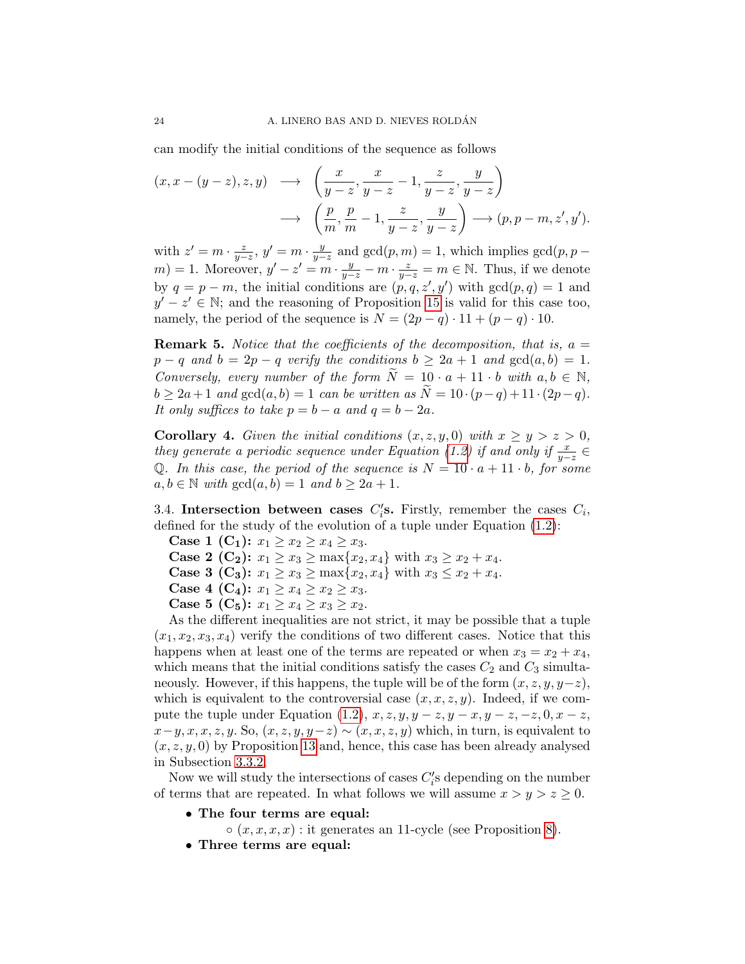can modify the initial conditions of the sequence as follows

$$
(x, x - (y - z), z, y) \longrightarrow \left(\frac{x}{y - z}, \frac{x}{y - z} - 1, \frac{z}{y - z}, \frac{y}{y - z}\right)
$$

$$
\longrightarrow \left(\frac{p}{m}, \frac{p}{m} - 1, \frac{z}{y - z}, \frac{y}{y - z}\right) \longrightarrow (p, p - m, z', y').
$$

with  $z' = m \cdot \frac{z}{y-z}$ ,  $y' = m \cdot \frac{y}{y-z}$  $\frac{y}{y-z}$  and  $gcd(p,m) = 1$ , which implies  $gcd(p, p - 1)$  $(m) = 1$ . Moreover,  $y' - z' = m \cdot \frac{y}{y-z} - m \cdot \frac{z}{y-z} = m \in \mathbb{N}$ . Thus, if we denote by  $q = p - m$ , the initial conditions are  $(p, q, z', y')$  with  $gcd(p, q) = 1$  and  $y' - z' \in \mathbb{N}$ ; and the reasoning of Proposition [15](#page-21-0) is valid for this case too, namely, the period of the sequence is  $N = (2p - q) \cdot 11 + (p - q) \cdot 10$ .

<span id="page-23-2"></span>**Remark 5.** Notice that the coefficients of the decomposition, that is,  $a =$  $p - q$  and  $b = 2p - q$  verify the conditions  $b \ge 2a + 1$  and  $gcd(a, b) = 1$ . Conversely, every number of the form  $N = 10 \cdot a + 11 \cdot b$  with  $a, b \in \mathbb{N}$ ,  $b \geq 2a+1$  and  $gcd(a, b) = 1$  can be written as  $\widetilde{N} = 10 \cdot (p-q) + 11 \cdot (2p-q)$ . It only suffices to take  $p = b - a$  and  $q = b - 2a$ .

<span id="page-23-1"></span>**Corollary 4.** Given the initial conditions  $(x, z, y, 0)$  with  $x \ge y > z > 0$ , they generate a periodic sequence under Equation [\(1.2\)](#page-1-1) if and only if  $\frac{x}{y-z} \in$ Q. In this case, the period of the sequence is  $N = 10 \cdot a + 11 \cdot b$ , for some  $a, b \in \mathbb{N}$  with  $gcd(a, b) = 1$  and  $b \geq 2a + 1$ .

<span id="page-23-0"></span>3.4. Intersection between cases  $C_i$ 's. Firstly, remember the cases  $C_i$ , defined for the study of the evolution of a tuple under Equation [\(1.2\)](#page-1-1):

Case 1 (C<sub>1</sub>):  $x_1 \ge x_2 \ge x_4 \ge x_3$ .

**Case 2 (C<sub>2</sub>):**  $x_1 \ge x_3 \ge \max\{x_2, x_4\}$  with  $x_3 \ge x_2 + x_4$ .

**Case 3 (C<sub>3</sub>):**  $x_1 \ge x_3 \ge \max\{x_2, x_4\}$  with  $x_3 \le x_2 + x_4$ .

Case 4 (C<sub>4</sub>):  $x_1 \ge x_4 \ge x_2 \ge x_3$ .

Case 5 (C<sub>5</sub>):  $x_1 \ge x_4 \ge x_3 \ge x_2$ .

As the different inequalities are not strict, it may be possible that a tuple  $(x_1, x_2, x_3, x_4)$  verify the conditions of two different cases. Notice that this happens when at least one of the terms are repeated or when  $x_3 = x_2 + x_4$ , which means that the initial conditions satisfy the cases  $C_2$  and  $C_3$  simultaneously. However, if this happens, the tuple will be of the form  $(x, z, y, y-z)$ , which is equivalent to the controversial case  $(x, x, z, y)$ . Indeed, if we com-pute the tuple under Equation [\(1.2\)](#page-1-1),  $x, z, y, y - z, y - x, y - z, -z, 0, x - z,$  $x-y, x, x, z, y$ . So,  $(x, z, y, y-z) \sim (x, x, z, y)$  which, in turn, is equivalent to  $(x, z, y, 0)$  by Proposition [13](#page-14-0) and, hence, this case has been already analysed in Subsection [3.3.2.](#page-18-0)

Now we will study the intersections of cases  $C_i$ 's depending on the number of terms that are repeated. In what follows we will assume  $x > y > z \geq 0$ .

- The four terms are equal:
	- $\circ$   $(x, x, x, x)$ : it generates an 11-cycle (see Proposition [8\)](#page-5-2).
- Three terms are equal: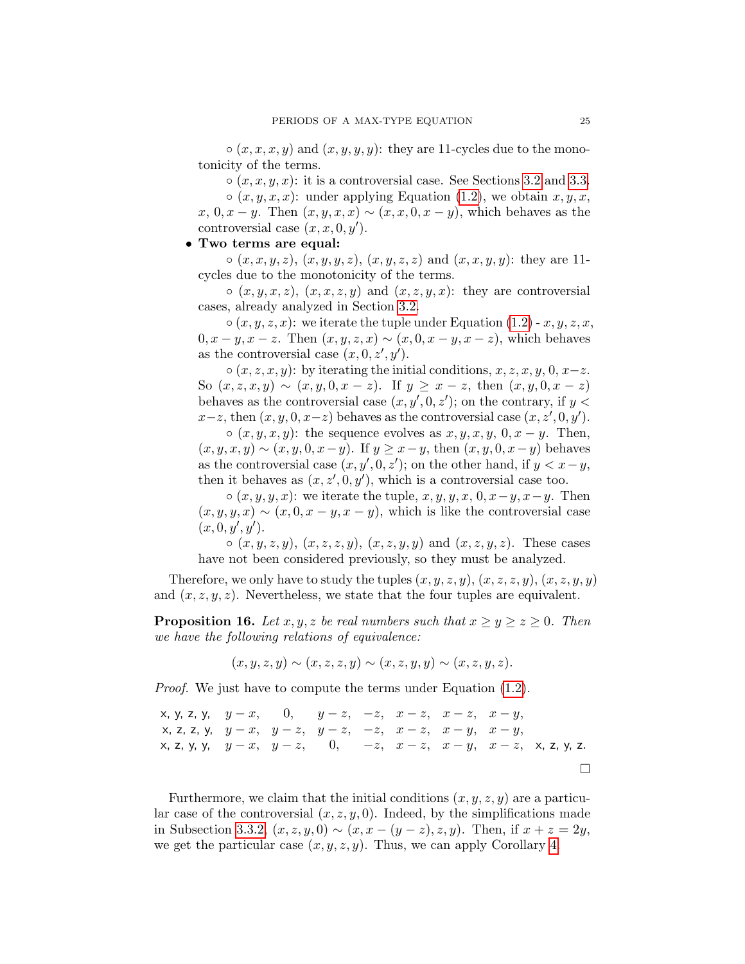$\circ$   $(x, x, x, y)$  and  $(x, y, y, y)$ : they are 11-cycles due to the monotonicity of the terms.

 $\circ$   $(x, x, y, x)$ : it is a controversial case. See Sections [3.2](#page-12-0) and [3.3.](#page-15-0)

 $\circ$   $(x, y, x, x)$ : under applying Equation [\(1.2\)](#page-1-1), we obtain  $x, y, x$ ,  $x, 0, x - y$ . Then  $(x, y, x, x) \sim (x, x, 0, x - y)$ , which behaves as the controversial case  $(x, x, 0, y')$ .

# • Two terms are equal:

 $\circ(x, x, y, z), (x, y, y, z), (x, y, z, z) \text{ and } (x, x, y, y)$ : they are 11cycles due to the monotonicity of the terms.

 $\circ$   $(x, y, x, z), (x, x, z, y)$  and  $(x, z, y, x)$ : they are controversial cases, already analyzed in Section [3.2.](#page-12-0)

 $\circ$   $(x, y, z, x)$ : we iterate the tuple under Equation [\(1.2\)](#page-1-1) - x, y, z, x,  $0, x - y, x - z$ . Then  $(x, y, z, x) \sim (x, 0, x - y, x - z)$ , which behaves as the controversial case  $(x, 0, z', y')$ .

 $\circ (x, z, x, y)$ : by iterating the initial conditions,  $x, z, x, y, 0, x-z$ . So  $(x, z, x, y) \sim (x, y, 0, x - z)$ . If  $y \ge x - z$ , then  $(x, y, 0, x - z)$ behaves as the controversial case  $(x, y', 0, z')$ ; on the contrary, if  $y <$  $x-z$ , then  $(x, y, 0, x-z)$  behaves as the controversial case  $(x, z', 0, y')$ .  $\circ$   $(x, y, x, y)$ : the sequence evolves as  $x, y, x, y, 0, x - y$ . Then,  $(x, y, x, y) \sim (x, y, 0, x - y)$ . If  $y \ge x - y$ , then  $(x, y, 0, x - y)$  behaves as the controversial case  $(x, y', 0, z')$ ; on the other hand, if  $y < x - y$ , then it behaves as  $(x, z', 0, y')$ , which is a controversial case too.

 $\circ$   $(x, y, y, x)$ : we iterate the tuple,  $x, y, y, x, 0, x-y, x-y$ . Then  $(x, y, y, x) \sim (x, 0, x - y, x - y)$ , which is like the controversial case  $(x, 0, y', y')$ .

 $\circ$   $(x, y, z, y), (x, z, z, y), (x, z, y, y)$  and  $(x, z, y, z)$ . These cases have not been considered previously, so they must be analyzed.

Therefore, we only have to study the tuples  $(x, y, z, y), (x, z, z, y), (x, z, y, y)$ and  $(x, z, y, z)$ . Nevertheless, we state that the four tuples are equivalent.

**Proposition 16.** Let  $x, y, z$  be real numbers such that  $x \ge y \ge z \ge 0$ . Then we have the following relations of equivalence:

$$
(x, y, z, y) \sim (x, z, z, y) \sim (x, z, y, y) \sim (x, z, y, z).
$$

Proof. We just have to compute the terms under Equation [\(1.2\)](#page-1-1).

x, y, z, y, 
$$
y-x
$$
, 0,  $y-z$ ,  $z$ ,  $z$ ,  $x$ ,  $x$ ,  $x$ ,  $x$ ,  $y$ ,  $y-x$ ,  $y-z$ ,  $z$ ,  $z$ ,  $z$ ,  $z$ ,  $y$ ,  $y-x$ ,  $y-z$ ,  $y-z$ ,  $z$ ,  $z$ ,  $z$ ,  $x$ ,  $z$ ,  $y$ ,  $y$ ,  $y-x$ ,  $y-z$ ,  $0$ ,  $z$ ,  $z$ ,  $z$ ,  $z$ ,  $z$ ,  $z$ ,  $z$ ,  $z$ ,  $z$ ,  $z$ ,  $z$ ,  $z$ ,  $z$ ,  $z$ ,  $z$ ,  $z$ ,  $z$ ,  $z$ ,  $z$ ,  $z$ ,  $z$ ,  $z$ ,  $z$ ,  $z$ ,  $z$ ,  $z$ ,  $z$ ,  $z$ ,  $z$ ,  $z$ ,  $z$ ,  $z$ ,  $z$ ,  $z$ ,  $z$ ,  $z$ ,  $z$ ,  $z$ ,  $z$ ,  $z$ ,  $z$ ,  $z$ ,  $z$ ,  $z$ ,  $z$ ,  $z$ ,  $z$ ,  $z$ ,  $z$ ,  $z$ ,  $z$ ,  $z$ ,  $z$ ,  $z$ ,  $z$ ,  $z$ ,  $z$ ,  $z$ ,  $z$ ,  $z$ ,  $z$ ,  $z$ ,  $z$ ,  $z$ ,  $z$ ,  $z$ ,  $z$ ,  $z$ ,  $z$ ,  $z$ ,  $z$ ,  $z$ ,  $z$ ,  $z$ ,  $z$ ,  $z$ ,  $z$ ,  $z$ ,  $z$ ,  $z$ ,

Furthermore, we claim that the initial conditions  $(x, y, z, y)$  are a particular case of the controversial  $(x, z, y, 0)$ . Indeed, by the simplifications made in Subsection [3.3.2,](#page-18-0)  $(x, z, y, 0) \sim (x, x - (y - z), z, y)$ . Then, if  $x + z = 2y$ , we get the particular case  $(x, y, z, y)$ . Thus, we can apply Corollary [4.](#page-23-1)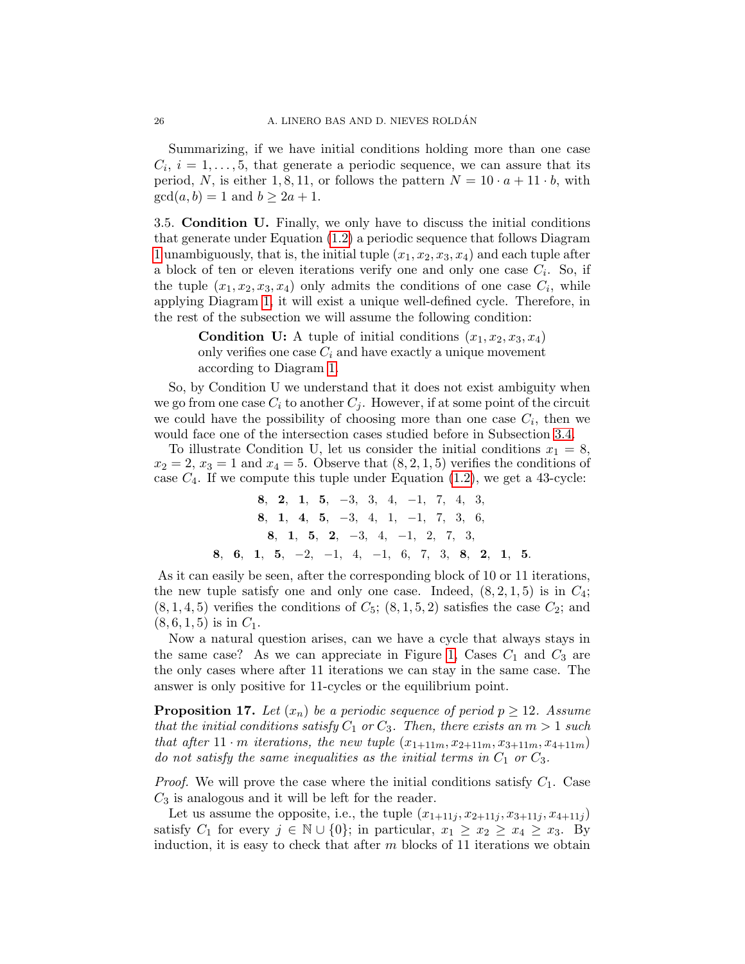Summarizing, if we have initial conditions holding more than one case  $C_i$ ,  $i = 1, \ldots, 5$ , that generate a periodic sequence, we can assure that its period, N, is either 1, 8, 11, or follows the pattern  $N = 10 \cdot a + 11 \cdot b$ , with  $gcd(a, b) = 1$  and  $b \geq 2a + 1$ .

<span id="page-25-0"></span>3.5. Condition U. Finally, we only have to discuss the initial conditions that generate under Equation [\(1.2\)](#page-1-1) a periodic sequence that follows Diagram [1](#page-11-0) unambiguously, that is, the initial tuple  $(x_1, x_2, x_3, x_4)$  and each tuple after a block of ten or eleven iterations verify one and only one case  $C_i$ . So, if the tuple  $(x_1, x_2, x_3, x_4)$  only admits the conditions of one case  $C_i$ , while applying Diagram [1,](#page-11-0) it will exist a unique well-defined cycle. Therefore, in the rest of the subsection we will assume the following condition:

> **Condition U:** A tuple of initial conditions  $(x_1, x_2, x_3, x_4)$ only verifies one case  $C_i$  and have exactly a unique movement according to Diagram [1.](#page-11-0)

So, by Condition U we understand that it does not exist ambiguity when we go from one case  $C_i$  to another  $C_j$ . However, if at some point of the circuit we could have the possibility of choosing more than one case  $C_i$ , then we would face one of the intersection cases studied before in Subsection [3.4.](#page-23-0)

To illustrate Condition U, let us consider the initial conditions  $x_1 = 8$ ,  $x_2 = 2, x_3 = 1$  and  $x_4 = 5$ . Observe that  $(8, 2, 1, 5)$  verifies the conditions of case  $C_4$ . If we compute this tuple under Equation  $(1.2)$  $(1.2)$ , we get a 43-cycle:

8, 2, 1, 5, −3, 3, 4, −1, 7, 4, 3, 8, 1, 4, 5, −3, 4, 1, −1, 7, 3, 6, 8, 1, 5, 2, −3, 4, −1, 2, 7, 3, 8, 6, 1, 5, −2, −1, 4, −1, 6, 7, 3, 8, 2, 1, 5.

As it can easily be seen, after the corresponding block of 10 or 11 iterations, the new tuple satisfy one and only one case. Indeed,  $(8, 2, 1, 5)$  is in  $C_4$ ;  $(8, 1, 4, 5)$  verifies the conditions of  $C_5$ ;  $(8, 1, 5, 2)$  satisfies the case  $C_2$ ; and  $(8, 6, 1, 5)$  is in  $C_1$ .

Now a natural question arises, can we have a cycle that always stays in the same case? As we can appreciate in Figure [1,](#page-11-0) Cases  $C_1$  and  $C_3$  are the only cases where after 11 iterations we can stay in the same case. The answer is only positive for 11-cycles or the equilibrium point.

**Proposition 17.** Let  $(x_n)$  be a periodic sequence of period  $p \ge 12$ . Assume that the initial conditions satisfy  $C_1$  or  $C_3$ . Then, there exists an  $m > 1$  such that after  $11 \cdot m$  iterations, the new tuple  $(x_{1+11m}, x_{2+11m}, x_{3+11m}, x_{4+11m})$ do not satisfy the same inequalities as the initial terms in  $C_1$  or  $C_3$ .

*Proof.* We will prove the case where the initial conditions satisfy  $C_1$ . Case  $C_3$  is analogous and it will be left for the reader.

Let us assume the opposite, i.e., the tuple  $(x_{1+11j}, x_{2+11j}, x_{3+11j}, x_{4+11j})$ satisfy  $C_1$  for every  $j \in \mathbb{N} \cup \{0\}$ ; in particular,  $x_1 \geq x_2 \geq x_4 \geq x_3$ . By induction, it is easy to check that after  $m$  blocks of 11 iterations we obtain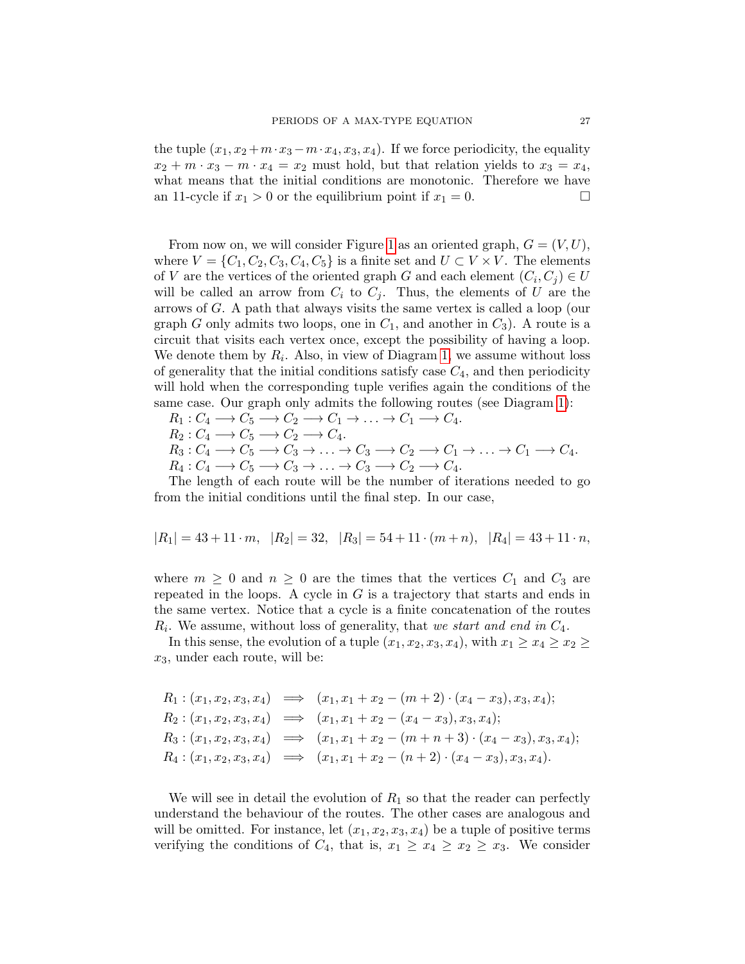the tuple  $(x_1, x_2 + m \cdot x_3 - m \cdot x_4, x_3, x_4)$ . If we force periodicity, the equality  $x_2 + m \cdot x_3 - m \cdot x_4 = x_2$  must hold, but that relation yields to  $x_3 = x_4$ , what means that the initial conditions are monotonic. Therefore we have an 11-cycle if  $x_1 > 0$  or the equilibrium point if  $x_1 = 0$ .

From now on, we will consider Figure [1](#page-11-0) as an oriented graph,  $G = (V, U)$ , where  $V = \{C_1, C_2, C_3, C_4, C_5\}$  is a finite set and  $U \subset V \times V$ . The elements of V are the vertices of the oriented graph G and each element  $(C_i, C_j) \in U$ will be called an arrow from  $C_i$  to  $C_j$ . Thus, the elements of U are the arrows of G. A path that always visits the same vertex is called a loop (our graph G only admits two loops, one in  $C_1$ , and another in  $C_3$ ). A route is a circuit that visits each vertex once, except the possibility of having a loop. We denote them by  $R_i$ . Also, in view of Diagram [1,](#page-11-0) we assume without loss of generality that the initial conditions satisfy case  $C_4$ , and then periodicity will hold when the corresponding tuple verifies again the conditions of the same case. Our graph only admits the following routes (see Diagram [1\)](#page-11-0):

$$
R_1: C_4 \longrightarrow C_5 \longrightarrow C_2 \longrightarrow C_1 \longrightarrow \ldots \longrightarrow C_1 \longrightarrow C_4.
$$

$$
R_2: C_4 \longrightarrow C_5 \longrightarrow C_2 \longrightarrow C_4.
$$

 $R_3: C_4 \longrightarrow C_5 \longrightarrow C_3 \longrightarrow \ldots \longrightarrow C_3 \longrightarrow C_2 \longrightarrow C_1 \longrightarrow \ldots \longrightarrow C_1 \longrightarrow C_4.$  $R_4: C_4 \longrightarrow C_5 \longrightarrow C_3 \longrightarrow \ldots \longrightarrow C_3 \longrightarrow C_2 \longrightarrow C_4.$ 

The length of each route will be the number of iterations needed to go from the initial conditions until the final step. In our case,

$$
|R_1| = 43 + 11 \cdot m
$$
,  $|R_2| = 32$ ,  $|R_3| = 54 + 11 \cdot (m+n)$ ,  $|R_4| = 43 + 11 \cdot n$ ,

where  $m \geq 0$  and  $n \geq 0$  are the times that the vertices  $C_1$  and  $C_3$  are repeated in the loops. A cycle in  $G$  is a trajectory that starts and ends in the same vertex. Notice that a cycle is a finite concatenation of the routes  $R_i$ . We assume, without loss of generality, that we start and end in  $C_4$ .

In this sense, the evolution of a tuple  $(x_1, x_2, x_3, x_4)$ , with  $x_1 \ge x_4 \ge x_2 \ge$  $x_3$ , under each route, will be:

$$
R_1: (x_1, x_2, x_3, x_4) \implies (x_1, x_1 + x_2 - (m+2) \cdot (x_4 - x_3), x_3, x_4);
$$
  
\n
$$
R_2: (x_1, x_2, x_3, x_4) \implies (x_1, x_1 + x_2 - (x_4 - x_3), x_3, x_4);
$$
  
\n
$$
R_3: (x_1, x_2, x_3, x_4) \implies (x_1, x_1 + x_2 - (m+n+3) \cdot (x_4 - x_3), x_3, x_4);
$$
  
\n
$$
R_4: (x_1, x_2, x_3, x_4) \implies (x_1, x_1 + x_2 - (n+2) \cdot (x_4 - x_3), x_3, x_4).
$$

We will see in detail the evolution of  $R_1$  so that the reader can perfectly understand the behaviour of the routes. The other cases are analogous and will be omitted. For instance, let  $(x_1, x_2, x_3, x_4)$  be a tuple of positive terms verifying the conditions of  $C_4$ , that is,  $x_1 \ge x_4 \ge x_2 \ge x_3$ . We consider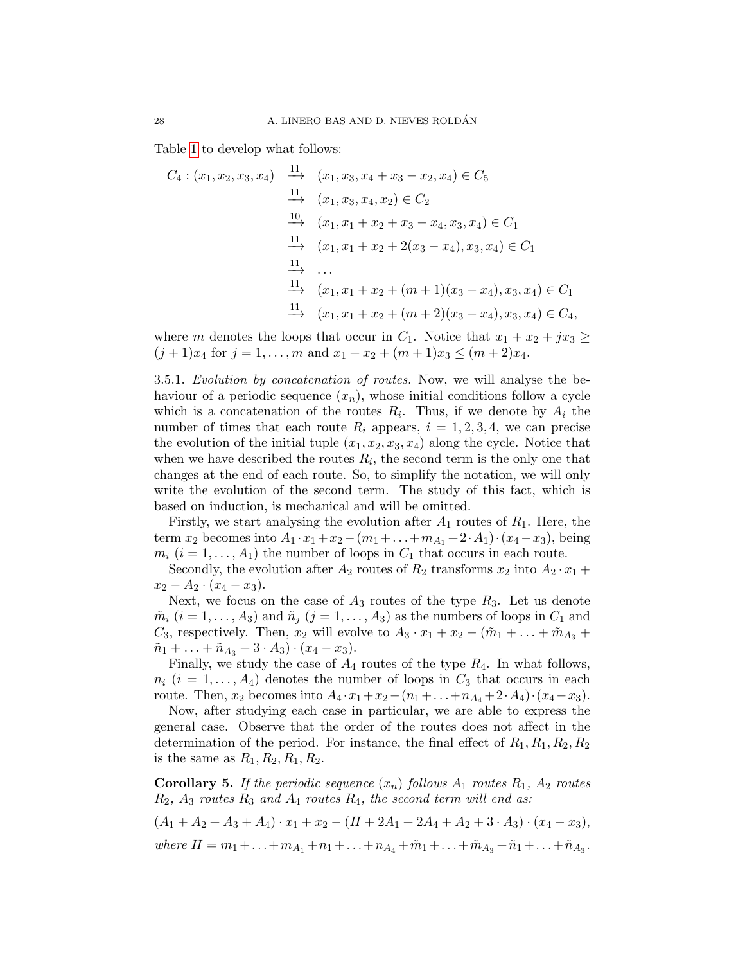Table [1](#page-11-1) to develop what follows:

$$
C_4: (x_1, x_2, x_3, x_4) \xrightarrow{11} (x_1, x_3, x_4 + x_3 - x_2, x_4) \in C_5
$$
  
\n
$$
\xrightarrow{11} (x_1, x_3, x_4, x_2) \in C_2
$$
  
\n
$$
\xrightarrow{10} (x_1, x_1 + x_2 + x_3 - x_4, x_3, x_4) \in C_1
$$
  
\n
$$
\xrightarrow{11} (x_1, x_1 + x_2 + 2(x_3 - x_4), x_3, x_4) \in C_1
$$
  
\n
$$
\xrightarrow{11} (x_1, x_1 + x_2 + (m+1)(x_3 - x_4), x_3, x_4) \in C_1
$$
  
\n
$$
\xrightarrow{11} (x_1, x_1 + x_2 + (m+2)(x_3 - x_4), x_3, x_4) \in C_4,
$$

where m denotes the loops that occur in  $C_1$ . Notice that  $x_1 + x_2 + jx_3 \geq$  $(j + 1)x_4$  for  $j = 1, ..., m$  and  $x_1 + x_2 + (m + 1)x_3 \leq (m + 2)x_4$ .

3.5.1. Evolution by concatenation of routes. Now, we will analyse the behaviour of a periodic sequence  $(x_n)$ , whose initial conditions follow a cycle which is a concatenation of the routes  $R_i$ . Thus, if we denote by  $A_i$  the number of times that each route  $R_i$  appears,  $i = 1, 2, 3, 4$ , we can precise the evolution of the initial tuple  $(x_1, x_2, x_3, x_4)$  along the cycle. Notice that when we have described the routes  $R_i$ , the second term is the only one that changes at the end of each route. So, to simplify the notation, we will only write the evolution of the second term. The study of this fact, which is based on induction, is mechanical and will be omitted.

Firstly, we start analysing the evolution after  $A_1$  routes of  $R_1$ . Here, the term  $x_2$  becomes into  $A_1 \cdot x_1 + x_2 - (m_1 + \ldots + m_{A_1} + 2 \cdot A_1) \cdot (x_4 - x_3)$ , being  $m_i$   $(i = 1, \ldots, A_1)$  the number of loops in  $C_1$  that occurs in each route.

Secondly, the evolution after  $A_2$  routes of  $R_2$  transforms  $x_2$  into  $A_2 \cdot x_1 +$  $x_2 - A_2 \cdot (x_4 - x_3).$ 

Next, we focus on the case of  $A_3$  routes of the type  $R_3$ . Let us denote  $\tilde{m}_i$   $(i = 1, \ldots, A_3)$  and  $\tilde{n}_j$   $(j = 1, \ldots, A_3)$  as the numbers of loops in  $C_1$  and  $C_3$ , respectively. Then,  $x_2$  will evolve to  $A_3 \cdot x_1 + x_2 - (\tilde{m}_1 + \ldots + \tilde{m}_{A_3} +$  $\tilde{n}_1 + \ldots + \tilde{n}_{A_3} + 3 \cdot A_3 \cdot (x_4 - x_3).$ 

Finally, we study the case of  $A_4$  routes of the type  $R_4$ . In what follows,  $n_i$   $(i = 1, \ldots, A_4)$  denotes the number of loops in  $C_3$  that occurs in each route. Then,  $x_2$  becomes into  $A_4 \cdot x_1 + x_2 - (n_1 + ... + n_{A_4} + 2 \cdot A_4) \cdot (x_4 - x_3)$ .

Now, after studying each case in particular, we are able to express the general case. Observe that the order of the routes does not affect in the determination of the period. For instance, the final effect of  $R_1, R_1, R_2, R_2$ is the same as  $R_1, R_2, R_1, R_2$ .

<span id="page-27-0"></span>**Corollary 5.** If the periodic sequence  $(x_n)$  follows  $A_1$  routes  $R_1$ ,  $A_2$  routes  $R_2$ ,  $A_3$  routes  $R_3$  and  $A_4$  routes  $R_4$ , the second term will end as:

 $(A_1 + A_2 + A_3 + A_4) \cdot x_1 + x_2 - (H + 2A_1 + 2A_4 + A_2 + 3 \cdot A_3) \cdot (x_4 - x_3),$ where  $H = m_1 + \ldots + m_{A_1} + n_1 + \ldots + n_{A_4} + \tilde{m}_1 + \ldots + \tilde{m}_{A_3} + \tilde{n}_1 + \ldots + \tilde{n}_{A_3}$ .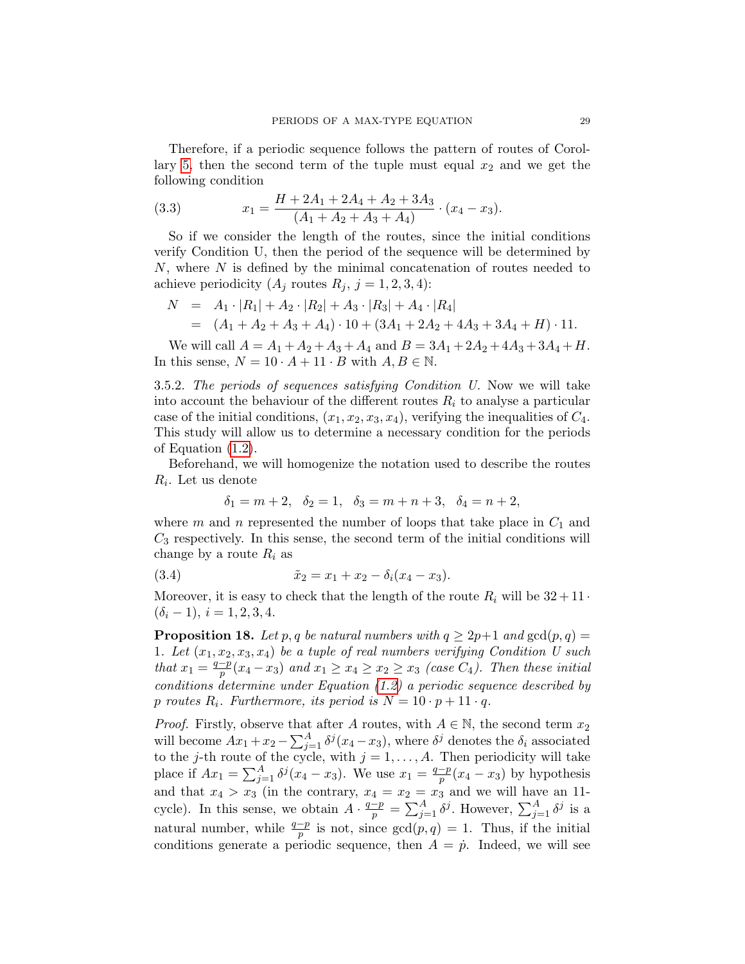Therefore, if a periodic sequence follows the pattern of routes of Corol-lary [5,](#page-27-0) then the second term of the tuple must equal  $x_2$  and we get the following condition

<span id="page-28-1"></span>(3.3) 
$$
x_1 = \frac{H + 2A_1 + 2A_4 + A_2 + 3A_3}{(A_1 + A_2 + A_3 + A_4)} \cdot (x_4 - x_3).
$$

So if we consider the length of the routes, since the initial conditions verify Condition U, then the period of the sequence will be determined by  $N$ , where  $N$  is defined by the minimal concatenation of routes needed to achieve periodicity  $(A_j \text{ routes } R_j, j = 1, 2, 3, 4)$ :

$$
N = A_1 \cdot |R_1| + A_2 \cdot |R_2| + A_3 \cdot |R_3| + A_4 \cdot |R_4|
$$
  
=  $(A_1 + A_2 + A_3 + A_4) \cdot 10 + (3A_1 + 2A_2 + 4A_3 + 3A_4 + H) \cdot 11.$ 

We will call  $A = A_1 + A_2 + A_3 + A_4$  and  $B = 3A_1 + 2A_2 + 4A_3 + 3A_4 + H$ . In this sense,  $N = 10 \cdot A + 11 \cdot B$  with  $A, B \in \mathbb{N}$ .

3.5.2. The periods of sequences satisfying Condition U. Now we will take into account the behaviour of the different routes  $R_i$  to analyse a particular case of the initial conditions,  $(x_1, x_2, x_3, x_4)$ , verifying the inequalities of  $C_4$ . This study will allow us to determine a necessary condition for the periods of Equation [\(1.2\)](#page-1-1).

Beforehand, we will homogenize the notation used to describe the routes  $R_i$ . Let us denote

<span id="page-28-0"></span>
$$
\delta_1 = m + 2, \quad \delta_2 = 1, \quad \delta_3 = m + n + 3, \quad \delta_4 = n + 2,
$$

where m and n represented the number of loops that take place in  $C_1$  and  $C_3$  respectively. In this sense, the second term of the initial conditions will change by a route  $R_i$  as

(3.4) 
$$
\tilde{x}_2 = x_1 + x_2 - \delta_i(x_4 - x_3).
$$

Moreover, it is easy to check that the length of the route  $R_i$  will be  $32+11$ .  $(\delta_i - 1), i = 1, 2, 3, 4.$ 

<span id="page-28-2"></span>**Proposition 18.** Let p, q be natural numbers with  $q \ge 2p+1$  and  $gcd(p, q) =$ 1. Let  $(x_1, x_2, x_3, x_4)$  be a tuple of real numbers verifying Condition U such that  $x_1 = \frac{q-p}{p}$  $\frac{-p}{p}(x_4-x_3)$  and  $x_1\geq x_4\geq x_2\geq x_3$  (case  $C_4$ ). Then these initial conditions determine under Equation [\(1.2\)](#page-1-1) a periodic sequence described by p routes  $R_i$ . Furthermore, its period is  $N = 10 \cdot p + 11 \cdot q$ .

*Proof.* Firstly, observe that after A routes, with  $A \in \mathbb{N}$ , the second term  $x_2$ will become  $Ax_1 + x_2 - \sum_{j=1}^A \delta^j (x_4 - x_3)$ , where  $\delta^j$  denotes the  $\delta_i$  associated to the j-th route of the cycle, with  $j = 1, \ldots, A$ . Then periodicity will take place if  $Ax_1 = \sum_{j=1}^{A} \delta^j (x_4 - x_3)$ . We use  $x_1 = \frac{q-p}{p}$  $\frac{-p}{p}(x_4 - x_3)$  by hypothesis and that  $x_4 > x_3$  (in the contrary,  $x_4 = x_2 = x_3$  and we will have an 11cycle). In this sense, we obtain  $A \cdot \frac{q-p}{p} = \sum_{j=1}^{A} \delta^j$ . However,  $\sum_{j=1}^{A} \delta^j$  is a natural number, while  $\frac{q-p}{p}$  is not, since  $gcd(p, q) = 1$ . Thus, if the initial conditions generate a periodic sequence, then  $A = \dot{p}$ . Indeed, we will see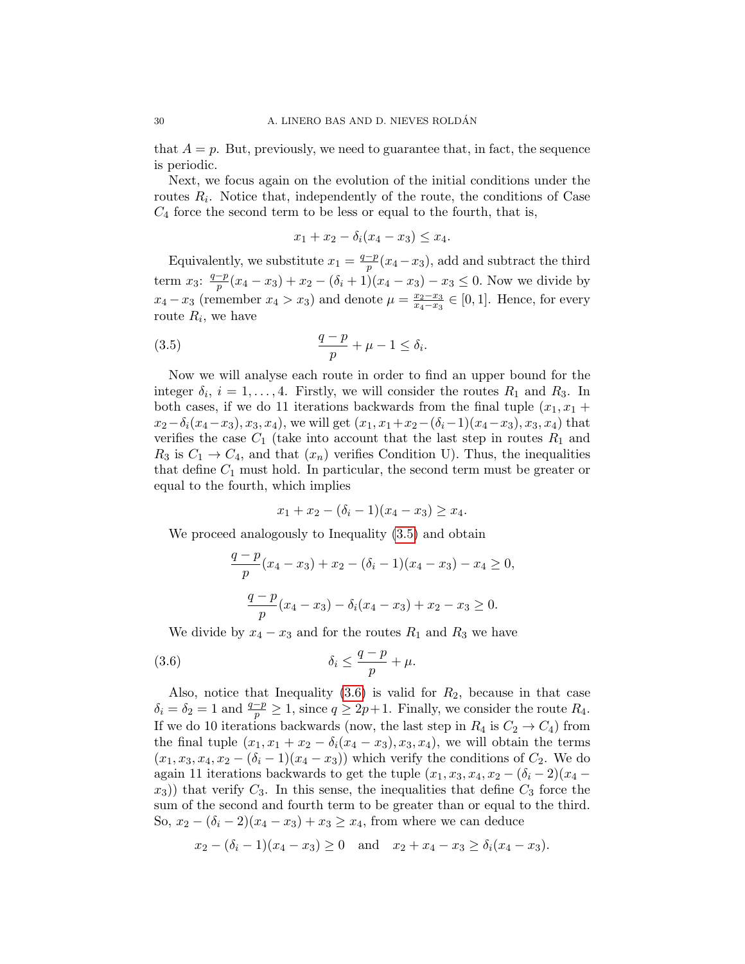that  $A = p$ . But, previously, we need to guarantee that, in fact, the sequence is periodic.

Next, we focus again on the evolution of the initial conditions under the routes  $R_i$ . Notice that, independently of the route, the conditions of Case  $C_4$  force the second term to be less or equal to the fourth, that is,

<span id="page-29-0"></span>
$$
x_1 + x_2 - \delta_i(x_4 - x_3) \le x_4.
$$

Equivalently, we substitute  $x_1 = \frac{q-p}{p}$  $\frac{-p}{p}(x_4 - x_3)$ , add and subtract the third term  $x_3: \frac{q-p}{p}$  $\frac{-p}{p}(x_4 - x_3) + x_2 - (\delta_i + 1)(x_4 - x_3) - x_3 \leq 0$ . Now we divide by  $x_4 - x_3$  (remember  $x_4 > x_3$ ) and denote  $\mu = \frac{x_2 - x_3}{x_4 - x_2}$  $\frac{x_2-x_3}{x_4-x_3} \in [0,1]$ . Hence, for every route  $R_i$ , we have

$$
\frac{q-p}{p} + \mu - 1 \le \delta_i.
$$

Now we will analyse each route in order to find an upper bound for the integer  $\delta_i$ ,  $i = 1, ..., 4$ . Firstly, we will consider the routes  $R_1$  and  $R_3$ . In both cases, if we do 11 iterations backwards from the final tuple  $(x_1, x_1 +$  $x_2-\delta_i(x_4-x_3), x_3, x_4$ , we will get  $(x_1, x_1+x_2-(\delta_i-1)(x_4-x_3), x_3, x_4)$  that verifies the case  $C_1$  (take into account that the last step in routes  $R_1$  and  $R_3$  is  $C_1 \rightarrow C_4$ , and that  $(x_n)$  verifies Condition U). Thus, the inequalities that define  $C_1$  must hold. In particular, the second term must be greater or equal to the fourth, which implies

$$
x_1 + x_2 - (\delta_i - 1)(x_4 - x_3) \ge x_4.
$$

We proceed analogously to Inequality [\(3.5\)](#page-29-0) and obtain

<span id="page-29-1"></span>
$$
\frac{q-p}{p}(x_4 - x_3) + x_2 - (\delta_i - 1)(x_4 - x_3) - x_4 \ge 0,
$$
  

$$
\frac{q-p}{p}(x_4 - x_3) - \delta_i(x_4 - x_3) + x_2 - x_3 \ge 0.
$$

We divide by  $x_4 - x_3$  and for the routes  $R_1$  and  $R_3$  we have

$$
(3.6) \t\t \delta_i \le \frac{q-p}{p} + \mu.
$$

Also, notice that Inequality  $(3.6)$  is valid for  $R_2$ , because in that case  $\delta_i = \delta_2 = 1$  and  $\frac{q-p}{p} \ge 1$ , since  $q \ge 2p+1$ . Finally, we consider the route  $R_4$ . If we do 10 iterations backwards (now, the last step in  $R_4$  is  $C_2 \rightarrow C_4$ ) from the final tuple  $(x_1, x_1 + x_2 - \delta_i(x_4 - x_3), x_3, x_4)$ , we will obtain the terms  $(x_1, x_3, x_4, x_2 - (\delta_i - 1)(x_4 - x_3))$  which verify the conditions of  $C_2$ . We do again 11 iterations backwards to get the tuple  $(x_1, x_3, x_4, x_2 - (\delta_i - 2)(x_4 (x_3)$ ) that verify  $C_3$ . In this sense, the inequalities that define  $C_3$  force the sum of the second and fourth term to be greater than or equal to the third. So,  $x_2 - (\delta_i - 2)(x_4 - x_3) + x_3 \ge x_4$ , from where we can deduce

$$
x_2 - (\delta_i - 1)(x_4 - x_3) \ge 0
$$
 and  $x_2 + x_4 - x_3 \ge \delta_i(x_4 - x_3)$ .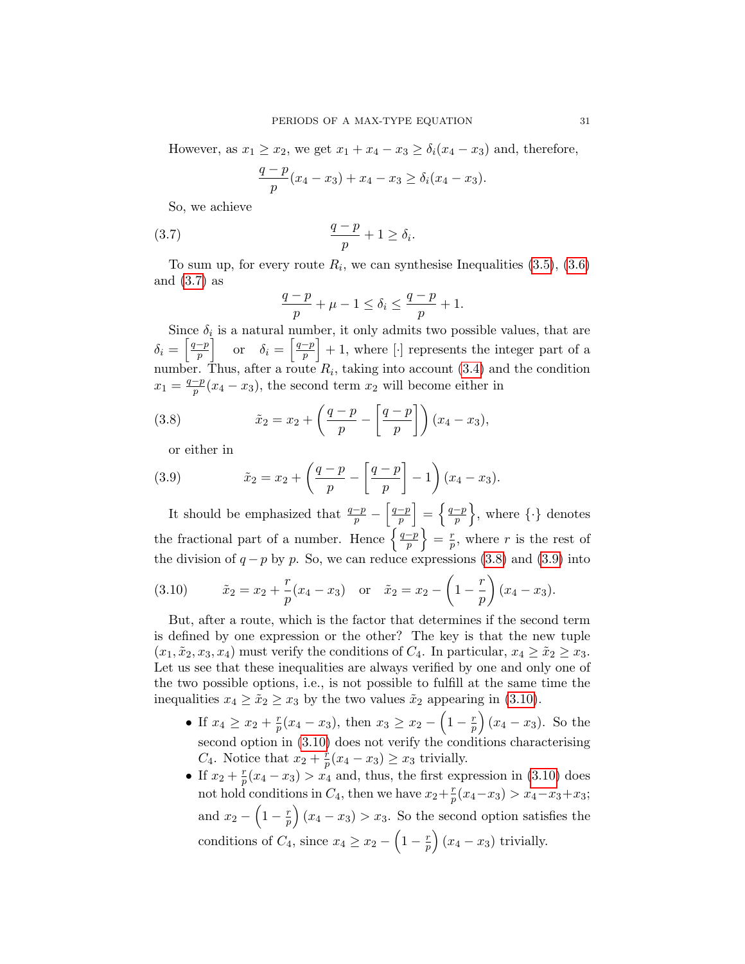However, as  $x_1 \ge x_2$ , we get  $x_1 + x_4 - x_3 \ge \delta_i(x_4 - x_3)$  and, therefore,

$$
\frac{q-p}{p}(x_4 - x_3) + x_4 - x_3 \ge \delta_i(x_4 - x_3).
$$

So, we achieve

$$
\frac{q-p}{p} + 1 \ge \delta_i.
$$

To sum up, for every route  $R_i$ , we can synthesise Inequalities  $(3.5)$ ,  $(3.6)$ and [\(3.7\)](#page-30-0) as

<span id="page-30-0"></span>
$$
\frac{q-p}{p} + \mu - 1 \le \delta_i \le \frac{q-p}{p} + 1.
$$

Since  $\delta_i$  is a natural number, it only admits two possible values, that are  $\delta_i = \left\lceil \frac{q-p}{n} \right\rceil$  $\begin{bmatrix} \frac{-p}{p} \end{bmatrix}$  or  $\delta_i = \begin{bmatrix} \frac{q-p}{p} \end{bmatrix}$  $\left[\frac{-p}{p}\right] + 1$ , where  $[\cdot]$  represents the integer part of a number. Thus, after a route  $R_i$ , taking into account  $(3.4)$  and the condition  $x_1 = \frac{q-p}{p}$  $\frac{-p}{p}(x_4 - x_3)$ , the second term  $x_2$  will become either in

(3.8) 
$$
\tilde{x}_2 = x_2 + \left(\frac{q-p}{p} - \left[\frac{q-p}{p}\right]\right)(x_4 - x_3),
$$

<span id="page-30-2"></span><span id="page-30-1"></span>or either in

(3.9) 
$$
\tilde{x}_2 = x_2 + \left(\frac{q-p}{p} - \left[\frac{q-p}{p}\right] - 1\right)(x_4 - x_3).
$$

It should be emphasized that  $\frac{q-p}{p} - \left[\frac{q-p}{p}\right]$  $\left\lceil\frac{-p}{p}\right\rceil =\left\{ \frac{q-p}{p}\right\}$  $\left\{\frac{-p}{p}\right\}$ , where  $\{\cdot\}$  denotes the fractional part of a number. Hence  $\frac{q-p}{p}$  $\left\{\frac{-p}{p}\right\} = \frac{r}{p}$  $\frac{r}{p}$ , where r is the rest of the division of  $q - p$  by p. So, we can reduce expressions [\(3.8\)](#page-30-1) and [\(3.9\)](#page-30-2) into

<span id="page-30-3"></span>(3.10) 
$$
\tilde{x}_2 = x_2 + \frac{r}{p}(x_4 - x_3)
$$
 or  $\tilde{x}_2 = x_2 - \left(1 - \frac{r}{p}\right)(x_4 - x_3).$ 

But, after a route, which is the factor that determines if the second term is defined by one expression or the other? The key is that the new tuple  $(x_1, \tilde{x}_2, x_3, x_4)$  must verify the conditions of  $C_4$ . In particular,  $x_4 \geq \tilde{x}_2 \geq x_3$ . Let us see that these inequalities are always verified by one and only one of the two possible options, i.e., is not possible to fulfill at the same time the inequalities  $x_4 \geq \tilde{x}_2 \geq x_3$  by the two values  $\tilde{x}_2$  appearing in [\(3.10\)](#page-30-3).

- If  $x_4 \geq x_2 + \frac{r}{n}$  $\frac{r}{p}(x_4 - x_3)$ , then  $x_3 \ge x_2 - \left(1 - \frac{r}{p}\right)$  $\left(\frac{r}{p}\right)(x_4-x_3)$ . So the second option in [\(3.10\)](#page-30-3) does not verify the conditions characterising  $C_4$ . Notice that  $x_2 + \frac{r}{n}$  $\frac{r}{p}(x_4 - x_3) \ge x_3$  trivially.
- If  $x_2 + \frac{r}{n}$  $\frac{r}{p}(x_4 - x_3) > x_4$  and, thus, the first expression in [\(3.10\)](#page-30-3) does not hold conditions in  $C_4$ , then we have  $x_2 + \frac{r}{n}$  $\frac{r}{p}(x_4-x_3) > x_4-x_3+x_3;$ and  $x_2 - \left(1 - \frac{r}{n}\right)$  $\left(\frac{r}{p}\right)(x_4 - x_3) > x_3$ . So the second option satisfies the conditions of  $C_4$ , since  $x_4 \ge x_2 - \left(1 - \frac{r}{n}\right)$  $\left(\frac{r}{p}\right)(x_4-x_3)$  trivially.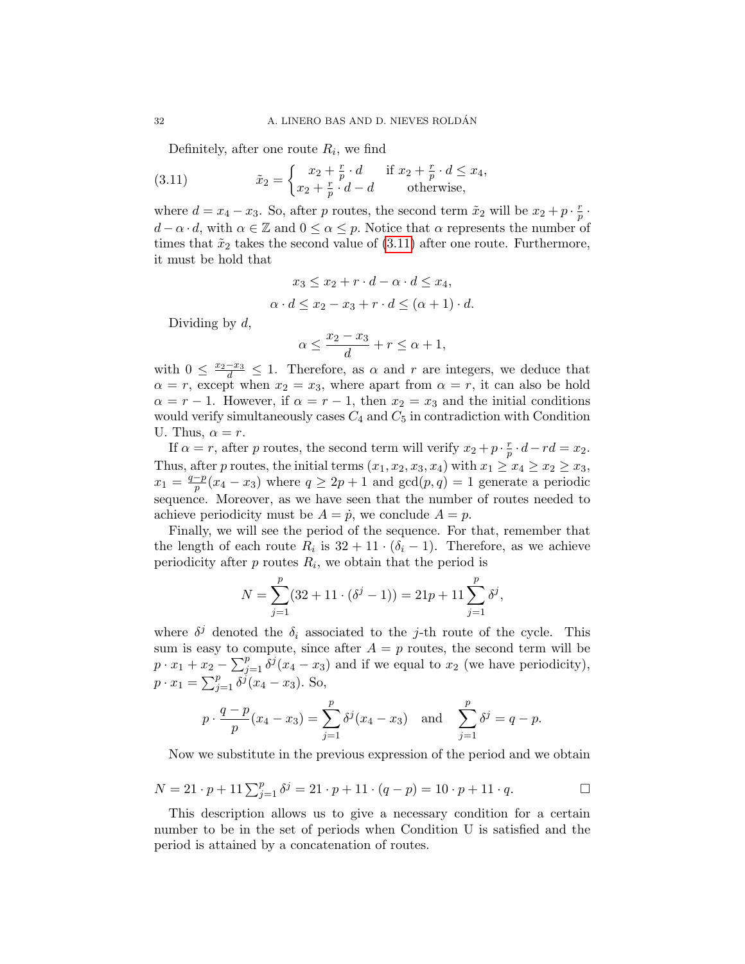<span id="page-31-0"></span>Definitely, after one route  $R_i$ , we find

(3.11) 
$$
\tilde{x}_2 = \begin{cases} x_2 + \frac{r}{p} \cdot d & \text{if } x_2 + \frac{r}{p} \cdot d \leq x_4, \\ x_2 + \frac{r}{p} \cdot d - d & \text{otherwise,} \end{cases}
$$

where  $d = x_4 - x_3$ . So, after p routes, the second term  $\tilde{x}_2$  will be  $x_2 + p \cdot \frac{r}{n}$  $\frac{r}{p}$  .  $d - \alpha \cdot d$ , with  $\alpha \in \mathbb{Z}$  and  $0 \leq \alpha \leq p$ . Notice that  $\alpha$  represents the number of times that  $\tilde{x}_2$  takes the second value of [\(3.11\)](#page-31-0) after one route. Furthermore, it must be hold that

$$
x_3 \le x_2 + r \cdot d - \alpha \cdot d \le x_4,
$$
  

$$
\alpha \cdot d \le x_2 - x_3 + r \cdot d \le (\alpha + 1) \cdot d.
$$

Dividing by  $d$ ,

$$
\alpha \le \frac{x_2 - x_3}{d} + r \le \alpha + 1,
$$

with  $0 \leq \frac{x_2-x_3}{d} \leq 1$ . Therefore, as  $\alpha$  and  $r$  are integers, we deduce that  $\alpha = r$ , except when  $x_2 = x_3$ , where apart from  $\alpha = r$ , it can also be hold  $\alpha = r - 1$ . However, if  $\alpha = r - 1$ , then  $x_2 = x_3$  and the initial conditions would verify simultaneously cases  $C_4$  and  $C_5$  in contradiction with Condition U. Thus,  $\alpha = r$ .

If  $\alpha = r$ , after p routes, the second term will verify  $x_2 + p \cdot \frac{r}{n}$  $rac{r}{p} \cdot d - rd = x_2.$ Thus, after p routes, the initial terms  $(x_1, x_2, x_3, x_4)$  with  $x_1 \ge x_4 \ge x_2 \ge x_3$ ,  $x_1 = \frac{q-p}{p}$  $\frac{-p}{p}(x_4 - x_3)$  where  $q \ge 2p + 1$  and  $gcd(p, q) = 1$  generate a periodic sequence. Moreover, as we have seen that the number of routes needed to achieve periodicity must be  $A = \dot{p}$ , we conclude  $A = p$ .

Finally, we will see the period of the sequence. For that, remember that the length of each route  $R_i$  is  $32 + 11 \cdot (\delta_i - 1)$ . Therefore, as we achieve periodicity after  $p$  routes  $R_i$ , we obtain that the period is

$$
N = \sum_{j=1}^{p} (32 + 11 \cdot (\delta^{j} - 1)) = 21p + 11 \sum_{j=1}^{p} \delta^{j},
$$

where  $\delta^j$  denoted the  $\delta_i$  associated to the j-th route of the cycle. This sum is easy to compute, since after  $A = p$  routes, the second term will be  $p \cdot x_1 + x_2 - \sum_{j=1}^p \delta^j (x_4 - x_3)$  and if we equal to  $x_2$  (we have periodicity),  $p \cdot x_1 = \sum_{j=1}^p \delta^j (x_4 - x_3)$ . So,

$$
p \cdot \frac{q-p}{p}(x_4 - x_3) = \sum_{j=1}^p \delta^j(x_4 - x_3)
$$
 and  $\sum_{j=1}^p \delta^j = q - p$ .

Now we substitute in the previous expression of the period and we obtain

$$
N = 21 \cdot p + 11 \sum_{j=1}^{p} \delta^j = 21 \cdot p + 11 \cdot (q - p) = 10 \cdot p + 11 \cdot q.
$$

This description allows us to give a necessary condition for a certain number to be in the set of periods when Condition U is satisfied and the period is attained by a concatenation of routes.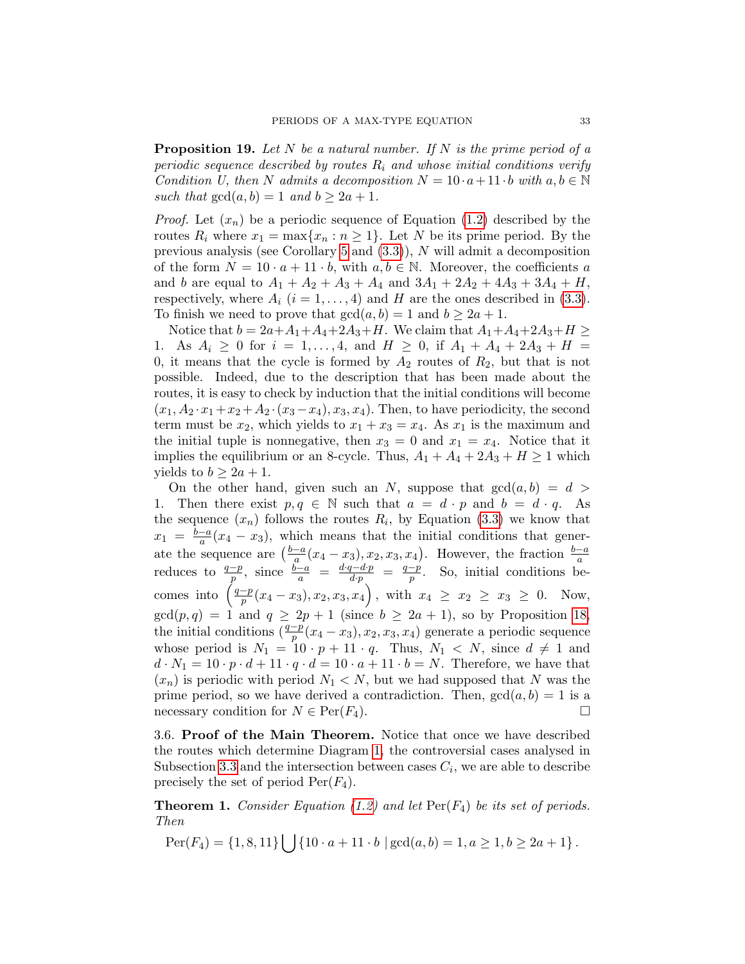<span id="page-32-2"></span>**Proposition 19.** Let N be a natural number. If N is the prime period of a periodic sequence described by routes  $R_i$  and whose initial conditions verify Condition U, then N admits a decomposition  $N = 10 \cdot a + 11 \cdot b$  with  $a, b \in \mathbb{N}$ such that  $gcd(a, b) = 1$  and  $b \geq 2a + 1$ .

*Proof.* Let  $(x_n)$  be a periodic sequence of Equation [\(1.2\)](#page-1-1) described by the routes  $R_i$  where  $x_1 = \max\{x_n : n \geq 1\}$ . Let N be its prime period. By the previous analysis (see Corollary [5](#page-27-0) and  $(3.3)$ ), N will admit a decomposition of the form  $N = 10 \cdot a + 11 \cdot b$ , with  $a, b \in \mathbb{N}$ . Moreover, the coefficients a and b are equal to  $A_1 + A_2 + A_3 + A_4$  and  $3A_1 + 2A_2 + 4A_3 + 3A_4 + H$ , respectively, where  $A_i$   $(i = 1, ..., 4)$  and H are the ones described in [\(3.3\)](#page-28-1). To finish we need to prove that  $gcd(a, b) = 1$  and  $b \ge 2a + 1$ .

Notice that  $b = 2a + A_1 + A_4 + 2A_3 + H$ . We claim that  $A_1 + A_4 + 2A_3 + H \ge$ 1. As  $A_i \geq 0$  for  $i = 1, ..., 4$ , and  $H \geq 0$ , if  $A_1 + A_4 + 2A_3 + H =$ 0, it means that the cycle is formed by  $A_2$  routes of  $R_2$ , but that is not possible. Indeed, due to the description that has been made about the routes, it is easy to check by induction that the initial conditions will become  $(x_1, A_2 \cdot x_1 + x_2 + A_2 \cdot (x_3 - x_4), x_3, x_4)$ . Then, to have periodicity, the second term must be  $x_2$ , which yields to  $x_1 + x_3 = x_4$ . As  $x_1$  is the maximum and the initial tuple is nonnegative, then  $x_3 = 0$  and  $x_1 = x_4$ . Notice that it implies the equilibrium or an 8-cycle. Thus,  $A_1 + A_4 + 2A_3 + H \ge 1$  which yields to  $b \geq 2a + 1$ .

On the other hand, given such an N, suppose that  $gcd(a, b) = d$ 1. Then there exist  $p, q \in \mathbb{N}$  such that  $a = d \cdot p$  and  $b = d \cdot q$ . As the sequence  $(x_n)$  follows the routes  $R_i$ , by Equation [\(3.3\)](#page-28-1) we know that  $x_1 = \frac{b-a}{a}$  $\frac{-a}{a}(x_4 - x_3)$ , which means that the initial conditions that generate the sequence are  $\left(\frac{b-a}{a}\right)$ ate the sequence are  $\left(\frac{b-a}{a}(x_4-x_3), x_2, x_3, x_4\right)$ . However, the fraction  $\frac{b-a}{a}$ <br>reduces to  $\frac{q-p}{p}$ , since  $\frac{b-a}{a} = \frac{d \cdot q - d \cdot p}{d \cdot p} = \frac{q-p}{p}$ . So, initial conditions be- $\frac{-p}{p}$ . So, initial conditions becomes into  $\left(\frac{q-p}{p}\right)$  $\frac{p-p}{p}(x_4-x_3), x_2, x_3, x_4\Big)\, , \, \, \text{with} \, \, \, x_4\ \geq \ x_2\ \geq \ x_3\ \geq \ 0. \quad \text{Now,}$  $gcd(p, q) = 1$  and  $q \ge 2p + 1$  (since  $b \ge 2a + 1$ ), so by Proposition [18,](#page-28-2) the initial conditions  $(\frac{q-p}{p}(x_4 - x_3), x_2, x_3, x_4)$  generate a periodic sequence whose period is  $N_1 = 10 \cdot p + 11 \cdot q$ . Thus,  $N_1 \langle N \rangle$ , since  $d \neq 1$  and  $d \cdot N_1 = 10 \cdot p \cdot d + 11 \cdot q \cdot d = 10 \cdot a + 11 \cdot b = N$ . Therefore, we have that  $(x_n)$  is periodic with period  $N_1 \leq N$ , but we had supposed that N was the prime period, so we have derived a contradiction. Then,  $gcd(a, b) = 1$  is a necessary condition for  $N \in \text{Per}(F_4)$ .

<span id="page-32-0"></span>3.6. Proof of the Main Theorem. Notice that once we have described the routes which determine Diagram [1,](#page-11-0) the controversial cases analysed in Subsection [3.3](#page-15-0) and the intersection between cases  $C_i$ , we are able to describe precisely the set of period  $\text{Per}(F_4)$ .

<span id="page-32-1"></span>**Theorem 1.** Consider Equation [\(1.2\)](#page-1-1) and let  $\text{Per}(F_4)$  be its set of periods. Then

$$
Per(F_4) = \{1, 8, 11\} \bigcup \{10 \cdot a + 11 \cdot b \mid \gcd(a, b) = 1, a \ge 1, b \ge 2a + 1\}.
$$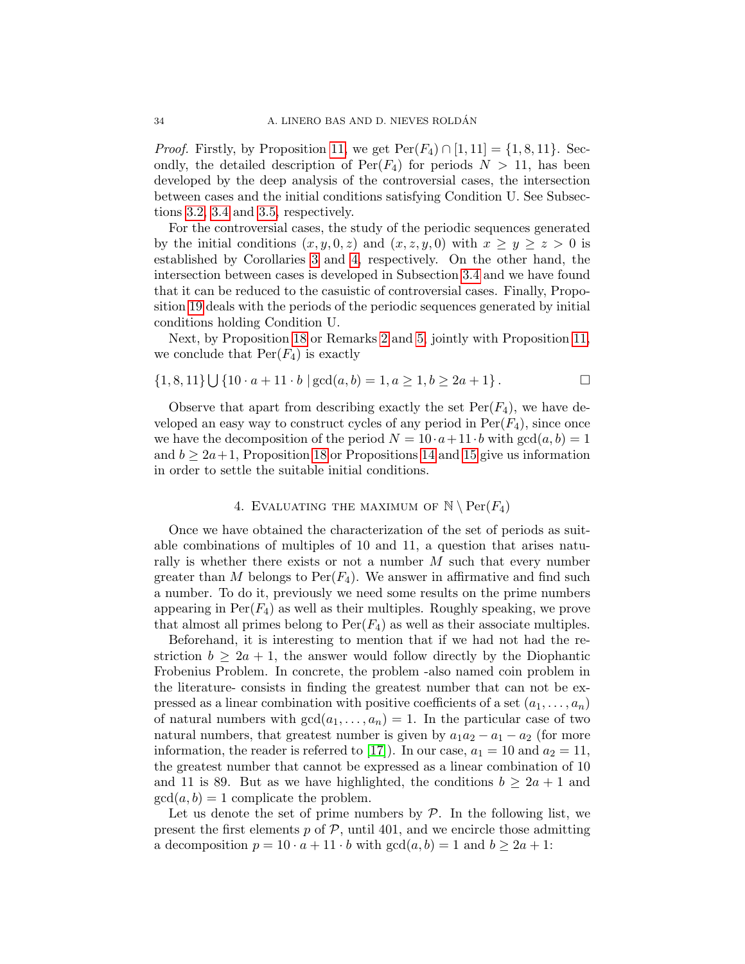*Proof.* Firstly, by Proposition [11,](#page-7-3) we get  $\text{Per}(F_4) \cap [1, 11] = \{1, 8, 11\}$ . Secondly, the detailed description of  $Per(F_4)$  for periods  $N > 11$ , has been developed by the deep analysis of the controversial cases, the intersection between cases and the initial conditions satisfying Condition U. See Subsections [3.2,](#page-12-0) [3.4](#page-23-0) and [3.5,](#page-25-0) respectively.

For the controversial cases, the study of the periodic sequences generated by the initial conditions  $(x, y, 0, z)$  and  $(x, z, y, 0)$  with  $x \ge y \ge z > 0$  is established by Corollaries [3](#page-18-1) and [4,](#page-23-1) respectively. On the other hand, the intersection between cases is developed in Subsection [3.4](#page-23-0) and we have found that it can be reduced to the casuistic of controversial cases. Finally, Proposition [19](#page-32-2) deals with the periods of the periodic sequences generated by initial conditions holding Condition U.

Next, by Proposition [18](#page-28-2) or Remarks [2](#page-18-2) and [5,](#page-23-2) jointly with Proposition [11,](#page-7-3) we conclude that  $Per(F_4)$  is exactly

$$
\{1,8,11\} \cup \{10 \cdot a + 11 \cdot b \mid \gcd(a,b) = 1, a \ge 1, b \ge 2a + 1\}.
$$

Observe that apart from describing exactly the set  $Per(F_4)$ , we have developed an easy way to construct cycles of any period in  $Per(F_4)$ , since once we have the decomposition of the period  $N = 10 \cdot a + 11 \cdot b$  with  $gcd(a, b) = 1$ and  $b \geq 2a+1$ , Proposition [18](#page-28-2) or Propositions [14](#page-17-1) and [15](#page-21-0) give us information in order to settle the suitable initial conditions.

## 4. EVALUATING THE MAXIMUM OF  $\mathbb{N} \setminus \text{Per}(F_4)$

<span id="page-33-0"></span>Once we have obtained the characterization of the set of periods as suitable combinations of multiples of 10 and 11, a question that arises naturally is whether there exists or not a number  $M$  such that every number greater than M belongs to  $\text{Per}(F_4)$ . We answer in affirmative and find such a number. To do it, previously we need some results on the prime numbers appearing in  $\text{Per}(F_4)$  as well as their multiples. Roughly speaking, we prove that almost all primes belong to  $\text{Per}(F_4)$  as well as their associate multiples.

Beforehand, it is interesting to mention that if we had not had the restriction  $b \geq 2a + 1$ , the answer would follow directly by the Diophantic Frobenius Problem. In concrete, the problem -also named coin problem in the literature- consists in finding the greatest number that can not be expressed as a linear combination with positive coefficients of a set  $(a_1, \ldots, a_n)$ of natural numbers with  $gcd(a_1, \ldots, a_n) = 1$ . In the particular case of two natural numbers, that greatest number is given by  $a_1a_2 - a_1 - a_2$  (for more information, the reader is referred to [\[17\]](#page-38-19)). In our case,  $a_1 = 10$  and  $a_2 = 11$ , the greatest number that cannot be expressed as a linear combination of 10 and 11 is 89. But as we have highlighted, the conditions  $b \geq 2a + 1$  and  $gcd(a, b) = 1$  complicate the problem.

Let us denote the set of prime numbers by  $P$ . In the following list, we present the first elements  $p$  of  $P$ , until 401, and we encircle those admitting a decomposition  $p = 10 \cdot a + 11 \cdot b$  with  $gcd(a, b) = 1$  and  $b \ge 2a + 1$ :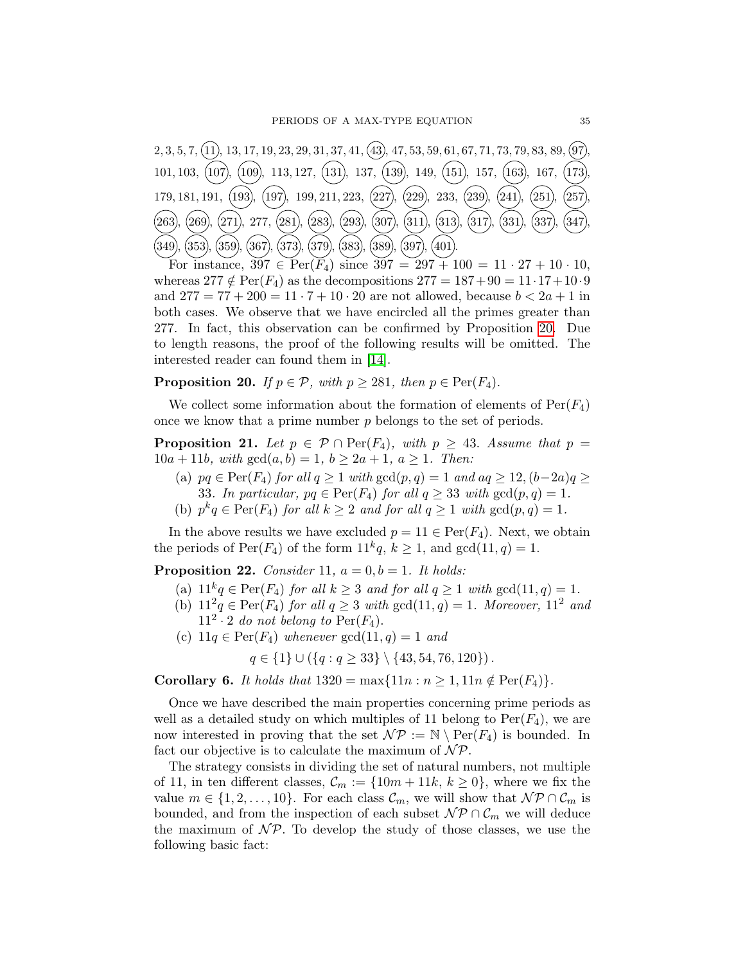

For instance,  $397 \in \text{Per}(\bar{F}_4)$  since  $397 = 297 + 100 = 11 \cdot 27 + 10 \cdot 10$ , whereas  $277 \notin \text{Per}(F_4)$  as the decompositions  $277 = 187 + 90 = 11 \cdot 17 + 10 \cdot 9$ and  $277 = 77 + 200 = 11 \cdot 7 + 10 \cdot 20$  are not allowed, because  $b < 2a + 1$  in both cases. We observe that we have encircled all the primes greater than 277. In fact, this observation can be confirmed by Proposition [20.](#page-34-0) Due to length reasons, the proof of the following results will be omitted. The interested reader can found them in [\[14\]](#page-38-18).

<span id="page-34-0"></span>**Proposition 20.** If  $p \in \mathcal{P}$ , with  $p \ge 281$ , then  $p \in \text{Per}(F_4)$ .

We collect some information about the formation of elements of  $Per(F_4)$ once we know that a prime number p belongs to the set of periods.

<span id="page-34-1"></span>**Proposition 21.** Let  $p \in \mathcal{P} \cap \text{Per}(F_4)$ , with  $p \geq 43$ . Assume that  $p =$  $10a + 11b$ , with  $gcd(a, b) = 1$ ,  $b \ge 2a + 1$ ,  $a \ge 1$ . Then:

- (a)  $pq \in Per(F_4)$  for all  $q \ge 1$  with  $gcd(p, q) = 1$  and  $aq \ge 12$ ,  $(b-2a)q \ge$ 33. In particular,  $pq \in Per(F_4)$  for all  $q \geq 33$  with  $gcd(p, q) = 1$ .
- (b)  $p^k q \in Per(F_4)$  for all  $k \geq 2$  and for all  $q \geq 1$  with  $gcd(p, q) = 1$ .

In the above results we have excluded  $p = 11 \in Per(F_4)$ . Next, we obtain the periods of  $\text{Per}(F_4)$  of the form  $11^k q$ ,  $k \geq 1$ , and  $\gcd(11, q) = 1$ .

<span id="page-34-2"></span>**Proposition 22.** Consider 11,  $a = 0, b = 1$ . It holds:

- (a)  $11^k q \in Per(F_4)$  for all  $k \geq 3$  and for all  $q \geq 1$  with  $gcd(11, q) = 1$ .
- (b)  $11^2q \in Per(F_4)$  for all  $q \geq 3$  with  $gcd(11, q) = 1$ . Moreover,  $11^2$  and  $11^2 \cdot 2$  do not belong to  $\text{Per}(F_4)$ .
- (c)  $11q \in Per(F_4)$  whenever  $gcd(11, q) = 1$  and

 $q \in \{1\} \cup (\{q : q \geq 33\} \setminus \{43, 54, 76, 120\})$ .

<span id="page-34-3"></span>Corollary 6. It holds that  $1320 = \max\{11n : n \geq 1, 11n \notin \text{Per}(F_4)\}.$ 

Once we have described the main properties concerning prime periods as well as a detailed study on which multiples of 11 belong to  $Per(F_4)$ , we are now interested in proving that the set  $\mathcal{NP} := \mathbb{N} \setminus \text{Per}(F_4)$  is bounded. In fact our objective is to calculate the maximum of  $\mathcal{NP}$ .

The strategy consists in dividing the set of natural numbers, not multiple of 11, in ten different classes,  $\mathcal{C}_m := \{10m + 11k, k \geq 0\}$ , where we fix the value  $m \in \{1, 2, ..., 10\}$ . For each class  $\mathcal{C}_m$ , we will show that  $\mathcal{NP} \cap \mathcal{C}_m$  is bounded, and from the inspection of each subset  $\mathcal{NP} \cap \mathcal{C}_m$  we will deduce the maximum of  $\mathcal{NP}$ . To develop the study of those classes, we use the following basic fact: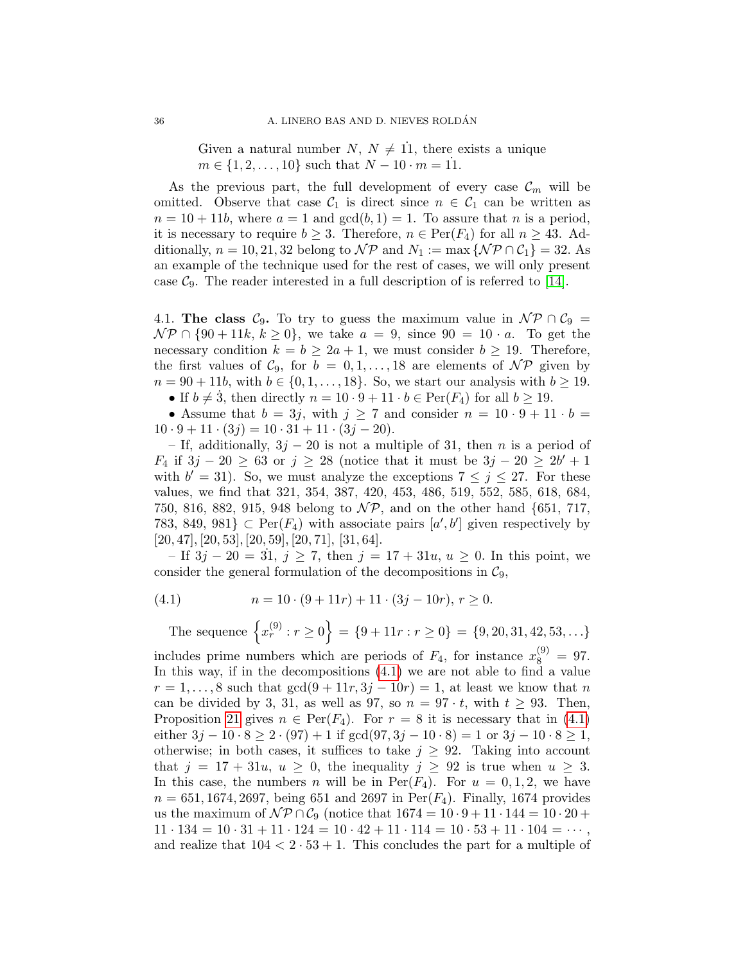Given a natural number  $N, N \neq 11$ , there exists a unique  $m \in \{1, 2, ..., 10\}$  such that  $N - 10 \cdot m = 11$ .

As the previous part, the full development of every case  $\mathcal{C}_m$  will be omitted. Observe that case  $C_1$  is direct since  $n \in C_1$  can be written as  $n = 10 + 11b$ , where  $a = 1$  and  $gcd(b, 1) = 1$ . To assure that n is a period, it is necessary to require  $b \geq 3$ . Therefore,  $n \in Per(F_4)$  for all  $n \geq 43$ . Additionally,  $n = 10, 21, 32$  belong to  $\mathcal{NP}$  and  $N_1 := \max \{ \mathcal{NP} \cap \mathcal{C}_1 \} = 32$ . As an example of the technique used for the rest of cases, we will only present case  $\mathcal{C}_9$ . The reader interested in a full description of is referred to [\[14\]](#page-38-18).

4.1. The class  $C_9$ . To try to guess the maximum value in  $\mathcal{NP} \cap C_9 =$  $\mathcal{NP} \cap \{90 + 11k, k \geq 0\}$ , we take  $a = 9$ , since  $90 = 10 \cdot a$ . To get the necessary condition  $k = b \ge 2a + 1$ , we must consider  $b \ge 19$ . Therefore, the first values of  $C_9$ , for  $b = 0, 1, ..., 18$  are elements of  $\mathcal{NP}$  given by  $n = 90 + 11b$ , with  $b \in \{0, 1, ..., 18\}$ . So, we start our analysis with  $b \ge 19$ . • If  $b \neq 3$ , then directly  $n = 10 \cdot 9 + 11 \cdot b \in \text{Per}(F_4)$  for all  $b \geq 19$ .

• Assume that  $b = 3j$ , with  $j \ge 7$  and consider  $n = 10 \cdot 9 + 11 \cdot b =$  $10 \cdot 9 + 11 \cdot (3j) = 10 \cdot 31 + 11 \cdot (3j - 20).$ 

– If, additionally,  $3j - 20$  is not a multiple of 31, then n is a period of  $F_4$  if 3j − 20 ≥ 63 or j ≥ 28 (notice that it must be 3j − 20 ≥ 2b' + 1 with  $b' = 31$ ). So, we must analyze the exceptions  $7 \leq j \leq 27$ . For these values, we find that 321, 354, 387, 420, 453, 486, 519, 552, 585, 618, 684, 750, 816, 882, 915, 948 belong to  $\mathcal{NP}$ , and on the other hand {651, 717, 783, 849, 981}  $\subset \text{Per}(F_4)$  with associate pairs  $[a', b']$  given respectively by  $[20, 47], [20, 53], [20, 59], [20, 71], [31, 64].$ 

– If  $3j - 20 = 31$ ,  $j \ge 7$ , then  $j = 17 + 31u$ ,  $u \ge 0$ . In this point, we consider the general formulation of the decompositions in  $\mathcal{C}_9$ ,

<span id="page-35-0"></span>(4.1) 
$$
n = 10 \cdot (9 + 11r) + 11 \cdot (3j - 10r), r \ge 0.
$$

The sequence  $\{x_r^{(9)} : r \ge 0\} = \{9 + 11r : r \ge 0\} = \{9, 20, 31, 42, 53, \ldots\}$ includes prime numbers which are periods of  $F_4$ , for instance  $x_8^{(9)} = 97$ . In this way, if in the decompositions [\(4.1\)](#page-35-0) we are not able to find a value  $r = 1, \ldots, 8$  such that  $gcd(9 + 11r, 3j - 10r) = 1$ , at least we know that n can be divided by 3, 31, as well as 97, so  $n = 97 \cdot t$ , with  $t \geq 93$ . Then, Proposition [21](#page-34-1) gives  $n \in Per(F_4)$ . For  $r = 8$  it is necessary that in [\(4.1\)](#page-35-0) either  $3j - 10 \cdot 8 \ge 2 \cdot (97) + 1$  if  $gcd(97, 3j - 10 \cdot 8) = 1$  or  $3j - 10 \cdot 8 \ge 1$ , otherwise; in both cases, it suffices to take  $j \geq 92$ . Taking into account that  $j = 17 + 31u$ ,  $u \ge 0$ , the inequality  $j \ge 92$  is true when  $u \ge 3$ . In this case, the numbers n will be in  $Per(F_4)$ . For  $u = 0, 1, 2$ , we have  $n = 651, 1674, 2697,$  being 651 and 2697 in Per( $F_4$ ). Finally, 1674 provides us the maximum of  $\mathcal{NP} \cap \mathcal{C}_9$  (notice that  $1674 = 10 \cdot 9 + 11 \cdot 144 = 10 \cdot 20 + 11$  $11 \cdot 134 = 10 \cdot 31 + 11 \cdot 124 = 10 \cdot 42 + 11 \cdot 114 = 10 \cdot 53 + 11 \cdot 104 = \cdots$ , and realize that  $104 < 2 \cdot 53 + 1$ . This concludes the part for a multiple of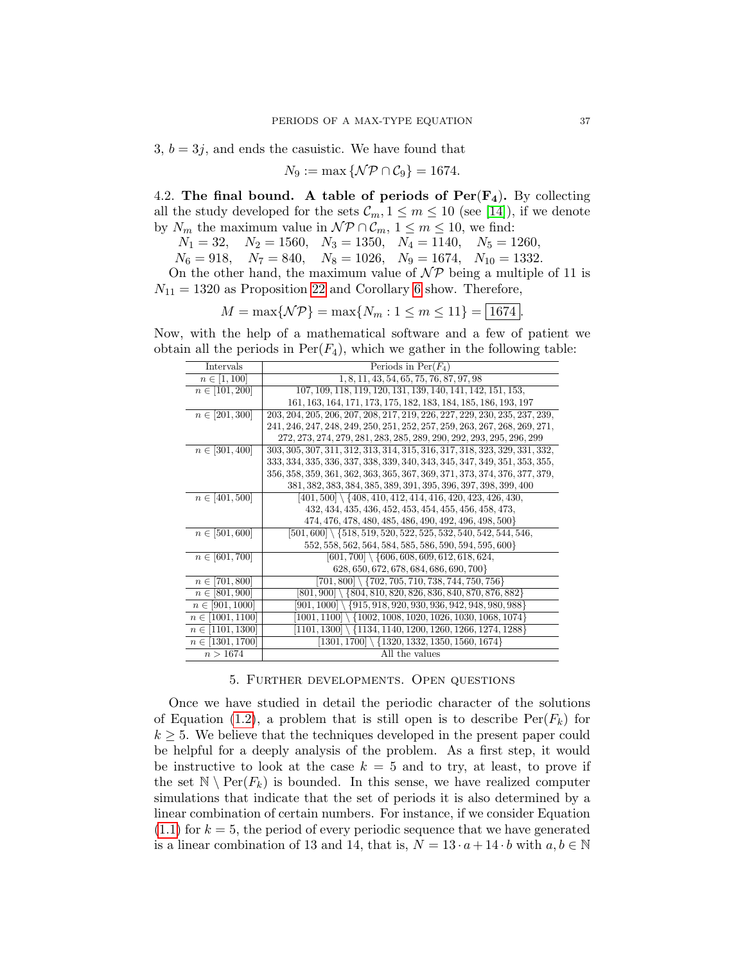$3, b = 3j$ , and ends the casuistic. We have found that

$$
N_9 := \max \{ \mathcal{NP} \cap \mathcal{C}_9 \} = 1674.
$$

4.2. The final bound. A table of periods of  $Per(F_4)$ . By collecting all the study developed for the sets  $\mathcal{C}_m$ ,  $1 \leq m \leq 10$  (see [\[14\]](#page-38-18)), if we denote by  $N_m$  the maximum value in  $\mathcal{NP} \cap \mathcal{C}_m$ ,  $1 \leq m \leq 10$ , we find:

$$
N_1 = 32
$$
,  $N_2 = 1560$ ,  $N_3 = 1350$ ,  $N_4 = 1140$ ,  $N_5 = 1260$ ,

 $N_6 = 918$ ,  $N_7 = 840$ ,  $N_8 = 1026$ ,  $N_9 = 1674$ ,  $N_{10} = 1332$ .

On the other hand, the maximum value of  $\mathcal{NP}$  being a multiple of 11 is  $N_{11} = 1320$  as Proposition [22](#page-34-2) and Corollary [6](#page-34-3) show. Therefore,

$$
M = \max\{\mathcal{NP}\} = \max\{N_m : 1 \le m \le 11\} = \boxed{1674}.
$$

Now, with the help of a mathematical software and a few of patient we obtain all the periods in  $\text{Per}(F_4)$ , which we gather in the following table:

| <b>Intervals</b>     | Periods in $Per(F_4)$                                                      |
|----------------------|----------------------------------------------------------------------------|
| $n \in [1, 100]$     | 1, 8, 11, 43, 54, 65, 75, 76, 87, 97, 98                                   |
| $n \in [101, 200]$   | 107, 109, 118, 119, 120, 131, 139, 140, 141, 142, 151, 153,                |
|                      | 161, 163, 164, 171, 173, 175, 182, 183, 184, 185, 186, 193, 197            |
| $n \in [201, 300]$   | 203, 204, 205, 206, 207, 208, 217, 219, 226, 227, 229, 230, 235, 237, 239, |
|                      | 241, 246, 247, 248, 249, 250, 251, 252, 257, 259, 263, 267, 268, 269, 271, |
|                      | 272, 273, 274, 279, 281, 283, 285, 289, 290, 292, 293, 295, 296, 299       |
| $n \in [301, 400]$   | 303, 305, 307, 311, 312, 313, 314, 315, 316, 317, 318, 323, 329, 331, 332, |
|                      | 333, 334, 335, 336, 337, 338, 339, 340, 343, 345, 347, 349, 351, 353, 355, |
|                      | 356, 358, 359, 361, 362, 363, 365, 367, 369, 371, 373, 374, 376, 377, 379, |
|                      | 381, 382, 383, 384, 385, 389, 391, 395, 396, 397, 398, 399, 400            |
| $n \in [401, 500]$   | $[401, 500] \setminus \{408, 410, 412, 414, 416, 420, 423, 426, 430,$      |
|                      | 432, 434, 435, 436, 452, 453, 454, 455, 456, 458, 473,                     |
|                      | 474, 476, 478, 480, 485, 486, 490, 492, 496, 498, 500}                     |
| $n \in [501, 600]$   | $[501, 600] \setminus \{518, 519, 520, 522, 525, 532, 540, 542, 544, 546,$ |
|                      | 552, 558, 562, 564, 584, 585, 586, 590, 594, 595, 600}                     |
| $n \in [601, 700]$   | $[601, 700] \setminus \{606, 608, 609, 612, 618, 624,$                     |
|                      | 628, 650, 672, 678, 684, 686, 690, 700}                                    |
| $n \in [701, 800]$   | $[701, 800] \setminus \{702, 705, 710, 738, 744, 750, 756\}$               |
| $n \in [801, 900]$   | $[801, 900] \setminus \{804, 810, 820, 826, 836, 840, 870, 876, 882\}$     |
| $n \in [901, 1000]$  | $[901, 1000] \setminus \{915, 918, 920, 930, 936, 942, 948, 980, 988\}$    |
| $n \in [1001, 1100]$ | $1001, 1100 \mid \{1002, 1008, 1020, 1026, 1030, 1068, 1074\}$             |
| $n \in [1101, 1300]$ | $[1101, 1300] \setminus \{1134, 1140, 1200, 1260, 1266, 1274, 1288\}$      |
| $n \in [1301, 1700]$ | $[1301, 1700] \setminus \{1320, 1332, 1350, 1560, 1674\}$                  |
| n > 1674             | All the values                                                             |

#### 5. Further developments. Open questions

Once we have studied in detail the periodic character of the solutions of Equation [\(1.2\)](#page-1-1), a problem that is still open is to describe  $\text{Per}(F_k)$  for  $k \geq 5$ . We believe that the techniques developed in the present paper could be helpful for a deeply analysis of the problem. As a first step, it would be instructive to look at the case  $k = 5$  and to try, at least, to prove if the set  $\mathbb{N} \setminus \text{Per}(F_k)$  is bounded. In this sense, we have realized computer simulations that indicate that the set of periods it is also determined by a linear combination of certain numbers. For instance, if we consider Equation  $(1.1)$  for  $k = 5$ , the period of every periodic sequence that we have generated is a linear combination of 13 and 14, that is,  $N = 13 \cdot a + 14 \cdot b$  with  $a, b \in \mathbb{N}$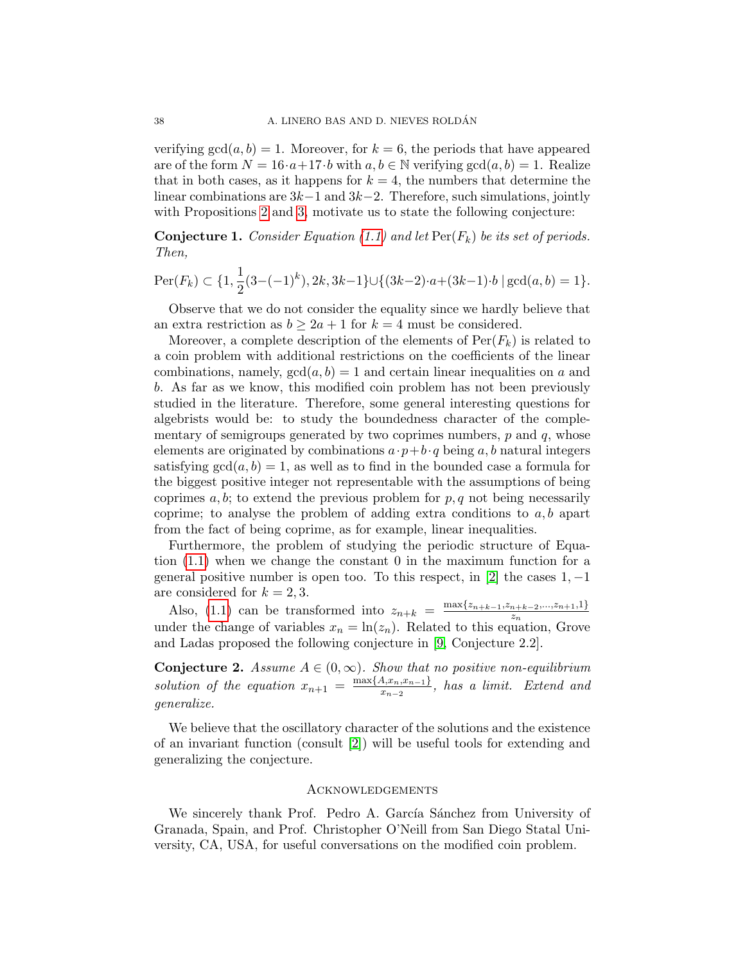verifying  $gcd(a, b) = 1$ . Moreover, for  $k = 6$ , the periods that have appeared are of the form  $N = 16 \cdot a + 17 \cdot b$  with  $a, b \in \mathbb{N}$  verifying  $gcd(a, b) = 1$ . Realize that in both cases, as it happens for  $k = 4$ , the numbers that determine the linear combinations are  $3k-1$  and  $3k-2$ . Therefore, such simulations, jointly with Propositions [2](#page-3-3) and [3,](#page-3-2) motivate us to state the following conjecture:

**Conjecture 1.** Consider Equation [\(1.1\)](#page-1-0) and let  $\text{Per}(F_k)$  be its set of periods. Then,

$$
\operatorname{Per}(F_k) \subset \{1, \frac{1}{2}(3 - (-1)^k), 2k, 3k - 1\} \cup \{(3k - 2) \cdot a + (3k - 1) \cdot b \mid \gcd(a, b) = 1\}.
$$

Observe that we do not consider the equality since we hardly believe that an extra restriction as  $b \geq 2a + 1$  for  $k = 4$  must be considered.

Moreover, a complete description of the elements of  $Per(F_k)$  is related to a coin problem with additional restrictions on the coefficients of the linear combinations, namely,  $gcd(a, b) = 1$  and certain linear inequalities on a and b. As far as we know, this modified coin problem has not been previously studied in the literature. Therefore, some general interesting questions for algebrists would be: to study the boundedness character of the complementary of semigroups generated by two coprimes numbers,  $p$  and  $q$ , whose elements are originated by combinations  $a \cdot p + b \cdot q$  being a, b natural integers satisfying  $gcd(a, b) = 1$ , as well as to find in the bounded case a formula for the biggest positive integer not representable with the assumptions of being coprimes a, b; to extend the previous problem for  $p, q$  not being necessarily coprime; to analyse the problem of adding extra conditions to  $a, b$  apart from the fact of being coprime, as for example, linear inequalities.

Furthermore, the problem of studying the periodic structure of Equation [\(1.1\)](#page-1-0) when we change the constant 0 in the maximum function for a general positive number is open too. To this respect, in [\[2\]](#page-38-17) the cases  $1, -1$ are considered for  $k = 2, 3$ .

Also, [\(1.1\)](#page-1-0) can be transformed into  $z_{n+k} = \frac{\max\{z_{n+k-1}, z_{n+k-2},..., z_{n+1},1\}}{z_n}$ Also, (1.1) can be changed into  $z_{n+k} = z_n$ <br>under the change of variables  $x_n = \ln(z_n)$ . Related to this equation, Grove and Ladas proposed the following conjecture in [\[9,](#page-38-2) Conjecture 2.2].

**Conjecture 2.** Assume  $A \in (0, \infty)$ . Show that no positive non-equilibrium solution of the equation  $x_{n+1} = \frac{\max\{A, x_n, x_{n-1}\}}{x_{n-2}}$  $\frac{A, x_n, x_{n-1}}{x_{n-2}}$ , has a limit. Extend and generalize.

We believe that the oscillatory character of the solutions and the existence of an invariant function (consult [\[2\]](#page-38-17)) will be useful tools for extending and generalizing the conjecture.

### **ACKNOWLEDGEMENTS**

We sincerely thank Prof. Pedro A. García Sánchez from University of Granada, Spain, and Prof. Christopher O'Neill from San Diego Statal University, CA, USA, for useful conversations on the modified coin problem.